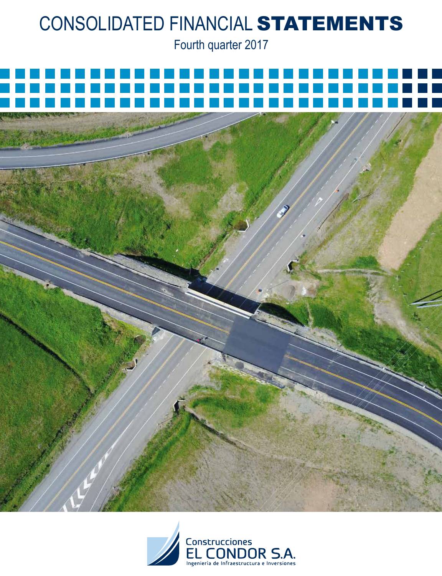Fourth quarter 2017



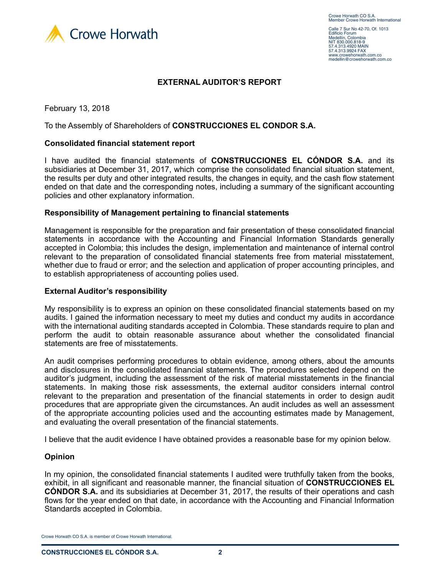

Calle 7 Sur No 42-70, Of. 1013 Edificio Forum Medellín, Colombia NIT 830.000.818-9 57.4.313.4920 MAIN 57.4.313.9924 FAX www.crowehorwath.com.co medellin@crowehorwath.com.co

### **EXTERNAL AUDITOR'S REPORT**

February 13, 2018

To the Assembly of Shareholders of **CONSTRUCCIONES EL CONDOR S.A.**

#### **Consolidated financial statement report**

I have audited the financial statements of **CONSTRUCCIONES EL CÓNDOR S.A.** and its subsidiaries at December 31, 2017, which comprise the consolidated financial situation statement, the results per duty and other integrated results, the changes in equity, and the cash flow statement ended on that date and the corresponding notes, including a summary of the significant accounting policies and other explanatory information.

#### **Responsibility of Management pertaining to financial statements**

Management is responsible for the preparation and fair presentation of these consolidated financial statements in accordance with the Accounting and Financial Information Standards generally accepted in Colombia; this includes the design, implementation and maintenance of internal control relevant to the preparation of consolidated financial statements free from material misstatement, whether due to fraud or error; and the selection and application of proper accounting principles, and to establish appropriateness of accounting polies used.

#### **External Auditor's responsibility**

My responsibility is to express an opinion on these consolidated financial statements based on my audits. I gained the information necessary to meet my duties and conduct my audits in accordance with the international auditing standards accepted in Colombia. These standards require to plan and perform the audit to obtain reasonable assurance about whether the consolidated financial statements are free of misstatements.

An audit comprises performing procedures to obtain evidence, among others, about the amounts and disclosures in the consolidated financial statements. The procedures selected depend on the auditor's judgment, including the assessment of the risk of material misstatements in the financial statements. In making those risk assessments, the external auditor considers internal control relevant to the preparation and presentation of the financial statements in order to design audit procedures that are appropriate given the circumstances. An audit includes as well an assessment of the appropriate accounting policies used and the accounting estimates made by Management, and evaluating the overall presentation of the financial statements.

I believe that the audit evidence I have obtained provides a reasonable base for my opinion below.

#### **Opinion**

In my opinion, the consolidated financial statements I audited were truthfully taken from the books, exhibit, in all significant and reasonable manner, the financial situation of **CONSTRUCCIONES EL CÓNDOR S.A.** and its subsidiaries at December 31, 2017, the results of their operations and cash flows for the year ended on that date, in accordance with the Accounting and Financial Information Standards accepted in Colombia.

Crowe Horwath CO S.A. is member of Crowe Horwath International.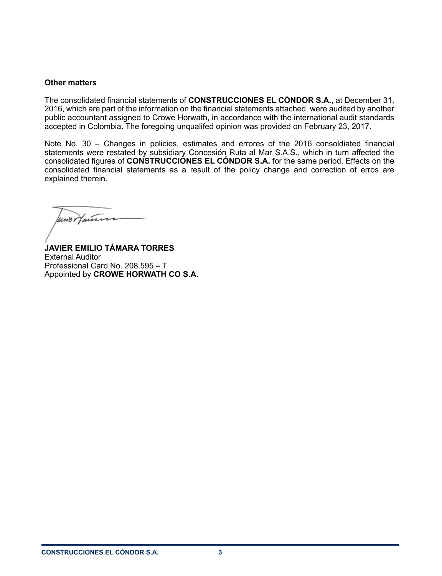### **Other matters**

The consolidated financial statements of **CONSTRUCCIONES EL CÓNDOR S.A.**, at December 31, 2016, which are part of the information on the financial statements attached, were audited by another public accountant assigned to Crowe Horwath, in accordance with the international audit standards accepted in Colombia. The foregoing unqualifed opinion was provided on February 23, 2017.

Note No. 30 – Changes in policies, estimates and errores of the 2016 consoldiated financial statements were restated by subsidiary Concesión Ruta al Mar S.A.S., which in turn affected the consolidated figures of **CONSTRUCCIONES EL CÓNDOR S.A.** for the same period. Effects on the consolidated financial statements as a result of the policy change and correction of erros are explained therein.

une Hauten

**JAVIER EMILIO TÁMARA TORRES** External Auditor Professional Card No. 208.595 – T Appointed by **CROWE HORWATH CO S.A.**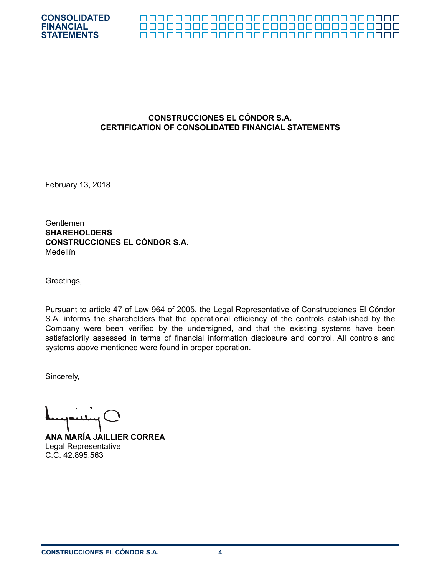



## **CONSTRUCCIONES EL CÓNDOR S.A. CERTIFICATION OF CONSOLIDATED FINANCIAL STATEMENTS**

February 13, 2018

Gentlemen **SHAREHOLDERS CONSTRUCCIONES EL CÓNDOR S.A.** Medellín

Greetings,

Pursuant to article 47 of Law 964 of 2005, the Legal Representative of Construcciones El Cóndor S.A. informs the shareholders that the operational efficiency of the controls established by the Company were been verified by the undersigned, and that the existing systems have been satisfactorily assessed in terms of financial information disclosure and control. All controls and systems above mentioned were found in proper operation.

Sincerely,

**ANA MARÍA JAILLIER CORREA** Legal Representative C.C. 42.895.563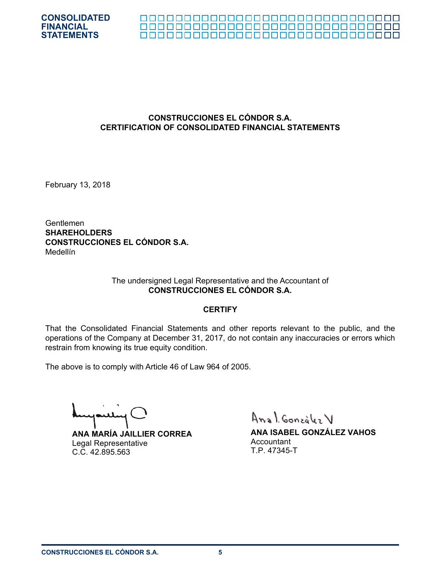

#### 

## **CONSTRUCCIONES EL CÓNDOR S.A. CERTIFICATION OF CONSOLIDATED FINANCIAL STATEMENTS**

February 13, 2018

Gentlemen **SHAREHOLDERS CONSTRUCCIONES EL CÓNDOR S.A.** Medellín

#### The undersigned Legal Representative and the Accountant of **CONSTRUCCIONES EL CÓNDOR S.A.**

#### **CERTIFY**

That the Consolidated Financial Statements and other reports relevant to the public, and the operations of the Company at December 31, 2017, do not contain any inaccuracies or errors which restrain from knowing its true equity condition.

The above is to comply with Article 46 of Law 964 of 2005.

**ANA MARÍA JAILLIER CORREA** Legal Representative C.C. 42.895.563

Anal González V

**ANA ISABEL GONZÁLEZ VAHOS Accountant** T.P. 47345-T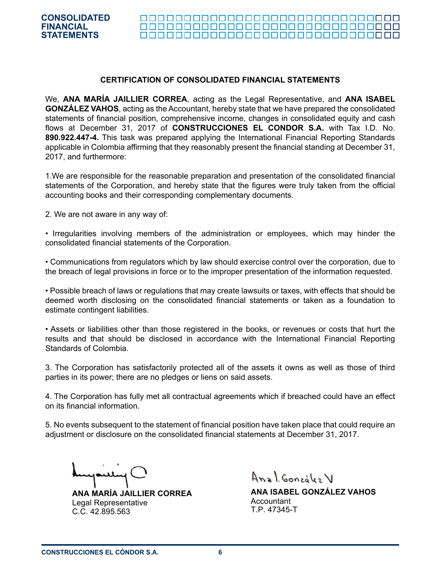#### 000000000000000000000000000000000

#### **CERTIFICATION OF CONSOLIDATED FINANCIAL STATEMENTS**

We, **ANA MARÍA JAILLIER CORREA**, acting as the Legal Representative, and **ANA ISABEL GONZÁLEZ VAHOS**, acting as the Accountant, hereby state that we have prepared the consolidated statements of financial position, comprehensive income, changes in consolidated equity and cash flows at December 31, 2017 of **CONSTRUCCIONES EL CONDOR S.A.** with Tax I.D. No. **890.922.447-4.** This task was prepared applying the International Financial Reporting Standards applicable in Colombia affirming that they reasonably present the financial standing at December 31, 2017, and furthermore:

1.We are responsible for the reasonable preparation and presentation of the consolidated financial statements of the Corporation, and hereby state that the figures were truly taken from the official accounting books and their corresponding complementary documents.

2. We are not aware in any way of:

• Irregularities involving members of the administration or employees, which may hinder the consolidated financial statements of the Corporation.

• Communications from regulators which by law should exercise control over the corporation, due to the breach of legal provisions in force or to the improper presentation of the information requested.

• Possible breach of laws or regulations that may create lawsuits or taxes, with effects that should be deemed worth disclosing on the consolidated financial statements or taken as a foundation to estimate contingent liabilities.

• Assets or liabilities other than those registered in the books, or revenues or costs that hurt the results and that should be disclosed in accordance with the International Financial Reporting Standards of Colombia.

3. The Corporation has satisfactorily protected all of the assets it owns as well as those of third parties in its power; there are no pledges or liens on said assets.

4. The Corporation has fully met all contractual agreements which if breached could have an effect on its financial information.

5. No events subsequent to the statement of financial position have taken place that could require an adjustment or disclosure on the consolidated financial statements at December 31, 2017.

**ANA MARÍA JAILLIER CORREA** Legal Representative C.C. 42.895.563

Anal González V

**ANA ISABEL GONZÁLEZ VAHOS** Accountant T.P. 47345-T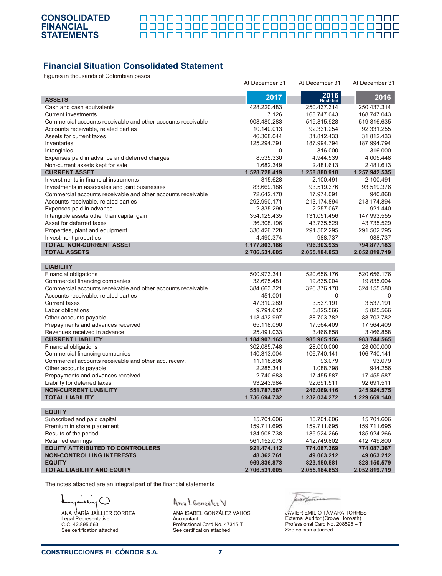П 

# **Financial Situation Consolidated Statement**

Figures in thousands of Colombian pesos

|                                                              | At December 31            | At December 31               | At December 31               |
|--------------------------------------------------------------|---------------------------|------------------------------|------------------------------|
|                                                              | 2017                      | 2016                         | 2016                         |
| <b>ASSETS</b>                                                |                           | <b>Restated</b>              |                              |
| Cash and cash equivalents                                    | 428.220.483               | 250.437.314                  | 250.437.314                  |
| <b>Current investments</b>                                   | 7.126                     | 168.747.043                  | 168.747.043                  |
| Commercial accounts receivable and other accounts receivable | 908.480.283               | 519.815.928                  | 519.816.635                  |
| Accounts receivable, related parties                         | 10.140.013                | 92.331.254                   | 92.331.255                   |
| Assets for current taxes<br>Inventaries                      | 46.368.044<br>125.294.791 | 31.812.433                   | 31.812.433                   |
|                                                              | 0                         | 187.994.794<br>316.000       | 187.994.794<br>316.000       |
| Intangibles<br>Expenses paid in advance and deferred charges | 8.535.330                 | 4.944.539                    | 4.005.448                    |
|                                                              | 1.682.349                 | 2.481.613                    | 2.481.613                    |
| Non-current assets kept for sale<br><b>CURRENT ASSET</b>     | 1.528.728.419             | 1.258.880.918                | 1.257.942.535                |
| Inverstments in financial instruments                        | 815.628                   | 2.100.491                    | 2.100.491                    |
| Investments in associates and joint businesses               | 83.669.186                | 93.519.376                   | 93.519.376                   |
| Commercial accounts receivable and other accounts receivable | 72.642.170                | 17.974.091                   | 940.868                      |
| Accounts receivable, related parties                         | 292.990.171               | 213.174.894                  | 213.174.894                  |
| Expenses paid in advance                                     | 2.335.299                 | 2.257.067                    | 921.440                      |
| Intangible assets other than capital gain                    | 354.125.435               | 131.051.456                  | 147.993.555                  |
| Asset for deferred taxes                                     | 36.308.196                | 43.735.529                   | 43.735.529                   |
| Properties, plant and equipment                              | 330.426.728               | 291.502.295                  | 291.502.295                  |
| Investment properties                                        | 4.490.374                 | 988.737                      | 988.737                      |
| <b>TOTAL NON-CURRENT ASSET</b>                               | 1.177.803.186             | 796.303.935                  | 794.877.183                  |
| <b>TOTAL ASSETS</b>                                          | 2.706.531.605             | 2.055.184.853                | 2.052.819.719                |
|                                                              |                           |                              |                              |
| <b>LIABILITY</b>                                             |                           |                              |                              |
| Financial obligations                                        | 500.973.341               | 520.656.176                  | 520.656.176                  |
| Commercial financing companies                               | 32.675.481                | 19.835.004                   | 19.835.004                   |
| Commercial accounts receivable and other accounts receivable | 384.663.321               | 326.376.170                  | 324.155.580                  |
| Accounts receivable, related parties                         | 451.001                   | 0                            | $\Omega$                     |
| <b>Current taxes</b>                                         | 47.310.289                | 3.537.191                    | 3.537.191                    |
| Labor obligations                                            | 9.791.612                 | 5.825.566                    | 5.825.566                    |
| Other accounts payable                                       | 118.432.997               | 88.703.782                   | 88.703.782                   |
| Prepayments and advances received                            | 65.118.090                | 17.564.409                   | 17.564.409                   |
| Revenues received in advance                                 | 25.491.033                | 3.466.858                    | 3.466.858                    |
| <b>CURRENT LIABILITY</b>                                     | 1.184.907.165             | 985.965.156                  | 983.744.565                  |
| Financial obligations                                        | 302.085.748               | 28.000.000                   | 28.000.000                   |
| Commercial financing companies                               | 140.313.004               | 106.740.141                  | 106.740.141                  |
| Commercial accounts receivable and other acc. receiv.        | 11.118.806                | 93.079                       | 93.079                       |
| Other accounts payable                                       | 2.285.341                 | 1.088.798                    | 944.256                      |
| Prepayments and advances received                            | 2.740.683                 | 17.455.587                   | 17.455.587                   |
| Liability for deferred taxes<br><b>NON-CURRENT LIABILITY</b> | 93.243.984<br>551.787.567 | 92.691.511                   | 92.691.511                   |
| <b>TOTAL LIABILITY</b>                                       | 1.736.694.732             | 246.069.116<br>1.232.034.272 | 245.924.575<br>1.229.669.140 |
|                                                              |                           |                              |                              |
| <b>EQUITY</b>                                                |                           |                              |                              |
| Subscribed and paid capital                                  | 15.701.606                | 15.701.606                   | 15.701.606                   |
| Premium in share placement                                   | 159.711.695               | 159.711.695                  | 159.711.695                  |
| Results of the period                                        | 184.908.738               | 185.924.266                  | 185.924.266                  |
| Retained earnings                                            | 561.152.073               | 412.749.802                  | 412.749.800                  |
| <b>EQUITY ATTRIBUTED TO CONTROLLERS</b>                      | 921.474.112               | 774.087.369                  | 774.087.367                  |
| <b>NON-CONTROLLING INTERESTS</b>                             | 48.362.761                | 49.063.212                   | 49.063.212                   |
| <b>EQUITY</b>                                                | 969.836.873               | 823.150.581                  | 823.150.579                  |
| <b>TOTAL LIABILITY AND EQUITY</b>                            | 2.706.531.605             | 2.055.184.853                | 2.052.819.719                |

The notes attached are an integral part of the financial statements

 $\lambda$ للند ANA MARÍA JAILLIER CORREA Legal Representative C.C. 42.895.563

See certification attached

Anal. González V

ANA ISABEL GONZÁLEZ VAHOS Accountant Professional Card No. 47345-T See certification attached

uritan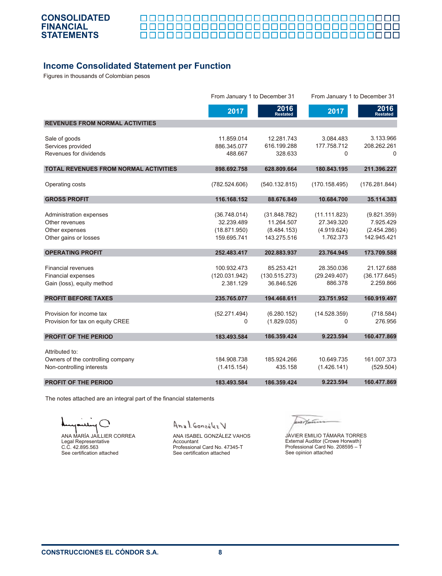

П 000000000000000000000000000000000

## **Income Consolidated Statement per Function**

Figures in thousands of Colombian pesos

|                                              |                            | From January 1 to December 31 |                            | From January 1 to December 31 |
|----------------------------------------------|----------------------------|-------------------------------|----------------------------|-------------------------------|
|                                              | 2017                       | 2016<br><b>Restated</b>       | 2017                       | 2016<br><b>Restated</b>       |
| <b>REVENUES FROM NORMAL ACTIVITIES</b>       |                            |                               |                            |                               |
| Sale of goods                                | 11.859.014                 | 12.281.743                    | 3.084.483                  | 3.133.966                     |
| Services provided                            | 886.345.077                | 616.199.288                   | 177.758.712                | 208.262.261                   |
| Revenues for dividends                       | 488.667                    | 328.633                       | $\Omega$                   | $\Omega$                      |
| <b>TOTAL REVENUES FROM NORMAL ACTIVITIES</b> | 898.692.758                | 628.809.664                   | 180.843.195                | 211.396.227                   |
| Operating costs                              | (782.524.606)              | (540.132.815)                 | (170.158.495)              | (176.281.844)                 |
| <b>GROSS PROFIT</b>                          | 116.168.152                | 88.676.849                    | 10.684.700                 | 35.114.383                    |
|                                              |                            |                               |                            |                               |
| Administration expenses<br>Other revenues    | (36.748.014)<br>32.239.489 | (31.848.782)<br>11.264.507    | (11.111.823)<br>27.349.320 | (9.821.359)<br>7.925.429      |
| Other expenses                               | (18.871.950)               | (8.484.153)                   | (4.919.624)                | (2.454.286)                   |
| Other gains or losses                        | 159.695.741                | 143.275.516                   | 1.762.373                  | 142.945.421                   |
|                                              |                            |                               |                            |                               |
| <b>OPERATING PROFIT</b>                      | 252.483.417                | 202.883.937                   | 23.764.945                 | 173.709.588                   |
| <b>Financial revenues</b>                    | 100.932.473                | 85.253.421                    | 28.350.036                 | 21.127.688                    |
| <b>Financial expenses</b>                    | (120.031.942)              | (130.515.273)                 | (29.249.407)               | (36.177.645)                  |
| Gain (loss), equity method                   | 2.381.129                  | 36.846.526                    | 886.378                    | 2.259.866                     |
| <b>PROFIT BEFORE TAXES</b>                   | 235.765.077                | 194.468.611                   | 23.751.952                 | 160.919.497                   |
|                                              |                            |                               |                            |                               |
| Provision for income tax                     | (52.271.494)               | (6.280.152)                   | (14.528.359)               | (718.584)                     |
| Provision for tax on equity CREE             | 0                          | (1.829.035)                   | 0                          | 276.956                       |
| <b>PROFIT OF THE PERIOD</b>                  | 183.493.584                | 186.359.424                   | 9.223.594                  | 160.477.869                   |
| Attributed to:                               |                            |                               |                            |                               |
| Owners of the controlling company            | 184.908.738                | 185.924.266                   | 10.649.735                 | 161.007.373                   |
| Non-controlling interests                    | (1.415.154)                | 435.158                       | (1.426.141)                | (529.504)                     |
|                                              |                            |                               |                            |                               |
| <b>PROFIT OF THE PERIOD</b>                  | 183.493.584                | 186.359.424                   | 9.223.594                  | 160.477.869                   |

The notes attached are an integral part of the financial statements

◝ ANA MARÍA JAILLIER CORREA Legal Representative C.C. 42.895.563 See certification attached

Anal González V

ANA ISABEL GONZÁLEZ VAHOS Accountant Professional Card No. 47345-T See certification attached

ur/mun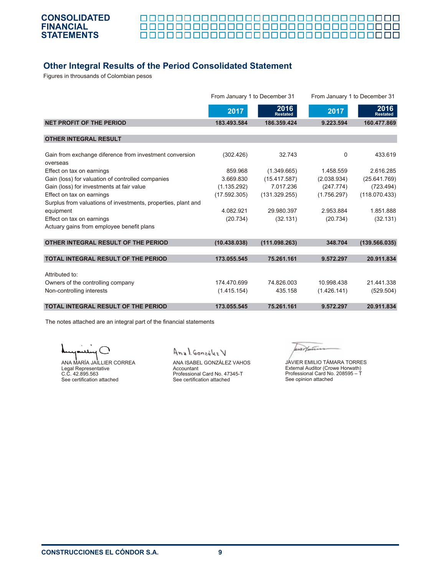

<u> 00000000000000000000000000</u> П ПП 000000000000000000000000000000000

# **Other Integral Results of the Period Consolidated Statement**

Figures in throusands of Colombian pesos

|                                                                     | From January 1 to December 31 |                         | From January 1 to December 31 |                         |
|---------------------------------------------------------------------|-------------------------------|-------------------------|-------------------------------|-------------------------|
|                                                                     | 2017                          | 2016<br><b>Restated</b> | 2017                          | 2016<br><b>Restated</b> |
| NET PROFIT OF THE PERIOD                                            | 183.493.584                   | 186.359.424             | 9.223.594                     | 160.477.869             |
| <b>OTHER INTEGRAL RESULT</b>                                        |                               |                         |                               |                         |
| Gain from exchange diference from investment conversion<br>overseas | (302.426)                     | 32.743                  | 0                             | 433.619                 |
| Effect on tax on earnings                                           | 859.968                       | (1.349.665)             | 1.458.559                     | 2.616.285               |
| Gain (loss) for valuation of controlled companies                   | 3.669.830                     | (15.417.587)            | (2.038.934)                   | (25.641.769)            |
| Gain (loss) for investments at fair value                           | (1.135.292)                   | 7.017.236               | (247.774)                     | (723.494)               |
| Effect on tax on earnings                                           | (17.592.305)                  | (131.329.255)           | (1.756.297)                   | (118.070.433)           |
| Surplus from valuations of investments, properties, plant and       |                               |                         |                               |                         |
| equipment                                                           | 4.082.921                     | 29.980.397              | 2.953.884                     | 1.851.888               |
| Effect on tax on earnings                                           | (20.734)                      | (32.131)                | (20.734)                      | (32.131)                |
| Actuary gains from employee benefit plans                           |                               |                         |                               |                         |
| OTHER INTEGRAL RESULT OF THE PERIOD                                 | (10.438.038)                  | (111.098.263)           | 348.704                       | (139.566.035)           |
| <b>TOTAL INTEGRAL RESULT OF THE PERIOD</b>                          | 173.055.545                   | 75.261.161              | 9.572.297                     | 20.911.834              |
| Attributed to:                                                      |                               |                         |                               |                         |
| Owners of the controlling company                                   | 174.470.699                   | 74.826.003              | 10.998.438                    | 21.441.338              |
| Non-controlling interests                                           | (1.415.154)                   | 435.158                 | (1.426.141)                   | (529.504)               |
| <b>TOTAL INTEGRAL RESULT OF THE PERIOD</b>                          | 173.055.545                   | 75.261.161              | 9.572.297                     | 20.911.834              |

The notes attached are an integral part of the financial statements

ANA MARÍA JAILLIER CORREA Legal Representative C.C. 42.895.563 See certification attached

Anal González V

ANA ISABEL GONZÁLEZ VAHOS Accountant Professional Card No. 47345-T See certification attached

werthern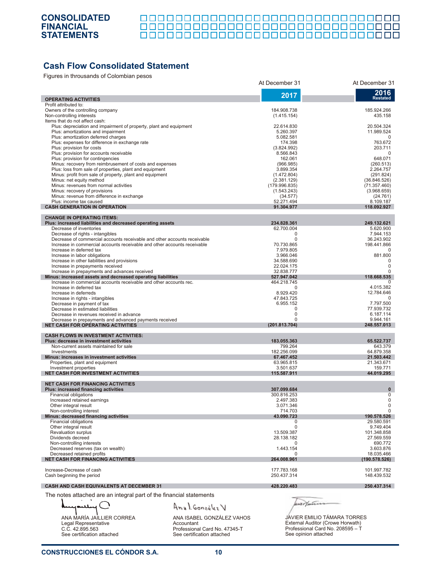| ----------------------------------- |  |  |  |
|-------------------------------------|--|--|--|

# **Cash Flow Consolidated Statement**

Figures in throusands of Colombian pesos

|                                                                                                                                                      | At December 31             | At December 31            |
|------------------------------------------------------------------------------------------------------------------------------------------------------|----------------------------|---------------------------|
|                                                                                                                                                      | 2017                       | 2016                      |
| <b>OPERATING ACTIVITIES</b>                                                                                                                          |                            | <b>Restated</b>           |
| Profit attributed to:                                                                                                                                |                            |                           |
| Owners of the controlling company<br>Non-controlling interests                                                                                       | 184.908.738<br>(1.415.154) | 185.924.266<br>435.158    |
| Items that do not affect cash:                                                                                                                       |                            |                           |
| Plus: depreciation and impairment of property, plant and equipment                                                                                   | 22.614.830                 | 20.504.324                |
| Plus: amortizations and impairment                                                                                                                   | 5.260.397                  | 11.989.524                |
| Plus: amortization deferred charges                                                                                                                  | 5.082.581                  | $\Omega$                  |
| Plus: expenses for difference in exchange rate<br>Plus: provision for costs                                                                          | 174.398<br>(3.824.992)     | 763.672<br>203.711        |
| Plus: provision for accounts receivable                                                                                                              | 8.566.843                  | 0                         |
| Plus: provision for contingencies                                                                                                                    | 162.061                    | 648.071                   |
| Minus: recovery from reimbrusement of costs and expenses                                                                                             | (966.985)                  | (260.513)                 |
| Plus: loss from sale of properties, plant and equipment<br>Minus: profit from sale of property, plant and equipment                                  | 3.899.354                  | 2.264.757                 |
| Minus: net equity method                                                                                                                             | (1.472.804)<br>(2.381.129) | (291.824)<br>(36.846.526) |
| Minus: revenues from normal activities                                                                                                               | (179.996.835)              | (71.357.460)              |
| Minus: recovery of provisions                                                                                                                        | (1.543.243)                | (3.968.659)               |
| Minus: revenue from difference in exchange                                                                                                           | (34.577)                   | (24.761)                  |
| Plus: income tax caused                                                                                                                              | 52.271.494                 | 8.109.187                 |
| <b>CASH GENERATION IN OPERATION</b>                                                                                                                  | 91.304.977                 | 118.092.927               |
| <b>CHANGE IN OPERATING ITEMS:</b>                                                                                                                    |                            |                           |
| Plus: increased liabilities and decreased operating assets                                                                                           | 234.828.361                | 249.132.621               |
| Decrease of inventories                                                                                                                              | 62.700.004                 | 5.620.900                 |
| Decrease of rights - intangibles                                                                                                                     | $\Omega$                   | 7.944.153<br>36.243.902   |
| Decrease of commercial accounts receivable and other accounts receivable<br>Increase in commercial accounts receivable and other accounts receivable | 0<br>70.730.865            | 198.441.866               |
| Increase in deferred tax                                                                                                                             | 7.979.805                  | $\Omega$                  |
| Increase in labor obligations                                                                                                                        | 3.966.046                  | 881.800                   |
| Increase in other liabilities and provisions                                                                                                         | 34.588.690                 | $\mathbf 0$               |
| Increase in prepayments received                                                                                                                     | 22.024.175                 | 0                         |
| Increase in prepayments and advances received                                                                                                        | 32.838.777<br>527.947.042  | 0                         |
| Minus: increased assets and decreased operating liabilities<br>Increase in commercial accounts receivable and other accounts rec.                    | 464.218.745                | 118.668.535<br>0          |
| Increase in deferred tax                                                                                                                             | 0                          | 4.015.382                 |
| Increase in deferreds                                                                                                                                | 8.929.420                  | 12.784.646                |
| Increase in rights - intangibles                                                                                                                     | 47.843.725                 | $\Omega$                  |
| Decrease in payment of tax                                                                                                                           | 6.955.152                  | 7.797.500                 |
| Decrease in estimated liabilities                                                                                                                    | $\Omega$<br>$\Omega$       | 77.939.732                |
| Decrease in revenues received in advance<br>Decrease in prepayments and advanced payments received                                                   | $\Omega$                   | 6.187.114<br>9.944.161    |
| <b>NET CASH FOR OPERATING ACTIVITIES</b>                                                                                                             | (201.813.704)              | 248.557.013               |
|                                                                                                                                                      |                            |                           |
| <b>CASH FLOWS IN INVESTMENT ACTIVITIES:</b><br>Plus: decrease in investment activities                                                               | 183.055.363                | 65.522.737                |
| Non-current assets maintained for sale                                                                                                               | 799.264                    | 643.379                   |
| Investments                                                                                                                                          | 182.256.099                | 64.879.358                |
| Minus: increases in investment activities                                                                                                            | 67.467.452                 | 21.503.442                |
| Properties, plant and equipment                                                                                                                      | 63.965.815                 | 21.343.671                |
| Investment properties<br><b>NET CASH FOR INVESTMENT ACTIVITIES</b>                                                                                   | 3.501.637<br>115.587.911   | 159.771<br>44.019.295     |
|                                                                                                                                                      |                            |                           |
| <b>NET CASH FOR FINANCING ACTIVITIES</b>                                                                                                             |                            |                           |
| <b>Plus: increased financing activities</b><br><b>Financial obligations</b>                                                                          | 307.099.684                | $\mathbf{0}$<br>0         |
| Increased retained earnings                                                                                                                          | 300.816.253<br>2.497.383   | 0                         |
| Other integral result                                                                                                                                | 3.071.346                  | $\Omega$                  |
| Non-controlling interest                                                                                                                             | 714.703                    | $\mathbf 0$               |
| Minus: decreased financing activities                                                                                                                | 43.090.723                 | 190.578.526               |
| Financial obligations                                                                                                                                |                            | 29.580.591                |
| Other integral result<br><b>Revaluation surplus</b>                                                                                                  | 0<br>13.509.387            | 9.749.404<br>101.348.858  |
| Dividends decreed                                                                                                                                    | 28.138.182                 | 27.569.559                |
| Non-controlling interests                                                                                                                            | 0                          | 690.772                   |
| Decreased reserves (tax on wealth)                                                                                                                   | 1.443.154                  | 3.603.876                 |
| Decreased retained profits                                                                                                                           | $\Omega$                   | 18.035.466                |
| <b>NET CASH FOR FINANCING ACTIVITIES</b>                                                                                                             | 264.008.961                | (190.578.526)             |
| Increase-Decrease of cash                                                                                                                            | 177.783.168                | 101.997.782               |
| Cash beginning the period                                                                                                                            | 250.437.314                | 148.439.532               |
|                                                                                                                                                      |                            |                           |
| <b>CASH AND CASH EQUIVALENTS AT DECEMBER 31</b>                                                                                                      | 428.220.483                | 250.437.314               |

The notes attached are an integral part of the financial statements

╲

Anal González V ANA MARÍA JAILLIER CORREA Legal Representative C.C. 42.895.563 See certification attached

ANA ISABEL GONZÁLEZ VAHOS Accountant Professional Card No. 47345-T See certification attached

wer faires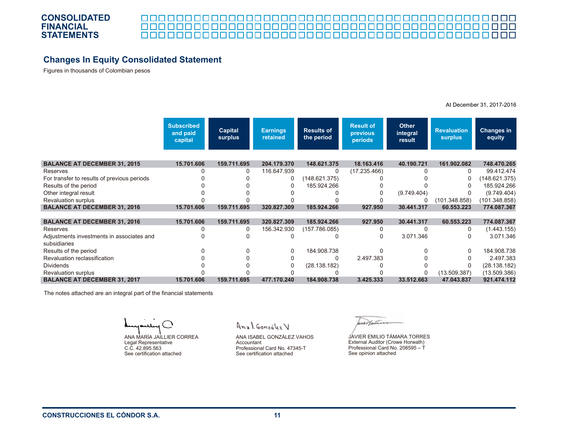#### 

# **Changes In Equity Consolidated Statement**

Figures in thousands of Colombian pesos

|                                             | <b>Subscribed</b><br>and paid<br>capital | <b>Capital</b><br>surplus | <b>Earnings</b><br>retained | <b>Results of</b><br>the period | <b>Result of</b><br>previous<br>periods | <b>Other</b><br>integral<br>result | <b>Revaluation</b><br><b>surplus</b> | <b>Changes in</b><br>equity |
|---------------------------------------------|------------------------------------------|---------------------------|-----------------------------|---------------------------------|-----------------------------------------|------------------------------------|--------------------------------------|-----------------------------|
|                                             |                                          |                           |                             |                                 |                                         |                                    |                                      |                             |
| <b>BALANCE AT DECEMBER 31, 2015</b>         | 15.701.606                               | 159.711.695               | 204.179.370                 | 148.621.375                     | 18.163.416                              | 40.190.721                         | 161.902.082                          | 748.470.265                 |
| Reserves                                    |                                          | 0                         | 116.647.939                 | 0                               | (17.235.466)                            | 0                                  | 0                                    | 99.412.474                  |
| For transfer to results of previous periods |                                          |                           | 0                           | (148.621.375)                   |                                         |                                    | 0                                    | (148.621.375)               |
| Results of the period                       |                                          |                           |                             | 185.924.266                     |                                         |                                    |                                      | 185.924.266                 |
| Other integral result                       |                                          |                           |                             |                                 | 0                                       | (9.749.404)                        |                                      | (9.749.404)                 |
| <b>Revaluation surplus</b>                  |                                          |                           |                             |                                 |                                         | 0                                  | (101.348.858)                        | (101.348.858)               |
| <b>BALANCE AT DECEMBER 31, 2016</b>         | 15.701.606                               | 159.711.695               | 320.827.309                 | 185.924.266                     | 927.950                                 | 30.441.317                         | 60.553.223                           | 774.087.367                 |
|                                             |                                          |                           |                             |                                 |                                         |                                    |                                      |                             |
| <b>BALANCE AT DECEMBER 31, 2016</b>         | 15.701.606                               | 159.711.695               | 320.827.309                 | 185.924.266                     | 927.950                                 | 30.441.317                         | 60.553.223                           | 774.087.367                 |
| Reserves                                    |                                          | 0                         | 156.342.930                 | (157.786.085)                   | 0                                       | 0                                  | 0                                    | (1.443.155)                 |
| Adjustments investments in associates and   |                                          |                           |                             |                                 | 0                                       | 3.071.346                          |                                      | 3.071.346                   |
| subsidiaries                                |                                          |                           |                             |                                 |                                         |                                    |                                      |                             |
| Results of the period                       |                                          |                           | 0                           | 184.908.738                     | 0                                       |                                    | 0                                    | 184.908.738                 |
| Revaluation reclassification                |                                          |                           |                             | 0                               | 2.497.383                               |                                    |                                      | 2.497.383                   |
| <b>Dividends</b>                            |                                          |                           |                             | (28.138.182)                    |                                         |                                    |                                      | (28.138.182)                |
| <b>Revaluation surplus</b>                  |                                          |                           |                             |                                 |                                         | 0                                  | (13.509.387)                         | (13.509.386)                |
| <b>BALANCE AT DECEMBER 31, 2017</b>         | 15.701.606                               | 159.711.695               | 477.170.240                 | 184.908.738                     | 3.425.333                               | 33.512.663                         | 47.043.837                           | 921.474.112                 |

The notes attached are an integral part of the financial statements

ANA MARÍA JAILLIER CORREA Legal Representative C.C. 42.895.563 See certification attached

Anal Gonzoles V

ANA ISABEL GONZÁLEZ VAHOS Accountant Professional Card No. 47345-T See certification attached

werthin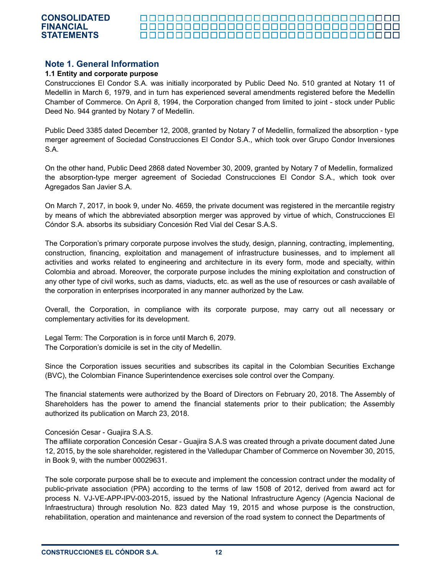#### <u> 0000000000000000000000000000000000</u> <u> 00000000000000000000000000000</u> <u> 00000000000000000000000000000000</u>

## **Note 1. General Information**

#### **1.1 Entity and corporate purpose**

Construcciones El Condor S.A. was initially incorporated by Public Deed No. 510 granted at Notary 11 of Medellin in March 6, 1979, and in turn has experienced several amendments registered before the Medellin Chamber of Commerce. On April 8, 1994, the Corporation changed from limited to joint - stock under Public Deed No. 944 granted by Notary 7 of Medellin.

Public Deed 3385 dated December 12, 2008, granted by Notary 7 of Medellin, formalized the absorption - type merger agreement of Sociedad Construcciones El Condor S.A., which took over Grupo Condor Inversiones S.A.

On the other hand, Public Deed 2868 dated November 30, 2009, granted by Notary 7 of Medellin, formalized the absorption-type merger agreement of Sociedad Construcciones El Condor S.A., which took over Agregados San Javier S.A.

On March 7, 2017, in book 9, under No. 4659, the private document was registered in the mercantile registry by means of which the abbreviated absorption merger was approved by virtue of which, Construcciones El Cóndor S.A. absorbs its subsidiary Concesión Red Vial del Cesar S.A.S.

The Corporation's primary corporate purpose involves the study, design, planning, contracting, implementing, construction, financing, exploitation and management of infrastructure businesses, and to implement all activities and works related to engineering and architecture in its every form, mode and specialty, within Colombia and abroad. Moreover, the corporate purpose includes the mining exploitation and construction of any other type of civil works, such as dams, viaducts, etc. as well as the use of resources or cash available of the corporation in enterprises incorporated in any manner authorized by the Law.

Overall, the Corporation, in compliance with its corporate purpose, may carry out all necessary or complementary activities for its development.

Legal Term: The Corporation is in force until March 6, 2079. The Corporation's domicile is set in the city of Medellin.

Since the Corporation issues securities and subscribes its capital in the Colombian Securities Exchange (BVC), the Colombian Finance Superintendence exercises sole control over the Company.

The financial statements were authorized by the Board of Directors on February 20, 2018. The Assembly of Shareholders has the power to amend the financial statements prior to their publication; the Assembly authorized its publication on March 23, 2018.

#### Concesión Cesar - Guajira S.A.S.

The affiliate corporation Concesión Cesar - Guajira S.A.S was created through a private document dated June 12, 2015, by the sole shareholder, registered in the Valledupar Chamber of Commerce on November 30, 2015, in Book 9, with the number 00029631.

The sole corporate purpose shall be to execute and implement the concession contract under the modality of public-private association (PPA) according to the terms of law 1508 of 2012, derived from award act for process N. VJ-VE-APP-IPV-003-2015, issued by the National Infrastructure Agency (Agencia Nacional de Infraestructura) through resolution No. 823 dated May 19, 2015 and whose purpose is the construction, rehabilitation, operation and maintenance and reversion of the road system to connect the Departments of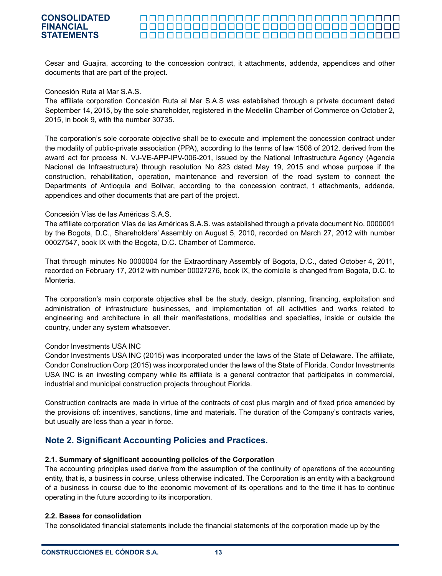Cesar and Guajira, according to the concession contract, it attachments, addenda, appendices and other documents that are part of the project.

Concesión Ruta al Mar S.A.S.

The affiliate corporation Concesión Ruta al Mar S.A.S was established through a private document dated September 14, 2015, by the sole shareholder, registered in the Medellin Chamber of Commerce on October 2, 2015, in book 9, with the number 30735.

The corporation's sole corporate objective shall be to execute and implement the concession contract under the modality of public-private association (PPA), according to the terms of law 1508 of 2012, derived from the award act for process N. VJ-VE-APP-IPV-006-201, issued by the National Infrastructure Agency (Agencia Nacional de Infraestructura) through resolution No 823 dated May 19, 2015 and whose purpose if the construction, rehabilitation, operation, maintenance and reversion of the road system to connect the Departments of Antioquia and Bolivar, according to the concession contract, t attachments, addenda, appendices and other documents that are part of the project.

#### Concesión Vías de las Américas S.A.S.

The affiliate corporation Vías de las Américas S.A.S. was established through a private document No. 0000001 by the Bogota, D.C., Shareholders' Assembly on August 5, 2010, recorded on March 27, 2012 with number 00027547, book IX with the Bogota, D.C. Chamber of Commerce.

That through minutes No 0000004 for the Extraordinary Assembly of Bogota, D.C., dated October 4, 2011, recorded on February 17, 2012 with number 00027276, book IX, the domicile is changed from Bogota, D.C. to Monteria.

The corporation's main corporate objective shall be the study, design, planning, financing, exploitation and administration of infrastructure businesses, and implementation of all activities and works related to engineering and architecture in all their manifestations, modalities and specialties, inside or outside the country, under any system whatsoever.

#### Condor Investments USA INC

Condor Investments USA INC (2015) was incorporated under the laws of the State of Delaware. The affiliate, Condor Construction Corp (2015) was incorporated under the laws of the State of Florida. Condor Investments USA INC is an investing company while its affiliate is a general contractor that participates in commercial, industrial and municipal construction projects throughout Florida.

Construction contracts are made in virtue of the contracts of cost plus margin and of fixed price amended by the provisions of: incentives, sanctions, time and materials. The duration of the Company's contracts varies, but usually are less than a year in force.

# **Note 2. Significant Accounting Policies and Practices.**

#### **2.1. Summary of significant accounting policies of the Corporation**

The accounting principles used derive from the assumption of the continuity of operations of the accounting entity, that is, a business in course, unless otherwise indicated. The Corporation is an entity with a background of a business in course due to the economic movement of its operations and to the time it has to continue operating in the future according to its incorporation.

#### **2.2. Bases for consolidation**

The consolidated financial statements include the financial statements of the corporation made up by the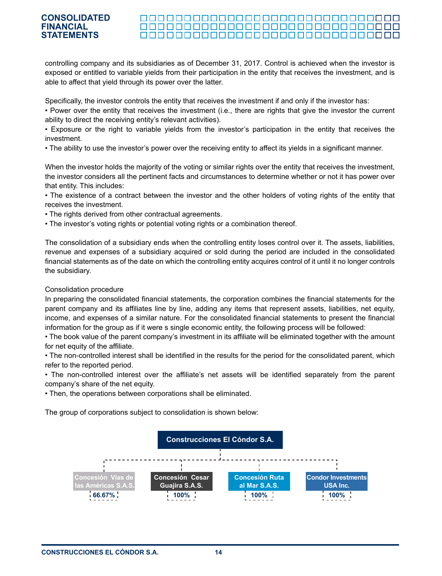#### <u> 00000000000000000000000000000000</u>

controlling company and its subsidiaries as of December 31, 2017. Control is achieved when the investor is exposed or entitled to variable yields from their participation in the entity that receives the investment, and is able to affect that yield through its power over the latter.

Specifically, the investor controls the entity that receives the investment if and only if the investor has:

• Power over the entity that receives the investment (i.e., there are rights that give the investor the current ability to direct the receiving entity's relevant activities).

• Exposure or the right to variable yields from the investor's participation in the entity that receives the investment.

• The ability to use the investor's power over the receiving entity to affect its yields in a significant manner.

When the investor holds the majority of the voting or similar rights over the entity that receives the investment, the investor considers all the pertinent facts and circumstances to determine whether or not it has power over that entity. This includes:

• The existence of a contract between the investor and the other holders of voting rights of the entity that receives the investment.

• The rights derived from other contractual agreements.

• The investor's voting rights or potential voting rights or a combination thereof.

The consolidation of a subsidiary ends when the controlling entity loses control over it. The assets, liabilities, revenue and expenses of a subsidiary acquired or sold during the period are included in the consolidated financial statements as of the date on which the controlling entity acquires control of it until it no longer controls the subsidiary.

#### Consolidation procedure

In preparing the consolidated financial statements, the corporation combines the financial statements for the parent company and its affiliates line by line, adding any items that represent assets, liabilities, net equity, income, and expenses of a similar nature. For the consolidated financial statements to present the financial information for the group as if it were s single economic entity, the following process will be followed:

• The book value of the parent company's investment in its affiliate will be eliminated together with the amount for net equity of the affiliate.

• The non-controlled interest shall be identified in the results for the period for the consolidated parent, which refer to the reported period.

• The non-controlled interest over the affiliate's net assets will be identified separately from the parent company's share of the net equity.

• Then, the operations between corporations shall be eliminated.

The group of corporations subject to consolidation is shown below:

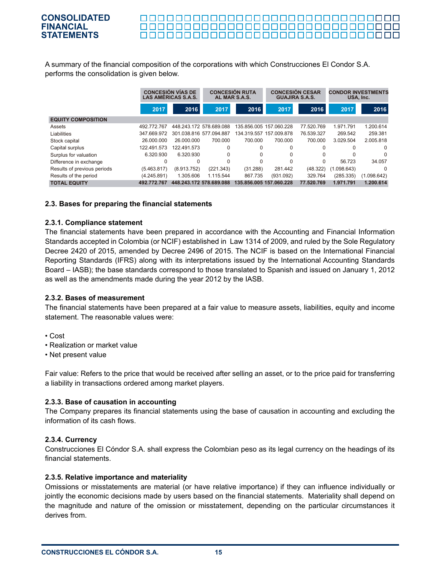A summary of the financial composition of the corporations with which Construcciones El Condor S.A. performs the consolidation is given below.

|                             |             | <b>CONCESIÓN VÍAS DE</b><br><b>LAS AMÉRICAS S.A.S.</b> |                         | <b>CONCESIÓN RUTA</b><br>AL MAR S.A.S. | <b>GUAJIRA S.A.S.</b>   | <b>CONCESIÓN CESAR</b> | <b>CONDOR INVESTMENTS</b><br>USA. Inc. |             |
|-----------------------------|-------------|--------------------------------------------------------|-------------------------|----------------------------------------|-------------------------|------------------------|----------------------------------------|-------------|
|                             | 2017        | 2016                                                   | 2017                    | 2016                                   | 2017                    | 2016                   | 2017                                   | 2016        |
| <b>EQUITY COMPOSITION</b>   |             |                                                        |                         |                                        |                         |                        |                                        |             |
| Assets                      | 492.772.767 |                                                        | 448.243.172 578.689.088 |                                        | 135.856.005 157.060.228 | 77.520.769             | 1.971.791                              | 1.200.614   |
| Liabilities                 | 347.669.972 |                                                        | 301.038.816 577.094.887 |                                        | 134.319.557 157.009.878 | 76.539.327             | 269.542                                | 259.381     |
| Stock capital               | 26.000.000  | 26.000.000                                             | 700.000                 | 700.000                                | 700.000                 | 700.000                | 3.029.504                              | 2.005.818   |
| Capital surplus             | 122.491.573 | 122.491.573                                            | $\Omega$                | 0                                      | $\Omega$                | 0                      | 0                                      | $\Omega$    |
| Surplus for valuation       | 6.320.930   | 6.320.930                                              | $\Omega$                | $\Omega$                               | $\Omega$                | 0                      |                                        |             |
| Difference in exchange      | $\Omega$    | $\Omega$                                               | $\Omega$                | $\Omega$                               | $\Omega$                | 0                      | 56.723                                 | 34.057      |
| Results of previous periods | (5.463.817) | (8.913.752)                                            | (221.343)               | (31.288)                               | 281.442                 | (48.322)               | (1.098.643)                            | $\Omega$    |
| Results of the period       | (4.245.891) | 1.305.606                                              | 1.115.544               | 867.735                                | (931.092)               | 329.764                | (285.335)                              | (1.098.642) |
| <b>TOTAL EQUITY</b>         | 492.772.767 |                                                        | 448.243.172 578.689.088 | 135.856.005                            | 157.060.228             | 77.520.769             | 1.971.791                              | 1.200.614   |

#### **2.3. Bases for preparing the financial statements**

#### **2.3.1. Compliance statement**

The financial statements have been prepared in accordance with the Accounting and Financial Information Standards accepted in Colombia (or NCIF) established in Law 1314 of 2009, and ruled by the Sole Regulatory Decree 2420 of 2015, amended by Decree 2496 of 2015. The NCIF is based on the International Financial Reporting Standards (IFRS) along with its interpretations issued by the International Accounting Standards Board – IASB); the base standards correspond to those translated to Spanish and issued on January 1, 2012 as well as the amendments made during the year 2012 by the IASB.

#### **2.3.2. Bases of measurement**

The financial statements have been prepared at a fair value to measure assets, liabilities, equity and income statement. The reasonable values were:

- Cost
- Realization or market value
- Net present value

Fair value: Refers to the price that would be received after selling an asset, or to the price paid for transferring a liability in transactions ordered among market players.

#### **2.3.3. Base of causation in accounting**

The Company prepares its financial statements using the base of causation in accounting and excluding the information of its cash flows.

#### **2.3.4. Currency**

Construcciones El Cóndor S.A. shall express the Colombian peso as its legal currency on the headings of its financial statements.

#### **2.3.5. Relative importance and materiality**

Omissions or misstatements are material (or have relative importance) if they can influence individually or jointly the economic decisions made by users based on the financial statements. Materiality shall depend on the magnitude and nature of the omission or misstatement, depending on the particular circumstances it derives from.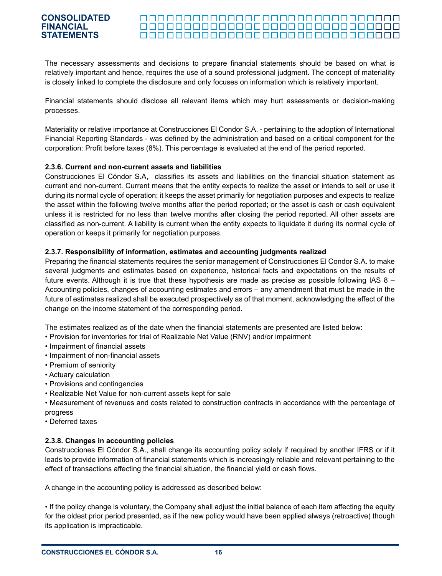#### 000000000000000000000000000000000 000000000000000000000000000000000

The necessary assessments and decisions to prepare financial statements should be based on what is relatively important and hence, requires the use of a sound professional judgment. The concept of materiality is closely linked to complete the disclosure and only focuses on information which is relatively important.

Financial statements should disclose all relevant items which may hurt assessments or decision-making processes.

Materiality or relative importance at Construcciones El Condor S.A. - pertaining to the adoption of International Financial Reporting Standards - was defined by the administration and based on a critical component for the corporation: Profit before taxes (8%). This percentage is evaluated at the end of the period reported.

#### **2.3.6. Current and non-current assets and liabilities**

Construcciones El Cóndor S.A, classifies its assets and liabilities on the financial situation statement as current and non-current. Current means that the entity expects to realize the asset or intends to sell or use it during its normal cycle of operation; it keeps the asset primarily for negotiation purposes and expects to realize the asset within the following twelve months after the period reported; or the asset is cash or cash equivalent unless it is restricted for no less than twelve months after closing the period reported. All other assets are classified as non-current. A liability is current when the entity expects to liquidate it during its normal cycle of operation or keeps it primarily for negotiation purposes.

#### **2.3.7. Responsibility of information, estimates and accounting judgments realized**

Preparing the financial statements requires the senior management of Construcciones El Condor S.A. to make several judgments and estimates based on experience, historical facts and expectations on the results of future events. Although it is true that these hypothesis are made as precise as possible following IAS 8 – Accounting policies, changes of accounting estimates and errors – any amendment that must be made in the future of estimates realized shall be executed prospectively as of that moment, acknowledging the effect of the change on the income statement of the corresponding period.

The estimates realized as of the date when the financial statements are presented are listed below:

- Provision for inventories for trial of Realizable Net Value (RNV) and/or impairment
- Impairment of financial assets
- Impairment of non-financial assets
- Premium of seniority
- Actuary calculation
- Provisions and contingencies
- Realizable Net Value for non-current assets kept for sale

• Measurement of revenues and costs related to construction contracts in accordance with the percentage of progress

• Deferred taxes

#### **2.3.8. Changes in accounting policies**

Construcciones El Cóndor S.A., shall change its accounting policy solely if required by another IFRS or if it leads to provide information of financial statements which is increasingly reliable and relevant pertaining to the effect of transactions affecting the financial situation, the financial yield or cash flows.

A change in the accounting policy is addressed as described below:

• If the policy change is voluntary, the Company shall adjust the initial balance of each item affecting the equity for the oldest prior period presented, as if the new policy would have been applied always (retroactive) though its application is impracticable.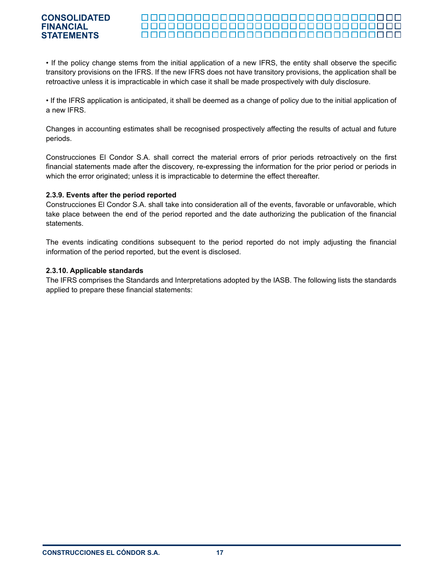#### 000000000000000000000000000000000 000000000000000000000000000000000 000000000000000000000000000000000

• If the policy change stems from the initial application of a new IFRS, the entity shall observe the specific transitory provisions on the IFRS. If the new IFRS does not have transitory provisions, the application shall be retroactive unless it is impracticable in which case it shall be made prospectively with duly disclosure.

• If the IFRS application is anticipated, it shall be deemed as a change of policy due to the initial application of a new IFRS.

Changes in accounting estimates shall be recognised prospectively affecting the results of actual and future periods.

Construcciones El Condor S.A. shall correct the material errors of prior periods retroactively on the first financial statements made after the discovery, re-expressing the information for the prior period or periods in which the error originated; unless it is impracticable to determine the effect thereafter.

#### **2.3.9. Events after the period reported**

Construcciones El Condor S.A. shall take into consideration all of the events, favorable or unfavorable, which take place between the end of the period reported and the date authorizing the publication of the financial statements.

The events indicating conditions subsequent to the period reported do not imply adjusting the financial information of the period reported, but the event is disclosed.

#### **2.3.10. Applicable standards**

The IFRS comprises the Standards and Interpretations adopted by the IASB. The following lists the standards applied to prepare these financial statements: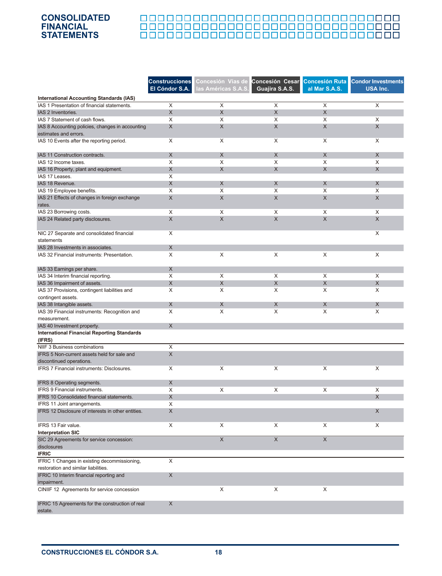# <u> 888888888888888888888888888888</u>

|                                                                                                | <b>Construcciones</b> | Concesión Vías de   | <b>Concesión Cesar</b>    | <b>Concesión Ruta</b> | <b>Condor Investments</b> |
|------------------------------------------------------------------------------------------------|-----------------------|---------------------|---------------------------|-----------------------|---------------------------|
|                                                                                                | El Cóndor S.A.        | las Américas S.A.S. | Guajira S.A.S.            | al Mar S.A.S.         | <b>USA Inc.</b>           |
|                                                                                                |                       |                     |                           |                       |                           |
| <b>International Accounting Standards (IAS)</b><br>IAS 1 Presentation of financial statements. | X                     | X                   | X                         | X                     | X                         |
| IAS 2 Inventories.                                                                             | X                     | X                   | $\boldsymbol{\mathsf{X}}$ | X                     |                           |
| IAS 7 Statement of cash flows.                                                                 | X                     | X                   | X                         | X                     | X                         |
| IAS 8 Accounting policies, changes in accounting                                               | X                     | X                   | $\boldsymbol{\mathsf{X}}$ | $\mathsf X$           | X                         |
| estimates and errors.                                                                          |                       |                     |                           |                       |                           |
| IAS 10 Events after the reporting period.                                                      | X                     | X                   | X                         | X                     | X                         |
|                                                                                                |                       |                     |                           |                       |                           |
| IAS 11 Construction contracts.                                                                 | X                     | X                   | X                         | X                     | X                         |
| IAS 12 Income taxes.                                                                           | X                     | X                   | X                         | X                     | X                         |
| IAS 16 Property, plant and equipment.                                                          | X                     | X                   | X                         | X                     | X                         |
| IAS 17 Leases.                                                                                 | X                     |                     |                           |                       |                           |
| IAS 18 Revenue.                                                                                | X                     | X                   | X                         | X                     | X                         |
| IAS 19 Employee benefits.                                                                      | X                     | X                   | X                         | X                     | X                         |
| IAS 21 Effects of changes in foreign exchange                                                  | X                     | X                   | X                         | X                     | X                         |
| rates.                                                                                         |                       |                     |                           |                       |                           |
| IAS 23 Borrowing costs.                                                                        | X                     | X                   | X                         | X                     | X                         |
| IAS 24 Related party disclosures.                                                              | X                     | $\times$            | $\times$                  | X                     | X                         |
|                                                                                                |                       |                     |                           |                       |                           |
| NIC 27 Separate and consolidated financial                                                     | X                     |                     |                           |                       | X                         |
| statements                                                                                     |                       |                     |                           |                       |                           |
| IAS 28 Investments in associates.                                                              | X                     |                     |                           |                       |                           |
| IAS 32 Financial instruments: Presentation.                                                    | X                     | X                   | X                         | X                     | X                         |
| IAS 33 Earnings per share.                                                                     | X                     |                     |                           |                       |                           |
| IAS 34 Interim financial reporting.                                                            | X                     | X                   | X                         | X                     | X                         |
| IAS 36 Impairment of assets.                                                                   | X                     | $\times$            | $\boldsymbol{\mathsf{X}}$ | $\pmb{\times}$        | X                         |
| IAS 37 Provisions, contingent liabilities and                                                  | X                     | X                   | X                         | X                     | X                         |
| contingent assets.                                                                             |                       |                     |                           |                       |                           |
| IAS 38 Intangible assets.                                                                      | X                     | X                   | X                         | X                     | X                         |
| IAS 39 Financial instruments: Recognition and                                                  | X                     | X                   | X                         | X                     | X                         |
| measurement.                                                                                   |                       |                     |                           |                       |                           |
| IAS 40 Investment property.                                                                    | X                     |                     |                           |                       |                           |
| <b>International Financial Reporting Standards</b>                                             |                       |                     |                           |                       |                           |
| (IFRS)                                                                                         |                       |                     |                           |                       |                           |
| NIIF 3 Business combinations                                                                   | X                     |                     |                           |                       |                           |
| IFRS 5 Non-current assets held for sale and                                                    | $\pmb{\times}$        |                     |                           |                       |                           |
| discontinued operations.                                                                       |                       |                     |                           |                       |                           |
| IFRS 7 Financial instruments: Disclosures.                                                     | X                     | X                   | X                         | X                     | X                         |
|                                                                                                |                       |                     |                           |                       |                           |
| IFRS 8 Operating segments.                                                                     | X                     |                     |                           |                       |                           |
| IFRS 9 Financial instruments.                                                                  | X                     | X                   | X                         | X                     | X                         |
| IFRS 10 Consolidated financial statements.                                                     | X                     |                     |                           |                       | X                         |
| IFRS 11 Joint arrangements.                                                                    | X                     |                     |                           |                       |                           |
| IFRS 12 Disclosure of interests in other entities.                                             | X                     |                     |                           |                       | X                         |
| IFRS 13 Fair value.                                                                            | X                     | X                   | X                         | X                     | X                         |
| <b>Interpretation SIC</b>                                                                      |                       |                     |                           |                       |                           |
| SIC 29 Agreements for service concession:                                                      |                       | $\mathsf X$         | X                         | $\mathsf X$           |                           |
| disclosures                                                                                    |                       |                     |                           |                       |                           |
| <b>IFRIC</b>                                                                                   |                       |                     |                           |                       |                           |
| IFRIC 1 Changes in existing decommissioning,                                                   | X                     |                     |                           |                       |                           |
| restoration and similar liabilities.                                                           |                       |                     |                           |                       |                           |
| IFRIC 10 Interim financial reporting and                                                       | X                     |                     |                           |                       |                           |
| impairment.                                                                                    |                       |                     |                           |                       |                           |
| CINIIF 12 Agreements for service concession                                                    |                       | X                   | X                         | X                     |                           |
|                                                                                                |                       |                     |                           |                       |                           |
| IFRIC 15 Agreements for the construction of real                                               | X                     |                     |                           |                       |                           |
| estate.                                                                                        |                       |                     |                           |                       |                           |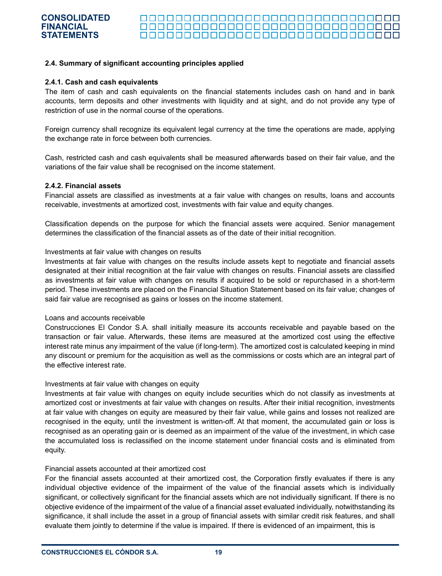#### 000000000000000000000000000000000

#### **2.4. Summary of significant accounting principles applied**

#### **2.4.1. Cash and cash equivalents**

The item of cash and cash equivalents on the financial statements includes cash on hand and in bank accounts, term deposits and other investments with liquidity and at sight, and do not provide any type of restriction of use in the normal course of the operations.

Foreign currency shall recognize its equivalent legal currency at the time the operations are made, applying the exchange rate in force between both currencies.

Cash, restricted cash and cash equivalents shall be measured afterwards based on their fair value, and the variations of the fair value shall be recognised on the income statement.

#### **2.4.2. Financial assets**

Financial assets are classified as investments at a fair value with changes on results, loans and accounts receivable, investments at amortized cost, investments with fair value and equity changes.

Classification depends on the purpose for which the financial assets were acquired. Senior management determines the classification of the financial assets as of the date of their initial recognition.

#### Investments at fair value with changes on results

Investments at fair value with changes on the results include assets kept to negotiate and financial assets designated at their initial recognition at the fair value with changes on results. Financial assets are classified as investments at fair value with changes on results if acquired to be sold or repurchased in a short-term period. These investments are placed on the Financial Situation Statement based on its fair value; changes of said fair value are recognised as gains or losses on the income statement.

#### Loans and accounts receivable

Construcciones El Condor S.A. shall initially measure its accounts receivable and payable based on the transaction or fair value. Afterwards, these items are measured at the amortized cost using the effective interest rate minus any impairment of the value (if long-term). The amortized cost is calculated keeping in mind any discount or premium for the acquisition as well as the commissions or costs which are an integral part of the effective interest rate.

#### Investments at fair value with changes on equity

Investments at fair value with changes on equity include securities which do not classify as investments at amortized cost or investments at fair value with changes on results. After their initial recognition, investments at fair value with changes on equity are measured by their fair value, while gains and losses not realized are recognised in the equity, until the investment is written-off. At that moment, the accumulated gain or loss is recognised as an operating gain or is deemed as an impairment of the value of the investment, in which case the accumulated loss is reclassified on the income statement under financial costs and is eliminated from equity.

#### Financial assets accounted at their amortized cost

For the financial assets accounted at their amortized cost, the Corporation firstly evaluates if there is any individual objective evidence of the impairment of the value of the financial assets which is individually significant, or collectively significant for the financial assets which are not individually significant. If there is no objective evidence of the impairment of the value of a financial asset evaluated individually, notwithstanding its significance, it shall include the asset in a group of financial assets with similar credit risk features, and shall evaluate them jointly to determine if the value is impaired. If there is evidenced of an impairment, this is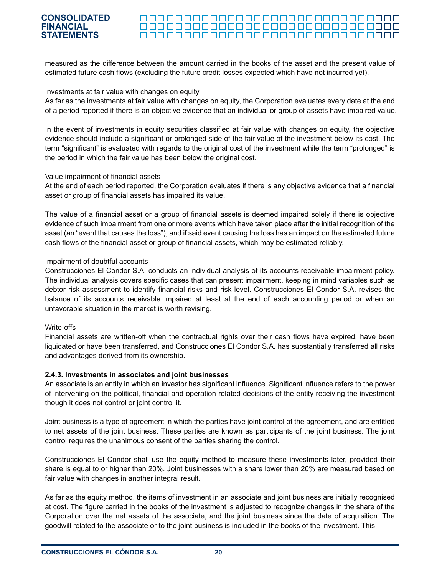#### <u> 000000000000000000000000000000000</u>

measured as the difference between the amount carried in the books of the asset and the present value of estimated future cash flows (excluding the future credit losses expected which have not incurred yet).

#### Investments at fair value with changes on equity

As far as the investments at fair value with changes on equity, the Corporation evaluates every date at the end of a period reported if there is an objective evidence that an individual or group of assets have impaired value.

In the event of investments in equity securities classified at fair value with changes on equity, the objective evidence should include a significant or prolonged side of the fair value of the investment below its cost. The term "significant" is evaluated with regards to the original cost of the investment while the term "prolonged" is the period in which the fair value has been below the original cost.

#### Value impairment of financial assets

At the end of each period reported, the Corporation evaluates if there is any objective evidence that a financial asset or group of financial assets has impaired its value.

The value of a financial asset or a group of financial assets is deemed impaired solely if there is objective evidence of such impairment from one or more events which have taken place after the initial recognition of the asset (an "event that causes the loss"), and if said event causing the loss has an impact on the estimated future cash flows of the financial asset or group of financial assets, which may be estimated reliably.

#### Impairment of doubtful accounts

Construcciones El Condor S.A. conducts an individual analysis of its accounts receivable impairment policy. The individual analysis covers specific cases that can present impairment, keeping in mind variables such as debtor risk assessment to identify financial risks and risk level. Construcciones El Condor S.A. revises the balance of its accounts receivable impaired at least at the end of each accounting period or when an unfavorable situation in the market is worth revising.

#### Write-offs

Financial assets are written-off when the contractual rights over their cash flows have expired, have been liquidated or have been transferred, and Construcciones El Condor S.A. has substantially transferred all risks and advantages derived from its ownership.

#### **2.4.3. Investments in associates and joint businesses**

An associate is an entity in which an investor has significant influence. Significant influence refers to the power of intervening on the political, financial and operation-related decisions of the entity receiving the investment though it does not control or joint control it.

Joint business is a type of agreement in which the parties have joint control of the agreement, and are entitled to net assets of the joint business. These parties are known as participants of the joint business. The joint control requires the unanimous consent of the parties sharing the control.

Construcciones El Condor shall use the equity method to measure these investments later, provided their share is equal to or higher than 20%. Joint businesses with a share lower than 20% are measured based on fair value with changes in another integral result.

As far as the equity method, the items of investment in an associate and joint business are initially recognised at cost. The figure carried in the books of the investment is adjusted to recognize changes in the share of the Corporation over the net assets of the associate, and the joint business since the date of acquisition. The goodwill related to the associate or to the joint business is included in the books of the investment. This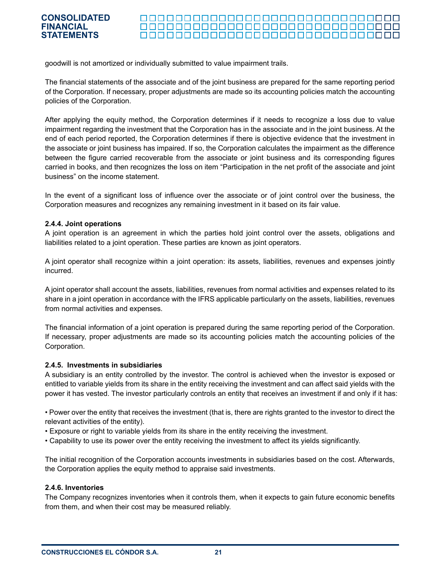#### 000000000000000000000000000000000 <u> 000000000000000000000000000000000</u>

goodwill is not amortized or individually submitted to value impairment trails.

The financial statements of the associate and of the joint business are prepared for the same reporting period of the Corporation. If necessary, proper adjustments are made so its accounting policies match the accounting policies of the Corporation.

After applying the equity method, the Corporation determines if it needs to recognize a loss due to value impairment regarding the investment that the Corporation has in the associate and in the joint business. At the end of each period reported, the Corporation determines if there is objective evidence that the investment in the associate or joint business has impaired. If so, the Corporation calculates the impairment as the difference between the figure carried recoverable from the associate or joint business and its corresponding figures carried in books, and then recognizes the loss on item "Participation in the net profit of the associate and joint business" on the income statement.

In the event of a significant loss of influence over the associate or of joint control over the business, the Corporation measures and recognizes any remaining investment in it based on its fair value.

#### **2.4.4. Joint operations**

A joint operation is an agreement in which the parties hold joint control over the assets, obligations and liabilities related to a joint operation. These parties are known as joint operators.

A joint operator shall recognize within a joint operation: its assets, liabilities, revenues and expenses jointly incurred.

A joint operator shall account the assets, liabilities, revenues from normal activities and expenses related to its share in a joint operation in accordance with the IFRS applicable particularly on the assets, liabilities, revenues from normal activities and expenses.

The financial information of a joint operation is prepared during the same reporting period of the Corporation. If necessary, proper adjustments are made so its accounting policies match the accounting policies of the Corporation.

#### **2.4.5. Investments in subsidiaries**

A subsidiary is an entity controlled by the investor. The control is achieved when the investor is exposed or entitled to variable yields from its share in the entity receiving the investment and can affect said yields with the power it has vested. The investor particularly controls an entity that receives an investment if and only if it has:

• Power over the entity that receives the investment (that is, there are rights granted to the investor to direct the relevant activities of the entity).

- Exposure or right to variable yields from its share in the entity receiving the investment.
- Capability to use its power over the entity receiving the investment to affect its yields significantly.

The initial recognition of the Corporation accounts investments in subsidiaries based on the cost. Afterwards, the Corporation applies the equity method to appraise said investments.

#### **2.4.6. Inventories**

The Company recognizes inventories when it controls them, when it expects to gain future economic benefits from them, and when their cost may be measured reliably.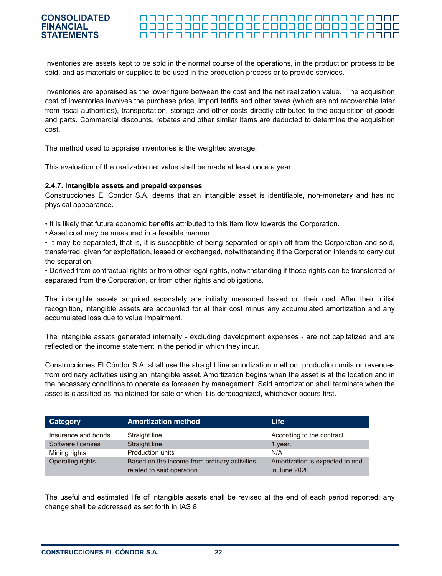#### 000000000000000000000000000000000 <u> 000000000000000000000000000000000</u>

Inventories are assets kept to be sold in the normal course of the operations, in the production process to be sold, and as materials or supplies to be used in the production process or to provide services.

Inventories are appraised as the lower figure between the cost and the net realization value. The acquisition cost of inventories involves the purchase price, import tariffs and other taxes (which are not recoverable later from fiscal authorities), transportation, storage and other costs directly attributed to the acquisition of goods and parts. Commercial discounts, rebates and other similar items are deducted to determine the acquisition cost.

The method used to appraise inventories is the weighted average.

This evaluation of the realizable net value shall be made at least once a year.

#### **2.4.7. Intangible assets and prepaid expenses**

Construcciones El Condor S.A. deems that an intangible asset is identifiable, non-monetary and has no physical appearance.

- It is likely that future economic benefits attributed to this item flow towards the Corporation.
- Asset cost may be measured in a feasible manner.

• It may be separated, that is, it is susceptible of being separated or spin-off from the Corporation and sold, transferred, given for exploitation, leased or exchanged, notwithstanding if the Corporation intends to carry out the separation.

• Derived from contractual rights or from other legal rights, notwithstanding if those rights can be transferred or separated from the Corporation, or from other rights and obligations.

The intangible assets acquired separately are initially measured based on their cost. After their initial recognition, intangible assets are accounted for at their cost minus any accumulated amortization and any accumulated loss due to value impairment.

The intangible assets generated internally - excluding development expenses - are not capitalized and are reflected on the income statement in the period in which they incur.

Construcciones El Cóndor S.A. shall use the straight line amortization method, production units or revenues from ordinary activities using an intangible asset. Amortization begins when the asset is at the location and in the necessary conditions to operate as foreseen by management. Said amortization shall terminate when the asset is classified as maintained for sale or when it is derecognized, whichever occurs first.

| Category            | <b>Amortization method</b>                                                | Life                                            |
|---------------------|---------------------------------------------------------------------------|-------------------------------------------------|
| Insurance and bonds | Straight line                                                             | According to the contract                       |
| Software licenses   | Straight line                                                             | 1 year.                                         |
| Mining rights       | Production units                                                          | N/A                                             |
| Operating rights    | Based on the income from ordinary activities<br>related to said operation | Amortization is expected to end<br>in June 2020 |

The useful and estimated life of intangible assets shall be revised at the end of each period reported; any change shall be addressed as set forth in IAS 8.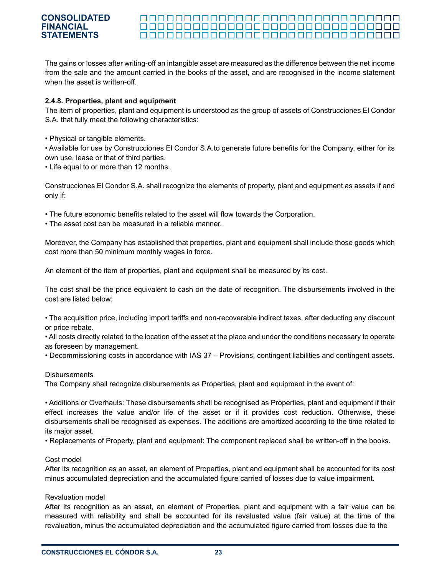#### **CONSOLIDATED FINANCIAL** 000000000000000000000000000000000 **STATEMENTS**

The gains or losses after writing-off an intangible asset are measured as the difference between the net income from the sale and the amount carried in the books of the asset, and are recognised in the income statement when the asset is written-off.

#### **2.4.8. Properties, plant and equipment**

The item of properties, plant and equipment is understood as the group of assets of Construcciones El Condor S.A. that fully meet the following characteristics:

• Physical or tangible elements.

• Available for use by Construcciones El Condor S.A.to generate future benefits for the Company, either for its own use, lease or that of third parties.

• Life equal to or more than 12 months.

Construcciones El Condor S.A. shall recognize the elements of property, plant and equipment as assets if and only if:

- The future economic benefits related to the asset will flow towards the Corporation.
- The asset cost can be measured in a reliable manner.

Moreover, the Company has established that properties, plant and equipment shall include those goods which cost more than 50 minimum monthly wages in force.

An element of the item of properties, plant and equipment shall be measured by its cost.

The cost shall be the price equivalent to cash on the date of recognition. The disbursements involved in the cost are listed below:

• The acquisition price, including import tariffs and non-recoverable indirect taxes, after deducting any discount or price rebate.

• All costs directly related to the location of the asset at the place and under the conditions necessary to operate as foreseen by management.

• Decommissioning costs in accordance with IAS 37 – Provisions, contingent liabilities and contingent assets.

#### **Disbursements**

The Company shall recognize disbursements as Properties, plant and equipment in the event of:

• Additions or Overhauls: These disbursements shall be recognised as Properties, plant and equipment if their effect increases the value and/or life of the asset or if it provides cost reduction. Otherwise, these disbursements shall be recognised as expenses. The additions are amortized according to the time related to its major asset.

• Replacements of Property, plant and equipment: The component replaced shall be written-off in the books.

#### Cost model

After its recognition as an asset, an element of Properties, plant and equipment shall be accounted for its cost minus accumulated depreciation and the accumulated figure carried of losses due to value impairment.

#### Revaluation model

After its recognition as an asset, an element of Properties, plant and equipment with a fair value can be measured with reliability and shall be accounted for its revaluated value (fair value) at the time of the revaluation, minus the accumulated depreciation and the accumulated figure carried from losses due to the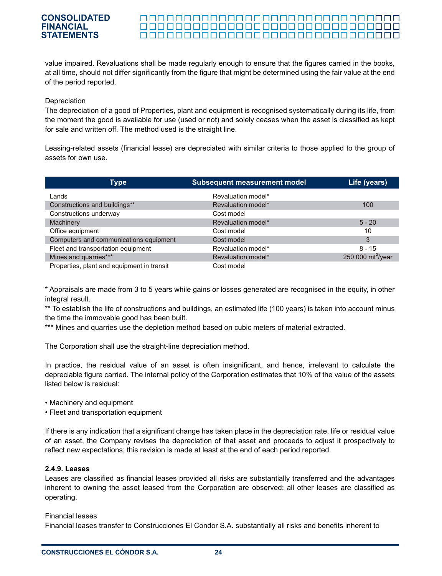#### 000000000000000000000000000000000 <u> 00000000000000000000000000000</u> 000000000000000000000000000000000

value impaired. Revaluations shall be made regularly enough to ensure that the figures carried in the books, at all time, should not differ significantly from the figure that might be determined using the fair value at the end of the period reported.

#### **Depreciation**

The depreciation of a good of Properties, plant and equipment is recognised systematically during its life, from the moment the good is available for use (used or not) and solely ceases when the asset is classified as kept for sale and written off. The method used is the straight line.

Leasing-related assets (financial lease) are depreciated with similar criteria to those applied to the group of assets for own use.

| Type                                       | <b>Subsequent measurement model</b> | Life (years)         |
|--------------------------------------------|-------------------------------------|----------------------|
| Lands                                      | Revaluation model*                  |                      |
| Constructions and buildings**              | Revaluation model*                  | 100                  |
| Constructions underway                     | Cost model                          |                      |
| Machinery                                  | Revaluation model*                  | $5 - 20$             |
| Office equipment                           | Cost model                          | 10                   |
| Computers and communications equipment     | Cost model                          | 3                    |
| Fleet and transportation equipment         | Revaluation model*                  | $8 - 15$             |
| Mines and quarries***                      | Revaluation model*                  | 250.000 $mt^3$ /year |
| Properties, plant and equipment in transit | Cost model                          |                      |

\* Appraisals are made from 3 to 5 years while gains or losses generated are recognised in the equity, in other integral result.

\*\* To establish the life of constructions and buildings, an estimated life (100 years) is taken into account minus the time the immovable good has been built.

\*\*\* Mines and quarries use the depletion method based on cubic meters of material extracted.

The Corporation shall use the straight-line depreciation method.

In practice, the residual value of an asset is often insignificant, and hence, irrelevant to calculate the depreciable figure carried. The internal policy of the Corporation estimates that 10% of the value of the assets listed below is residual:

• Machinery and equipment

• Fleet and transportation equipment

If there is any indication that a significant change has taken place in the depreciation rate, life or residual value of an asset, the Company revises the depreciation of that asset and proceeds to adjust it prospectively to reflect new expectations; this revision is made at least at the end of each period reported.

#### **2.4.9. Leases**

Leases are classified as financial leases provided all risks are substantially transferred and the advantages inherent to owning the asset leased from the Corporation are observed; all other leases are classified as operating.

#### Financial leases

Financial leases transfer to Construcciones El Condor S.A. substantially all risks and benefits inherent to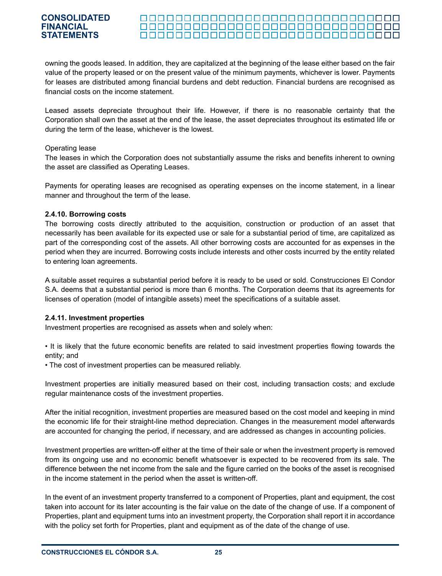#### 000000000000000000000000000000000

owning the goods leased. In addition, they are capitalized at the beginning of the lease either based on the fair value of the property leased or on the present value of the minimum payments, whichever is lower. Payments for leases are distributed among financial burdens and debt reduction. Financial burdens are recognised as financial costs on the income statement.

Leased assets depreciate throughout their life. However, if there is no reasonable certainty that the Corporation shall own the asset at the end of the lease, the asset depreciates throughout its estimated life or during the term of the lease, whichever is the lowest.

#### Operating lease

The leases in which the Corporation does not substantially assume the risks and benefits inherent to owning the asset are classified as Operating Leases.

Payments for operating leases are recognised as operating expenses on the income statement, in a linear manner and throughout the term of the lease.

#### **2.4.10. Borrowing costs**

The borrowing costs directly attributed to the acquisition, construction or production of an asset that necessarily has been available for its expected use or sale for a substantial period of time, are capitalized as part of the corresponding cost of the assets. All other borrowing costs are accounted for as expenses in the period when they are incurred. Borrowing costs include interests and other costs incurred by the entity related to entering loan agreements.

A suitable asset requires a substantial period before it is ready to be used or sold. Construcciones El Condor S.A. deems that a substantial period is more than 6 months. The Corporation deems that its agreements for licenses of operation (model of intangible assets) meet the specifications of a suitable asset.

#### **2.4.11. Investment properties**

Investment properties are recognised as assets when and solely when:

• It is likely that the future economic benefits are related to said investment properties flowing towards the entity; and

• The cost of investment properties can be measured reliably.

Investment properties are initially measured based on their cost, including transaction costs; and exclude regular maintenance costs of the investment properties.

After the initial recognition, investment properties are measured based on the cost model and keeping in mind the economic life for their straight-line method depreciation. Changes in the measurement model afterwards are accounted for changing the period, if necessary, and are addressed as changes in accounting policies.

Investment properties are written-off either at the time of their sale or when the investment property is removed from its ongoing use and no economic benefit whatsoever is expected to be recovered from its sale. The difference between the net income from the sale and the figure carried on the books of the asset is recognised in the income statement in the period when the asset is written-off.

In the event of an investment property transferred to a component of Properties, plant and equipment, the cost taken into account for its later accounting is the fair value on the date of the change of use. If a component of Properties, plant and equipment turns into an investment property, the Corporation shall report it in accordance with the policy set forth for Properties, plant and equipment as of the date of the change of use.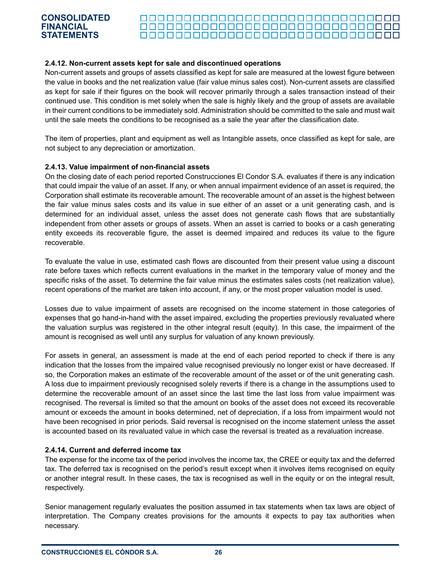#### 

#### **2.4.12. Non-current assets kept for sale and discontinued operations**

Non-current assets and groups of assets classified as kept for sale are measured at the lowest figure between the value in books and the net realization value (fair value minus sales cost). Non-current assets are classified as kept for sale if their figures on the book will recover primarily through a sales transaction instead of their continued use. This condition is met solely when the sale is highly likely and the group of assets are available in their current conditions to be immediately sold. Administration should be committed to the sale and must wait until the sale meets the conditions to be recognised as a sale the year after the classification date.

The item of properties, plant and equipment as well as Intangible assets, once classified as kept for sale, are not subject to any depreciation or amortization.

#### **2.4.13. Value impairment of non-financial assets**

On the closing date of each period reported Construcciones El Condor S.A. evaluates if there is any indication that could impair the value of an asset. If any, or when annual impairment evidence of an asset is required, the Corporation shall estimate its recoverable amount. The recoverable amount of an asset is the highest between the fair value minus sales costs and its value in sue either of an asset or a unit generating cash, and is determined for an individual asset, unless the asset does not generate cash flows that are substantially independent from other assets or groups of assets. When an asset is carried to books or a cash generating entity exceeds its recoverable figure, the asset is deemed impaired and reduces its value to the figure recoverable.

To evaluate the value in use, estimated cash flows are discounted from their present value using a discount rate before taxes which reflects current evaluations in the market in the temporary value of money and the specific risks of the asset. To determine the fair value minus the estimates sales costs (net realization value), recent operations of the market are taken into account, if any, or the most proper valuation model is used.

Losses due to value impairment of assets are recognised on the income statement in those categories of expenses that go hand-in-hand with the asset impaired, excluding the properties previously revaluated where the valuation surplus was registered in the other integral result (equity). In this case, the impairment of the amount is recognised as well until any surplus for valuation of any known previously.

For assets in general, an assessment is made at the end of each period reported to check if there is any indication that the losses from the impaired value recognised previously no longer exist or have decreased. If so, the Corporation makes an estimate of the recoverable amount of the asset or of the unit generating cash. A loss due to impairment previously recognised solely reverts if there is a change in the assumptions used to determine the recoverable amount of an asset since the last time the last loss from value impairment was recognised. The reversal is limited so that the amount on books of the asset does not exceed its recoverable amount or exceeds the amount in books determined, net of depreciation, if a loss from impairment would not have been recognised in prior periods. Said reversal is recognised on the income statement unless the asset is accounted based on its revaluated value in which case the reversal is treated as a revaluation increase.

#### **2.4.14. Current and deferred income tax**

The expense for the income tax of the period involves the income tax, the CREE or equity tax and the deferred tax. The deferred tax is recognised on the period's result except when it involves items recognised on equity or another integral result. In these cases, the tax is recognised as well in the equity or on the integral result, respectively.

Senior management regularly evaluates the position assumed in tax statements when tax laws are object of interpretation. The Company creates provisions for the amounts it expects to pay tax authorities when necessary.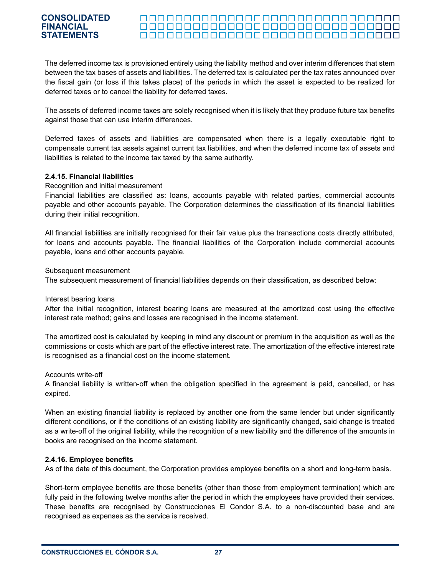#### 000000000000000000000000000000000 <u> 00000000000000000000000000000</u> 000000000000000000000000000000000

The deferred income tax is provisioned entirely using the liability method and over interim differences that stem between the tax bases of assets and liabilities. The deferred tax is calculated per the tax rates announced over the fiscal gain (or loss if this takes place) of the periods in which the asset is expected to be realized for deferred taxes or to cancel the liability for deferred taxes.

The assets of deferred income taxes are solely recognised when it is likely that they produce future tax benefits against those that can use interim differences.

Deferred taxes of assets and liabilities are compensated when there is a legally executable right to compensate current tax assets against current tax liabilities, and when the deferred income tax of assets and liabilities is related to the income tax taxed by the same authority.

#### **2.4.15. Financial liabilities**

#### Recognition and initial measurement

Financial liabilities are classified as: loans, accounts payable with related parties, commercial accounts payable and other accounts payable. The Corporation determines the classification of its financial liabilities during their initial recognition.

All financial liabilities are initially recognised for their fair value plus the transactions costs directly attributed, for loans and accounts payable. The financial liabilities of the Corporation include commercial accounts payable, loans and other accounts payable.

Subsequent measurement

The subsequent measurement of financial liabilities depends on their classification, as described below:

Interest bearing loans

After the initial recognition, interest bearing loans are measured at the amortized cost using the effective interest rate method; gains and losses are recognised in the income statement.

The amortized cost is calculated by keeping in mind any discount or premium in the acquisition as well as the commissions or costs which are part of the effective interest rate. The amortization of the effective interest rate is recognised as a financial cost on the income statement.

Accounts write-off

A financial liability is written-off when the obligation specified in the agreement is paid, cancelled, or has expired.

When an existing financial liability is replaced by another one from the same lender but under significantly different conditions, or if the conditions of an existing liability are significantly changed, said change is treated as a write-off of the original liability, while the recognition of a new liability and the difference of the amounts in books are recognised on the income statement.

#### **2.4.16. Employee benefits**

As of the date of this document, the Corporation provides employee benefits on a short and long-term basis.

Short-term employee benefits are those benefits (other than those from employment termination) which are fully paid in the following twelve months after the period in which the employees have provided their services. These benefits are recognised by Construcciones El Condor S.A. to a non-discounted base and are recognised as expenses as the service is received.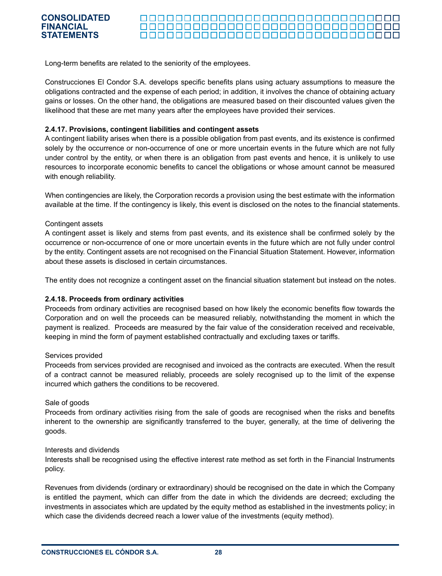#### 000000000000000000000000000000000 <u> 00000000000000000000000000000</u> <u> 000000000000000000000000000000000</u>

Long-term benefits are related to the seniority of the employees.

Construcciones El Condor S.A. develops specific benefits plans using actuary assumptions to measure the obligations contracted and the expense of each period; in addition, it involves the chance of obtaining actuary gains or losses. On the other hand, the obligations are measured based on their discounted values given the likelihood that these are met many years after the employees have provided their services.

#### **2.4.17. Provisions, contingent liabilities and contingent assets**

A contingent liability arises when there is a possible obligation from past events, and its existence is confirmed solely by the occurrence or non-occurrence of one or more uncertain events in the future which are not fully under control by the entity, or when there is an obligation from past events and hence, it is unlikely to use resources to incorporate economic benefits to cancel the obligations or whose amount cannot be measured with enough reliability.

When contingencies are likely, the Corporation records a provision using the best estimate with the information available at the time. If the contingency is likely, this event is disclosed on the notes to the financial statements.

#### Contingent assets

A contingent asset is likely and stems from past events, and its existence shall be confirmed solely by the occurrence or non-occurrence of one or more uncertain events in the future which are not fully under control by the entity. Contingent assets are not recognised on the Financial Situation Statement. However, information about these assets is disclosed in certain circumstances.

The entity does not recognize a contingent asset on the financial situation statement but instead on the notes.

#### **2.4.18. Proceeds from ordinary activities**

Proceeds from ordinary activities are recognised based on how likely the economic benefits flow towards the Corporation and on well the proceeds can be measured reliably, notwithstanding the moment in which the payment is realized. Proceeds are measured by the fair value of the consideration received and receivable, keeping in mind the form of payment established contractually and excluding taxes or tariffs.

#### Services provided

Proceeds from services provided are recognised and invoiced as the contracts are executed. When the result of a contract cannot be measured reliably, proceeds are solely recognised up to the limit of the expense incurred which gathers the conditions to be recovered.

#### Sale of goods

Proceeds from ordinary activities rising from the sale of goods are recognised when the risks and benefits inherent to the ownership are significantly transferred to the buyer, generally, at the time of delivering the goods.

#### Interests and dividends

Interests shall be recognised using the effective interest rate method as set forth in the Financial Instruments policy.

Revenues from dividends (ordinary or extraordinary) should be recognised on the date in which the Company is entitled the payment, which can differ from the date in which the dividends are decreed; excluding the investments in associates which are updated by the equity method as established in the investments policy; in which case the dividends decreed reach a lower value of the investments (equity method).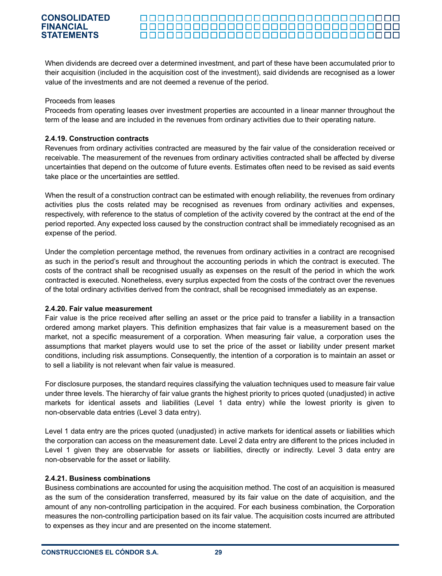#### 

When dividends are decreed over a determined investment, and part of these have been accumulated prior to their acquisition (included in the acquisition cost of the investment), said dividends are recognised as a lower value of the investments and are not deemed a revenue of the period.

#### Proceeds from leases

Proceeds from operating leases over investment properties are accounted in a linear manner throughout the term of the lease and are included in the revenues from ordinary activities due to their operating nature.

#### **2.4.19. Construction contracts**

Revenues from ordinary activities contracted are measured by the fair value of the consideration received or receivable. The measurement of the revenues from ordinary activities contracted shall be affected by diverse uncertainties that depend on the outcome of future events. Estimates often need to be revised as said events take place or the uncertainties are settled.

When the result of a construction contract can be estimated with enough reliability, the revenues from ordinary activities plus the costs related may be recognised as revenues from ordinary activities and expenses, respectively, with reference to the status of completion of the activity covered by the contract at the end of the period reported. Any expected loss caused by the construction contract shall be immediately recognised as an expense of the period.

Under the completion percentage method, the revenues from ordinary activities in a contract are recognised as such in the period's result and throughout the accounting periods in which the contract is executed. The costs of the contract shall be recognised usually as expenses on the result of the period in which the work contracted is executed. Nonetheless, every surplus expected from the costs of the contract over the revenues of the total ordinary activities derived from the contract, shall be recognised immediately as an expense.

#### **2.4.20. Fair value measurement**

Fair value is the price received after selling an asset or the price paid to transfer a liability in a transaction ordered among market players. This definition emphasizes that fair value is a measurement based on the market, not a specific measurement of a corporation. When measuring fair value, a corporation uses the assumptions that market players would use to set the price of the asset or liability under present market conditions, including risk assumptions. Consequently, the intention of a corporation is to maintain an asset or to sell a liability is not relevant when fair value is measured.

For disclosure purposes, the standard requires classifying the valuation techniques used to measure fair value under three levels. The hierarchy of fair value grants the highest priority to prices quoted (unadjusted) in active markets for identical assets and liabilities (Level 1 data entry) while the lowest priority is given to non-observable data entries (Level 3 data entry).

Level 1 data entry are the prices quoted (unadjusted) in active markets for identical assets or liabilities which the corporation can access on the measurement date. Level 2 data entry are different to the prices included in Level 1 given they are observable for assets or liabilities, directly or indirectly. Level 3 data entry are non-observable for the asset or liability.

#### **2.4.21. Business combinations**

Business combinations are accounted for using the acquisition method. The cost of an acquisition is measured as the sum of the consideration transferred, measured by its fair value on the date of acquisition, and the amount of any non-controlling participation in the acquired. For each business combination, the Corporation measures the non-controlling participation based on its fair value. The acquisition costs incurred are attributed to expenses as they incur and are presented on the income statement.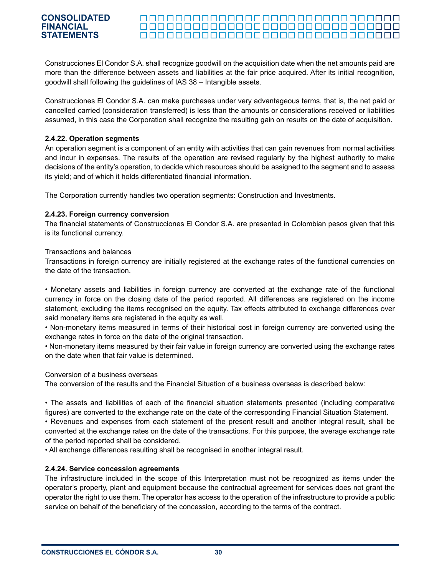#### 000000000000000000000000000000000 <u> 00000000000000000000000000000</u>

Construcciones El Condor S.A. shall recognize goodwill on the acquisition date when the net amounts paid are more than the difference between assets and liabilities at the fair price acquired. After its initial recognition, goodwill shall following the guidelines of IAS 38 – Intangible assets.

Construcciones El Condor S.A. can make purchases under very advantageous terms, that is, the net paid or cancelled carried (consideration transferred) is less than the amounts or considerations received or liabilities assumed, in this case the Corporation shall recognize the resulting gain on results on the date of acquisition.

#### **2.4.22. Operation segments**

An operation segment is a component of an entity with activities that can gain revenues from normal activities and incur in expenses. The results of the operation are revised regularly by the highest authority to make decisions of the entity's operation, to decide which resources should be assigned to the segment and to assess its yield; and of which it holds differentiated financial information.

The Corporation currently handles two operation segments: Construction and Investments.

#### **2.4.23. Foreign currency conversion**

The financial statements of Construcciones El Condor S.A. are presented in Colombian pesos given that this is its functional currency.

#### Transactions and balances

Transactions in foreign currency are initially registered at the exchange rates of the functional currencies on the date of the transaction.

• Monetary assets and liabilities in foreign currency are converted at the exchange rate of the functional currency in force on the closing date of the period reported. All differences are registered on the income statement, excluding the items recognised on the equity. Tax effects attributed to exchange differences over said monetary items are registered in the equity as well.

• Non-monetary items measured in terms of their historical cost in foreign currency are converted using the exchange rates in force on the date of the original transaction.

• Non-monetary items measured by their fair value in foreign currency are converted using the exchange rates on the date when that fair value is determined.

#### Conversion of a business overseas

The conversion of the results and the Financial Situation of a business overseas is described below:

• The assets and liabilities of each of the financial situation statements presented (including comparative figures) are converted to the exchange rate on the date of the corresponding Financial Situation Statement.

• Revenues and expenses from each statement of the present result and another integral result, shall be converted at the exchange rates on the date of the transactions. For this purpose, the average exchange rate of the period reported shall be considered.

• All exchange differences resulting shall be recognised in another integral result.

#### **2.4.24. Service concession agreements**

The infrastructure included in the scope of this Interpretation must not be recognized as items under the operator's property, plant and equipment because the contractual agreement for services does not grant the operator the right to use them. The operator has access to the operation of the infrastructure to provide a public service on behalf of the beneficiary of the concession, according to the terms of the contract.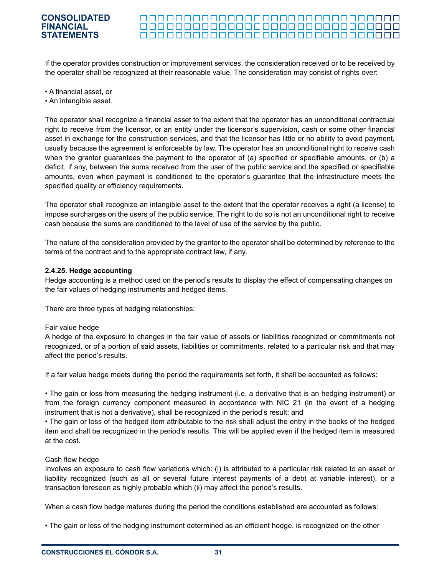#### 000000000000000000000000000000000 <u> 00000000000000000000000000000</u> <u> 000000000000000000000000000000000</u>

If the operator provides construction or improvement services, the consideration received or to be received by the operator shall be recognized at their reasonable value. The consideration may consist of rights over:

- A financial asset, or
- An intangible asset.

The operator shall recognize a financial asset to the extent that the operator has an unconditional contractual right to receive from the licensor, or an entity under the licensor's supervision, cash or some other financial asset in exchange for the construction services, and that the licensor has little or no ability to avoid payment, usually because the agreement is enforceable by law. The operator has an unconditional right to receive cash when the grantor guarantees the payment to the operator of (a) specified or specifiable amounts, or (b) a deficit, if any, between the sums received from the user of the public service and the specified or specifiable amounts, even when payment is conditioned to the operator's guarantee that the infrastructure meets the specified quality or efficiency requirements.

The operator shall recognize an intangible asset to the extent that the operator receives a right (a license) to impose surcharges on the users of the public service. The right to do so is not an unconditional right to receive cash because the sums are conditioned to the level of use of the service by the public.

The nature of the consideration provided by the grantor to the operator shall be determined by reference to the terms of the contract and to the appropriate contract law, if any.

#### **2.4.25. Hedge accounting**

Hedge accounting is a method used on the period's results to display the effect of compensating changes on the fair values of hedging instruments and hedged items.

There are three types of hedging relationships:

#### Fair value hedge

A hedge of the exposure to changes in the fair value of assets or liabilities recognized or commitments not recognized, or of a portion of said assets, liabilities or commitments, related to a particular risk and that may affect the period's results.

If a fair value hedge meets during the period the requirements set forth, it shall be accounted as follows:

• The gain or loss from measuring the hedging instrument (i.e. a derivative that is an hedging instrument) or from the foreign currency component measured in accordance with NIC 21 (in the event of a hedging instrument that is not a derivative), shall be recognized in the period's result; and

• The gain or loss of the hedged item attributable to the risk shall adjust the entry in the books of the hedged item and shall be recognized in the period's results. This will be applied even if the hedged item is measured at the cost.

#### Cash flow hedge

Involves an exposure to cash flow variations which: (i) is attributed to a particular risk related to an asset or liability recognized (such as all or several future interest payments of a debt at variable interest), or a transaction foreseen as highly probable which (ii) may affect the period's results.

When a cash flow hedge matures during the period the conditions established are accounted as follows:

• The gain or loss of the hedging instrument determined as an efficient hedge, is recognized on the other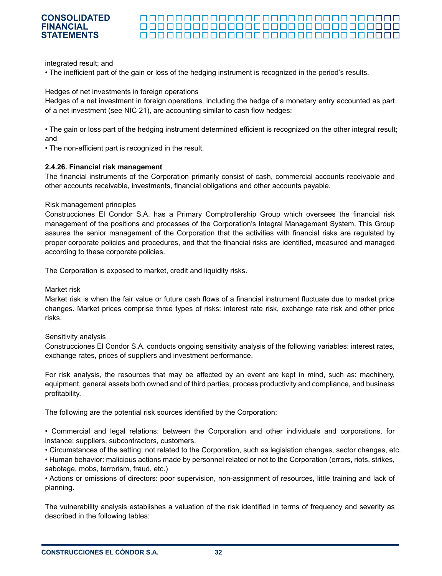#### 000000000000000000000000000000000 <u> 00000000000000000000000000000</u> 000000000000000000000000000000000

integrated result; and

• The inefficient part of the gain or loss of the hedging instrument is recognized in the period's results.

Hedges of net investments in foreign operations

Hedges of a net investment in foreign operations, including the hedge of a monetary entry accounted as part of a net investment (see NIC 21), are accounting similar to cash flow hedges:

• The gain or loss part of the hedging instrument determined efficient is recognized on the other integral result; and

• The non-efficient part is recognized in the result.

#### **2.4.26. Financial risk management**

The financial instruments of the Corporation primarily consist of cash, commercial accounts receivable and other accounts receivable, investments, financial obligations and other accounts payable.

#### Risk management principles

Construcciones El Condor S.A. has a Primary Comptrollership Group which oversees the financial risk management of the positions and processes of the Corporation's Integral Management System. This Group assures the senior management of the Corporation that the activities with financial risks are regulated by proper corporate policies and procedures, and that the financial risks are identified, measured and managed according to these corporate policies.

The Corporation is exposed to market, credit and liquidity risks.

Market risk

Market risk is when the fair value or future cash flows of a financial instrument fluctuate due to market price changes. Market prices comprise three types of risks: interest rate risk, exchange rate risk and other price risks.

Sensitivity analysis

Construcciones El Condor S.A. conducts ongoing sensitivity analysis of the following variables: interest rates, exchange rates, prices of suppliers and investment performance.

For risk analysis, the resources that may be affected by an event are kept in mind, such as: machinery, equipment, general assets both owned and of third parties, process productivity and compliance, and business profitability.

The following are the potential risk sources identified by the Corporation:

• Commercial and legal relations: between the Corporation and other individuals and corporations, for instance: suppliers, subcontractors, customers.

• Circumstances of the setting: not related to the Corporation, such as legislation changes, sector changes, etc.

• Human behavior: malicious actions made by personnel related or not to the Corporation (errors, riots, strikes, sabotage, mobs, terrorism, fraud, etc.)

• Actions or omissions of directors: poor supervision, non-assignment of resources, little training and lack of planning.

The vulnerability analysis establishes a valuation of the risk identified in terms of frequency and severity as described in the following tables: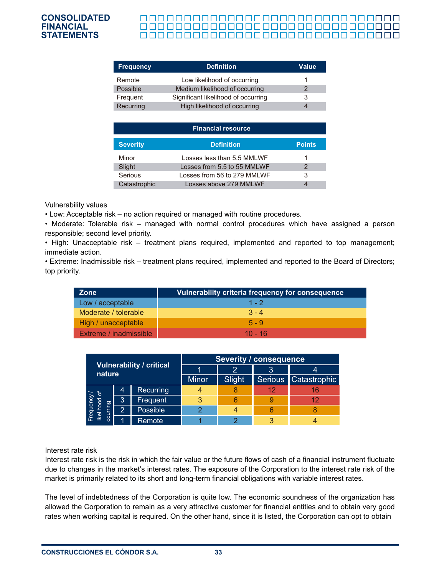### 0000000000000000000000000000000000 0000000000000000000000000000000000

| <b>Frequency</b> | <b>Definition</b>                   | <b>Value</b> |
|------------------|-------------------------------------|--------------|
| Remote           | Low likelihood of occurring         |              |
| Possible         | Medium likelihood of occurring      |              |
| Frequent         | Significant likelihood of occurring | 3            |
| Recurring        | High likelihood of occurring        | 4            |

| <b>Financial resource</b> |                             |               |  |  |  |  |
|---------------------------|-----------------------------|---------------|--|--|--|--|
| <b>Severity</b>           | <b>Definition</b>           | <b>Points</b> |  |  |  |  |
| Minor                     | Losses less than 5.5 MMLWF  | 1             |  |  |  |  |
| Slight                    | Losses from 5.5 to 55 MMLWF | 2             |  |  |  |  |
| Serious                   | Losses from 56 to 279 MMLWF | 3             |  |  |  |  |
| Catastrophic              | Losses above 279 MMLWF      |               |  |  |  |  |

Vulnerability values

• Low: Acceptable risk – no action required or managed with routine procedures.

• Moderate: Tolerable risk – managed with normal control procedures which have assigned a person responsible; second level priority.

• High: Unacceptable risk – treatment plans required, implemented and reported to top management; immediate action.

• Extreme: Inadmissible risk – treatment plans required, implemented and reported to the Board of Directors; top priority.

| <b>Zone</b>            | Vulnerability criteria frequency for consequence |
|------------------------|--------------------------------------------------|
| Low / acceptable       | $1 - 2$                                          |
| Moderate / tolerable   | $3 - 4$                                          |
| High / unacceptable    | $5 - 9$                                          |
| Extreme / inadmissible | $10 - 16$                                        |

| <b>Vulnerability / critical</b><br>nature       |   | <b>Severity / consequence</b> |        |    |                        |    |  |
|-------------------------------------------------|---|-------------------------------|--------|----|------------------------|----|--|
|                                                 |   |                               |        | 'З |                        |    |  |
|                                                 |   | <b>Minor</b>                  | Slight |    | Serious   Catastrophic |    |  |
|                                                 | 4 | Recurring                     |        |    | 12                     | 16 |  |
|                                                 | 3 | Frequent                      |        |    |                        | 12 |  |
| Frequency <i>l</i><br>likelihood of<br>ocurring | 2 | Possible                      | ⌒      |    |                        |    |  |
|                                                 |   | Remote                        |        |    |                        |    |  |

#### Interest rate risk

Interest rate risk is the risk in which the fair value or the future flows of cash of a financial instrument fluctuate due to changes in the market's interest rates. The exposure of the Corporation to the interest rate risk of the market is primarily related to its short and long-term financial obligations with variable interest rates.

The level of indebtedness of the Corporation is quite low. The economic soundness of the organization has allowed the Corporation to remain as a very attractive customer for financial entities and to obtain very good rates when working capital is required. On the other hand, since it is listed, the Corporation can opt to obtain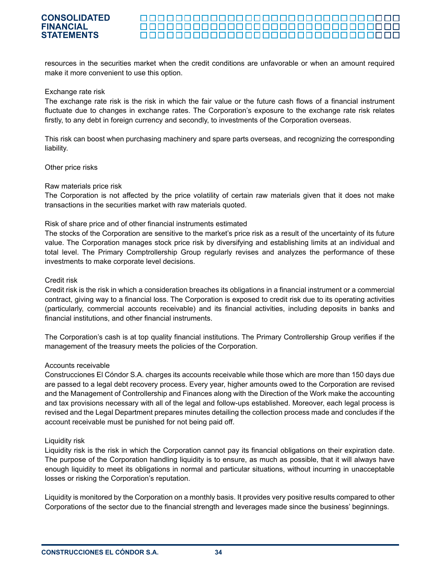#### <u> 0000000000000000000000000000000000</u> <u> 00000000000000000000000000000</u> <u> 000000000000000000000000000000000</u>

resources in the securities market when the credit conditions are unfavorable or when an amount required make it more convenient to use this option.

#### Exchange rate risk

The exchange rate risk is the risk in which the fair value or the future cash flows of a financial instrument fluctuate due to changes in exchange rates. The Corporation's exposure to the exchange rate risk relates firstly, to any debt in foreign currency and secondly, to investments of the Corporation overseas.

This risk can boost when purchasing machinery and spare parts overseas, and recognizing the corresponding liability.

#### Other price risks

#### Raw materials price risk

The Corporation is not affected by the price volatility of certain raw materials given that it does not make transactions in the securities market with raw materials quoted.

#### Risk of share price and of other financial instruments estimated

The stocks of the Corporation are sensitive to the market's price risk as a result of the uncertainty of its future value. The Corporation manages stock price risk by diversifying and establishing limits at an individual and total level. The Primary Comptrollership Group regularly revises and analyzes the performance of these investments to make corporate level decisions.

#### Credit risk

Credit risk is the risk in which a consideration breaches its obligations in a financial instrument or a commercial contract, giving way to a financial loss. The Corporation is exposed to credit risk due to its operating activities (particularly, commercial accounts receivable) and its financial activities, including deposits in banks and financial institutions, and other financial instruments.

The Corporation's cash is at top quality financial institutions. The Primary Controllership Group verifies if the management of the treasury meets the policies of the Corporation.

#### Accounts receivable

Construcciones El Cóndor S.A. charges its accounts receivable while those which are more than 150 days due are passed to a legal debt recovery process. Every year, higher amounts owed to the Corporation are revised and the Management of Controllership and Finances along with the Direction of the Work make the accounting and tax provisions necessary with all of the legal and follow-ups established. Moreover, each legal process is revised and the Legal Department prepares minutes detailing the collection process made and concludes if the account receivable must be punished for not being paid off.

#### Liquidity risk

Liquidity risk is the risk in which the Corporation cannot pay its financial obligations on their expiration date. The purpose of the Corporation handling liquidity is to ensure, as much as possible, that it will always have enough liquidity to meet its obligations in normal and particular situations, without incurring in unacceptable losses or risking the Corporation's reputation.

Liquidity is monitored by the Corporation on a monthly basis. It provides very positive results compared to other Corporations of the sector due to the financial strength and leverages made since the business' beginnings.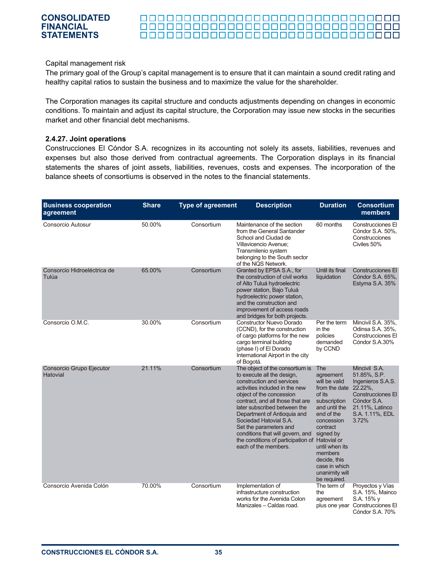#### 0000000000000000000000000000000000

#### Capital management risk

The primary goal of the Group's capital management is to ensure that it can maintain a sound credit rating and healthy capital ratios to sustain the business and to maximize the value for the shareholder.

The Corporation manages its capital structure and conducts adjustments depending on changes in economic conditions. To maintain and adjust its capital structure, the Corporation may issue new stocks in the securities market and other financial debt mechanisms.

#### **2.4.27. Joint operations**

Construcciones El Cóndor S.A. recognizes in its accounting not solely its assets, liabilities, revenues and expenses but also those derived from contractual agreements. The Corporation displays in its financial statements the shares of joint assets, liabilities, revenues, costs and expenses. The incorporation of the balance sheets of consortiums is observed in the notes to the financial statements.

| <b>Business cooperation</b><br>agreement | <b>Share</b> | <b>Type of agreement</b> | <b>Description</b>                                                                                                                                                                                                                                                                                                                                                                                                            | <b>Duration</b>                                                                                                                                                                                                                                    | <b>Consortium</b><br>members                                                                                                                            |
|------------------------------------------|--------------|--------------------------|-------------------------------------------------------------------------------------------------------------------------------------------------------------------------------------------------------------------------------------------------------------------------------------------------------------------------------------------------------------------------------------------------------------------------------|----------------------------------------------------------------------------------------------------------------------------------------------------------------------------------------------------------------------------------------------------|---------------------------------------------------------------------------------------------------------------------------------------------------------|
| Consorcio Autosur                        | 50.00%       | Consortium               | Maintenance of the section<br>from the General Santander<br>School and Ciudad de<br>Villavicencio Avenue;<br>Transmilenio system<br>belonging to the South sector<br>of the NQS Network.                                                                                                                                                                                                                                      | 60 months                                                                                                                                                                                                                                          | Construcciones El<br>Cóndor S.A. 50%,<br>Construcciones<br>Civiles 50%                                                                                  |
| Consorcio Hidroeléctrica de<br>Tulúa     | 65.00%       | Consortium               | Granted by EPSA S.A., for<br>the construction of civil works<br>of Alto Tuluá hydroelectric<br>power station, Bajo Tuluá<br>hydroelectric power station,<br>and the construction and<br>improvement of access roads<br>and bridges for both projects.                                                                                                                                                                         | Until its final<br>liquidation                                                                                                                                                                                                                     | <b>Construcciones El</b><br>Cóndor S.A. 65%,<br>Estyma S.A. 35%                                                                                         |
| Consorcio O.M.C.                         | 30.00%       | Consortium               | <b>Constructor Nuevo Dorado</b><br>(CCND), for the construction<br>of cargo platforms for the new<br>cargo terminal building<br>(phase I) of El Dorado<br>International Airport in the city<br>of Bogotá.                                                                                                                                                                                                                     | Per the term<br>in the<br>policies<br>demanded<br>by CCND                                                                                                                                                                                          | Mincivil S.A. 35%,<br>Odinsa S.A. 35%,<br>Construcciones El<br>Cóndor S.A.30%                                                                           |
| Consorcio Grupo Ejecutor<br>Hatovial     | 21.11%       | Consortium               | The object of the consortium is<br>to execute all the design,<br>construction and services<br>activities included in the new<br>object of the concession<br>contract, and all those that are<br>later subscribed between the<br>Department of Antioquia and<br>Sociedad Hatovial S.A.<br>Set the parameters and<br>conditions that will govern, and<br>the conditions of participation of Hatovial or<br>each of the members. | The<br>agreement<br>will be valid<br>from the date<br>of its<br>subscription<br>and until the<br>end of the<br>concession<br>contract<br>signed by<br>until when its<br>members<br>decide, this<br>case in which<br>unanimity will<br>be required. | Mincivil S.A.<br>51.85%, S.P.<br>Ingenieros S.A.S.<br>22.22%,<br><b>Construcciones El</b><br>Cóndor S.A.<br>21.11%, Latinco<br>S.A. 1.11%, EDL<br>3.72% |
| Consorcio Avenida Colón                  | 70.00%       | Consortium               | Implementation of<br>infrastructure construction<br>works for the Avenida Colon<br>Manizales - Caldas road.                                                                                                                                                                                                                                                                                                                   | The term of<br>the<br>agreement                                                                                                                                                                                                                    | Proyectos y Vías<br>S.A. 15%, Mainco<br>S.A. 15% y<br>plus one year Construcciones El<br>Cóndor S.A. 70%                                                |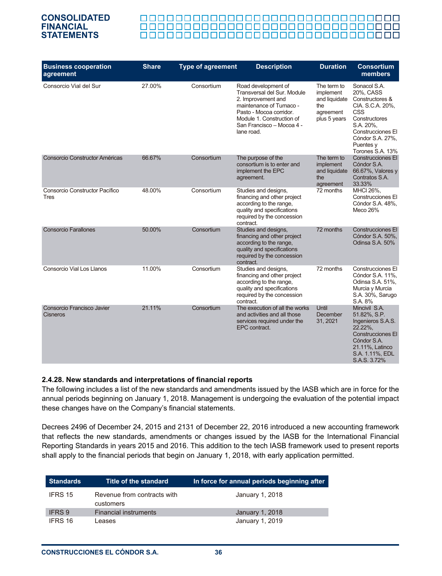#### 0000000000000000000000000000000000

| <b>Business cooperation</b><br>agreement      | <b>Share</b> | <b>Type of agreement</b> | <b>Description</b>                                                                                                                                                                                     | <b>Duration</b>                                                               | <b>Consortium</b><br>members                                                                                                                                                           |
|-----------------------------------------------|--------------|--------------------------|--------------------------------------------------------------------------------------------------------------------------------------------------------------------------------------------------------|-------------------------------------------------------------------------------|----------------------------------------------------------------------------------------------------------------------------------------------------------------------------------------|
| Consorcio Vial del Sur                        | 27.00%       | Consortium               | Road development of<br>Transversal del Sur. Module<br>2. Improvement and<br>maintenance of Tumaco -<br>Pasto - Mocoa corridor.<br>Module 1. Construction of<br>San Francisco - Mocoa 4 -<br>lane road. | The term to<br>implement<br>and liquidate<br>the<br>agreement<br>plus 5 years | Sonacol S.A.<br>20%, CASS<br>Constructores &<br>CIA. S.C.A. 20%,<br><b>CSS</b><br>Constructores<br>S.A. 20%,<br>Construcciones El<br>Cóndor S.A. 27%,<br>Puentes y<br>Torones S.A. 13% |
| Consorcio Constructor Américas                | 66.67%       | Consortium               | The purpose of the<br>consortium is to enter and<br>implement the EPC<br>agreement.                                                                                                                    | The term to<br>implement<br>and liquidate<br>the<br>agreement                 | Construcciones El<br>Cóndor S.A.<br>66.67%, Valores y<br>Contratos S.A.<br>33.33%                                                                                                      |
| Consorcio Constructor Pacífico<br><b>Tres</b> | 48.00%       | Consortium               | Studies and designs,<br>financing and other project<br>according to the range,<br>quality and specifications<br>required by the concession<br>contract.                                                | 72 months                                                                     | MHCI 26%,<br>Construcciones El<br>Cóndor S.A. 48%.<br>Meco 26%                                                                                                                         |
| <b>Consorcio Farallones</b>                   | 50.00%       | Consortium               | Studies and designs,<br>financing and other project<br>according to the range,<br>quality and specifications<br>required by the concession<br>contract.                                                | 72 months                                                                     | Construcciones El<br>Cóndor S.A. 50%,<br>Odinsa S.A. 50%                                                                                                                               |
| Consorcio Vial Los Llanos                     | 11.00%       | Consortium               | Studies and designs,<br>financing and other project<br>according to the range,<br>quality and specifications<br>required by the concession<br>contract.                                                | 72 months                                                                     | <b>Construcciones El</b><br>Cóndor S.A. 11%,<br>Odinsa S.A. 51%,<br>Murcia y Murcia<br>S.A. 30%, Sarugo<br>S.A. 8%                                                                     |
| Consorcio Francisco Javier<br><b>Cisneros</b> | 21.11%       | Consortium               | The execution of all the works<br>and activities and all those<br>services required under the<br>EPC contract.                                                                                         | Until<br>December<br>31, 2021                                                 | Mincivil S.A.<br>51.82%, S.P.<br>Ingenieros S.A.S.<br>22.22%.<br><b>Construcciones El</b><br>Cóndor S.A.<br>21.11%, Latinco<br>S.A. 1.11%, EDL<br>S.A.S. 3.72%                         |

#### **2.4.28. New standards and interpretations of financial reports**

The following includes a list of the new standards and amendments issued by the IASB which are in force for the annual periods beginning on January 1, 2018. Management is undergoing the evaluation of the potential impact these changes have on the Company's financial statements.

Decrees 2496 of December 24, 2015 and 2131 of December 22, 2016 introduced a new accounting framework that reflects the new standards, amendments or changes issued by the IASB for the International Financial Reporting Standards in years 2015 and 2016. This addition to the tech IASB framework used to present reports shall apply to the financial periods that begin on January 1, 2018, with early application permitted.

| <b>Standards</b> | Title of the standard                    | In force for annual periods beginning after |
|------------------|------------------------------------------|---------------------------------------------|
| IFRS 15          | Revenue from contracts with<br>customers | January 1, 2018                             |
| <b>IFRS 9</b>    | <b>Financial instruments</b>             | January 1, 2018                             |
| IFRS 16          | eases                                    | January 1, 2019                             |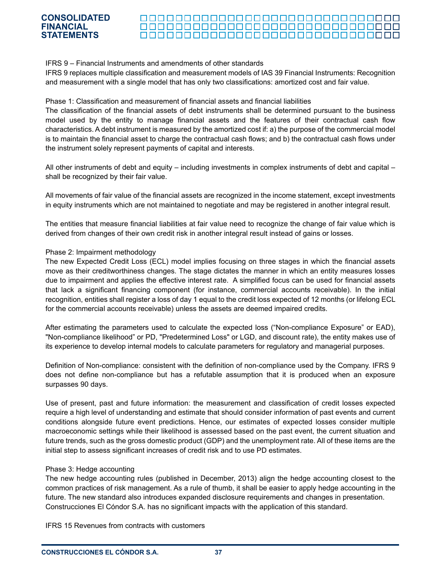#### 00000000000000000000000000000000 <u> 00000000000000000000000000000</u> <u> 000000000000000000000000000000000</u>

#### IFRS 9 – Financial Instruments and amendments of other standards

IFRS 9 replaces multiple classification and measurement models of IAS 39 Financial Instruments: Recognition and measurement with a single model that has only two classifications: amortized cost and fair value.

#### Phase 1: Classification and measurement of financial assets and financial liabilities

The classification of the financial assets of debt instruments shall be determined pursuant to the business model used by the entity to manage financial assets and the features of their contractual cash flow characteristics. A debt instrument is measured by the amortized cost if: a) the purpose of the commercial model is to maintain the financial asset to charge the contractual cash flows; and b) the contractual cash flows under the instrument solely represent payments of capital and interests.

All other instruments of debt and equity – including investments in complex instruments of debt and capital – shall be recognized by their fair value.

All movements of fair value of the financial assets are recognized in the income statement, except investments in equity instruments which are not maintained to negotiate and may be registered in another integral result.

The entities that measure financial liabilities at fair value need to recognize the change of fair value which is derived from changes of their own credit risk in another integral result instead of gains or losses.

#### Phase 2: Impairment methodology

The new Expected Credit Loss (ECL) model implies focusing on three stages in which the financial assets move as their creditworthiness changes. The stage dictates the manner in which an entity measures losses due to impairment and applies the effective interest rate. A simplified focus can be used for financial assets that lack a significant financing component (for instance, commercial accounts receivable). In the initial recognition, entities shall register a loss of day 1 equal to the credit loss expected of 12 months (or lifelong ECL for the commercial accounts receivable) unless the assets are deemed impaired credits.

After estimating the parameters used to calculate the expected loss ("Non-compliance Exposure" or EAD), "Non-compliance likelihood" or PD, "Predetermined Loss" or LGD, and discount rate), the entity makes use of its experience to develop internal models to calculate parameters for regulatory and managerial purposes.

Definition of Non-compliance: consistent with the definition of non-compliance used by the Company. IFRS 9 does not define non-compliance but has a refutable assumption that it is produced when an exposure surpasses 90 days.

Use of present, past and future information: the measurement and classification of credit losses expected require a high level of understanding and estimate that should consider information of past events and current conditions alongside future event predictions. Hence, our estimates of expected losses consider multiple macroeconomic settings while their likelihood is assessed based on the past event, the current situation and future trends, such as the gross domestic product (GDP) and the unemployment rate. All of these items are the initial step to assess significant increases of credit risk and to use PD estimates.

#### Phase 3: Hedge accounting

The new hedge accounting rules (published in December, 2013) align the hedge accounting closest to the common practices of risk management. As a rule of thumb, it shall be easier to apply hedge accounting in the future. The new standard also introduces expanded disclosure requirements and changes in presentation. Construcciones El Cóndor S.A. has no significant impacts with the application of this standard.

IFRS 15 Revenues from contracts with customers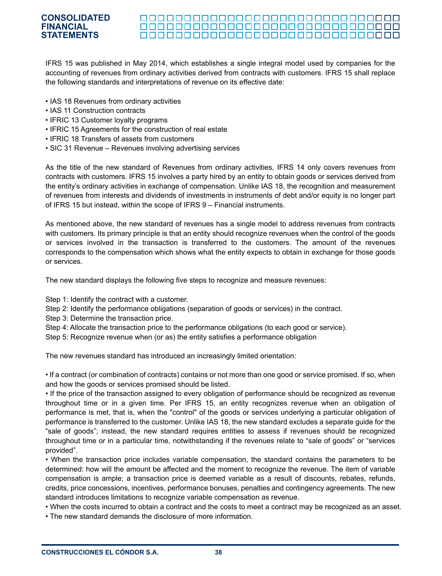#### <u> 00000000000000000000000000000</u> <u> 000000000000000000000000000000000</u>

IFRS 15 was published in May 2014, which establishes a single integral model used by companies for the accounting of revenues from ordinary activities derived from contracts with customers. IFRS 15 shall replace the following standards and interpretations of revenue on its effective date:

- IAS 18 Revenues from ordinary activities
- IAS 11 Construction contracts
- IFRIC 13 Customer loyalty programs
- IFRIC 15 Agreements for the construction of real estate
- IFRIC 18 Transfers of assets from customers
- SIC 31 Revenue Revenues involving advertising services

As the title of the new standard of Revenues from ordinary activities, IFRS 14 only covers revenues from contracts with customers. IFRS 15 involves a party hired by an entity to obtain goods or services derived from the entity's ordinary activities in exchange of compensation. Unlike IAS 18, the recognition and measurement of revenues from interests and dividends of investments in instruments of debt and/or equity is no longer part of IFRS 15 but instead, within the scope of IFRS 9 – Financial instruments.

As mentioned above, the new standard of revenues has a single model to address revenues from contracts with customers. Its primary principle is that an entity should recognize revenues when the control of the goods or services involved in the transaction is transferred to the customers. The amount of the revenues corresponds to the compensation which shows what the entity expects to obtain in exchange for those goods or services.

The new standard displays the following five steps to recognize and measure revenues:

Step 1: Identify the contract with a customer.

Step 2: Identify the performance obligations (separation of goods or services) in the contract.

Step 3: Determine the transaction price.

Step 4: Allocate the transaction price to the performance obligations (to each good or service).

Step 5: Recognize revenue when (or as) the entity satisfies a performance obligation

The new revenues standard has introduced an increasingly limited orientation:

• If a contract (or combination of contracts) contains or not more than one good or service promised. If so, when and how the goods or services promised should be listed.

• If the price of the transaction assigned to every obligation of performance should be recognized as revenue throughout time or in a given time. Per IFRS 15, an entity recognizes revenue when an obligation of performance is met, that is, when the "control" of the goods or services underlying a particular obligation of performance is transferred to the customer. Unlike IAS 18, the new standard excludes a separate guide for the "sale of goods"; instead, the new standard requires entities to assess if revenues should be recognized throughout time or in a particular time, notwithstanding if the revenues relate to "sale of goods" or "services provided".

• When the transaction price includes variable compensation, the standard contains the parameters to be determined: how will the amount be affected and the moment to recognize the revenue. The item of variable compensation is ample; a transaction price is deemed variable as a result of discounts, rebates, refunds, credits, price concessions, incentives, performance bonuses, penalties and contingency agreements. The new standard introduces limitations to recognize variable compensation as revenue.

• When the costs incurred to obtain a contract and the costs to meet a contract may be recognized as an asset.

• The new standard demands the disclosure of more information.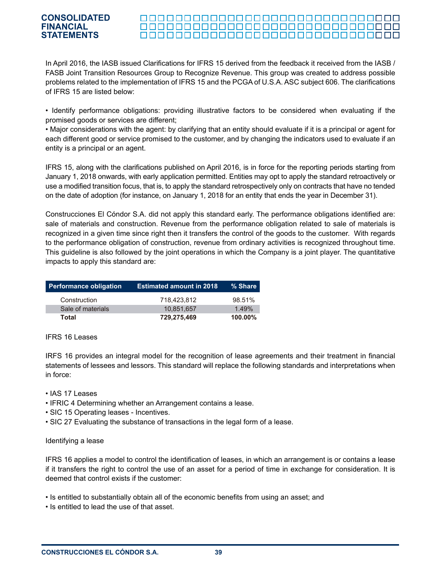#### <u>oooooooooooooooooooooooooo</u>oo <u> 000000000000000000000000000000000</u>

In April 2016, the IASB issued Clarifications for IFRS 15 derived from the feedback it received from the IASB / FASB Joint Transition Resources Group to Recognize Revenue. This group was created to address possible problems related to the implementation of IFRS 15 and the PCGA of U.S.A. ASC subject 606. The clarifications of IFRS 15 are listed below:

• Identify performance obligations: providing illustrative factors to be considered when evaluating if the promised goods or services are different;

• Major considerations with the agent: by clarifying that an entity should evaluate if it is a principal or agent for each different good or service promised to the customer, and by changing the indicators used to evaluate if an entity is a principal or an agent.

IFRS 15, along with the clarifications published on April 2016, is in force for the reporting periods starting from January 1, 2018 onwards, with early application permitted. Entities may opt to apply the standard retroactively or use a modified transition focus, that is, to apply the standard retrospectively only on contracts that have no tended on the date of adoption (for instance, on January 1, 2018 for an entity that ends the year in December 31).

Construcciones El Cóndor S.A. did not apply this standard early. The performance obligations identified are: sale of materials and construction. Revenue from the performance obligation related to sale of materials is recognized in a given time since right then it transfers the control of the goods to the customer. With regards to the performance obligation of construction, revenue from ordinary activities is recognized throughout time. This guideline is also followed by the joint operations in which the Company is a joint player. The quantitative impacts to apply this standard are:

| <b>Performance obligation</b> | <b>Estimated amount in 2018</b> | ∣% Share ˈ |
|-------------------------------|---------------------------------|------------|
| Construction                  | 718.423.812                     | 98.51%     |
| Sale of materials             | 10.851.657                      | 1.49%      |
| Total                         | 729,275,469                     | $100.00\%$ |

#### IFRS 16 Leases

IRFS 16 provides an integral model for the recognition of lease agreements and their treatment in financial statements of lessees and lessors. This standard will replace the following standards and interpretations when in force:

- IAS 17 Leases
- IFRIC 4 Determining whether an Arrangement contains a lease.
- SIC 15 Operating leases Incentives.
- SIC 27 Evaluating the substance of transactions in the legal form of a lease.

#### Identifying a lease

IFRS 16 applies a model to control the identification of leases, in which an arrangement is or contains a lease if it transfers the right to control the use of an asset for a period of time in exchange for consideration. It is deemed that control exists if the customer:

- Is entitled to substantially obtain all of the economic benefits from using an asset; and
- Is entitled to lead the use of that asset.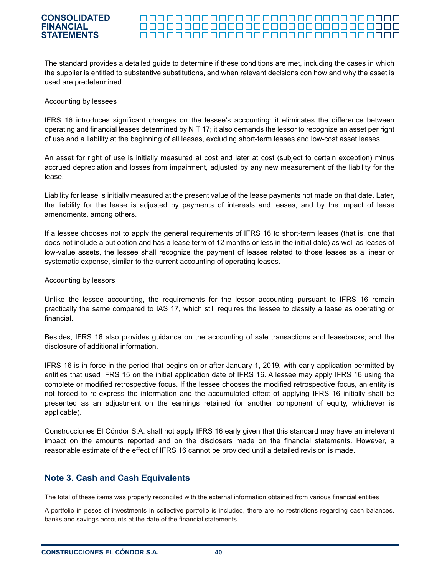#### <u> 000000000000000000000000000000000</u> <u> 00000000000000000000000000000</u> <u> 000000000000000000000000000000000</u>

The standard provides a detailed guide to determine if these conditions are met, including the cases in which the supplier is entitled to substantive substitutions, and when relevant decisions con how and why the asset is used are predetermined.

#### Accounting by lessees

IFRS 16 introduces significant changes on the lessee's accounting: it eliminates the difference between operating and financial leases determined by NIT 17; it also demands the lessor to recognize an asset per right of use and a liability at the beginning of all leases, excluding short-term leases and low-cost asset leases.

An asset for right of use is initially measured at cost and later at cost (subject to certain exception) minus accrued depreciation and losses from impairment, adjusted by any new measurement of the liability for the lease.

Liability for lease is initially measured at the present value of the lease payments not made on that date. Later, the liability for the lease is adjusted by payments of interests and leases, and by the impact of lease amendments, among others.

If a lessee chooses not to apply the general requirements of IFRS 16 to short-term leases (that is, one that does not include a put option and has a lease term of 12 months or less in the initial date) as well as leases of low-value assets, the lessee shall recognize the payment of leases related to those leases as a linear or systematic expense, similar to the current accounting of operating leases.

#### Accounting by lessors

Unlike the lessee accounting, the requirements for the lessor accounting pursuant to IFRS 16 remain practically the same compared to IAS 17, which still requires the lessee to classify a lease as operating or financial.

Besides, IFRS 16 also provides guidance on the accounting of sale transactions and leasebacks; and the disclosure of additional information.

IFRS 16 is in force in the period that begins on or after January 1, 2019, with early application permitted by entities that used IFRS 15 on the initial application date of IFRS 16. A lessee may apply IFRS 16 using the complete or modified retrospective focus. If the lessee chooses the modified retrospective focus, an entity is not forced to re-express the information and the accumulated effect of applying IFRS 16 initially shall be presented as an adjustment on the earnings retained (or another component of equity, whichever is applicable).

Construcciones El Cóndor S.A. shall not apply IFRS 16 early given that this standard may have an irrelevant impact on the amounts reported and on the disclosers made on the financial statements. However, a reasonable estimate of the effect of IFRS 16 cannot be provided until a detailed revision is made.

## **Note 3. Cash and Cash Equivalents**

The total of these items was properly reconciled with the external information obtained from various financial entities

A portfolio in pesos of investments in collective portfolio is included, there are no restrictions regarding cash balances, banks and savings accounts at the date of the financial statements.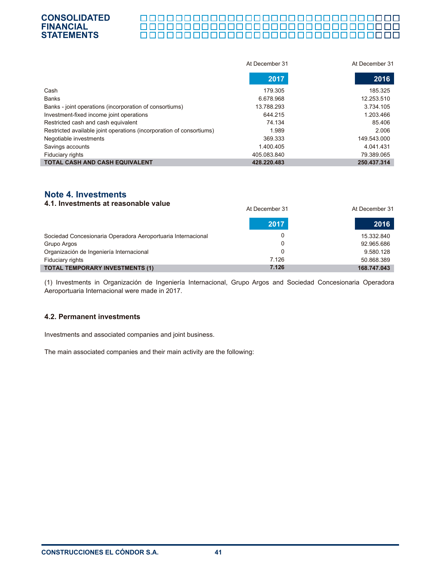#### П

|                                                                      | At December 31 | At December 31 |
|----------------------------------------------------------------------|----------------|----------------|
|                                                                      | 2017           | 2016           |
| Cash                                                                 | 179.305        | 185.325        |
| <b>Banks</b>                                                         | 6.678.968      | 12.253.510     |
| Banks - joint operations (incorporation of consortiums)              | 13.788.293     | 3.734.105      |
| Investment-fixed income joint operations                             | 644.215        | 1.203.466      |
| Restricted cash and cash equivalent                                  | 74.134         | 85.406         |
| Restricted available joint operations (incorporation of consortiums) | 1.989          | 2.006          |
| Negotiable investments                                               | 369.333        | 149.543.000    |
| Savings accounts                                                     | 1.400.405      | 4.041.431      |
| Fiduciary rights                                                     | 405.083.840    | 79.389.065     |
| <b>TOTAL CASH AND CASH EQUIVALENT</b>                                | 428.220.483    | 250.437.314    |

# **Note 4. Investments**

| 4.1. Investments at reasonable value                         | At December 31 | At December 31 |  |
|--------------------------------------------------------------|----------------|----------------|--|
|                                                              | 2017           | 2016           |  |
| Sociedad Concesionaria Operadora Aeroportuaria Internacional |                | 15.332.840     |  |
| Grupo Argos                                                  |                | 92.965.686     |  |
| Organización de Ingeniería Internacional                     |                | 9.580.128      |  |
| Fiduciary rights                                             | 7.126          | 50.868.389     |  |
| <b>TOTAL TEMPORARY INVESTMENTS (1)</b>                       | 7.126          | 168.747.043    |  |

(1) Investments in Organización de Ingeniería Internacional, Grupo Argos and Sociedad Concesionaria Operadora Aeroportuaria Internacional were made in 2017.

#### **4.2. Permanent investments**

Investments and associated companies and joint business.

The main associated companies and their main activity are the following: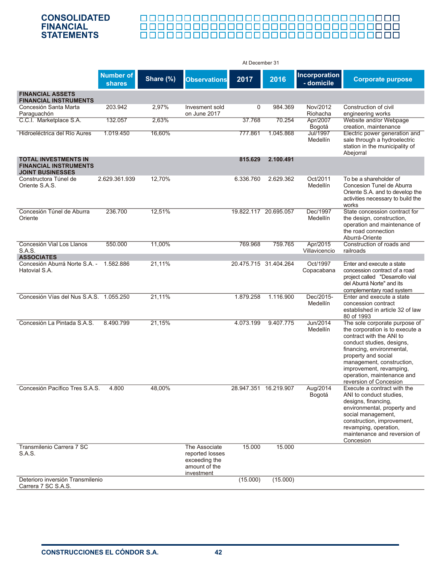# <u> 888888888888888888888888888888</u>

|                                                                                        |                                   |           |                                                                                  | At December 31 |                       |                                    |                                                                                                                                                                                                                                                                                               |
|----------------------------------------------------------------------------------------|-----------------------------------|-----------|----------------------------------------------------------------------------------|----------------|-----------------------|------------------------------------|-----------------------------------------------------------------------------------------------------------------------------------------------------------------------------------------------------------------------------------------------------------------------------------------------|
|                                                                                        | <b>Number of</b><br><b>shares</b> | Share (%) | <b>Observations</b>                                                              | 2017           | 2016                  | <b>Incorporation</b><br>- domicile | <b>Corporate purpose</b>                                                                                                                                                                                                                                                                      |
| <b>FINANCIAL ASSETS</b><br><b>FINANCIAL INSTRUMENTS</b>                                |                                   |           |                                                                                  |                |                       |                                    |                                                                                                                                                                                                                                                                                               |
| Concesión Santa Marta<br>Paraguachón                                                   | 203.942                           | 2,97%     | Invesment sold<br>on June 2017                                                   | $\Omega$       | 984.369               | Nov/2012<br>Riohacha               | Construction of civil<br>engineering works                                                                                                                                                                                                                                                    |
| C.C.I. Marketplace S.A.                                                                | 132.057                           | 2,63%     |                                                                                  | 37.768         | 70.254                | Apr/2007<br>Bogotá                 | Website and/or Webpage<br>creation, maintenance                                                                                                                                                                                                                                               |
| Hidroeléctrica del Río Aures                                                           | 1.019.450                         | 16.60%    |                                                                                  | 777.861        | 1.045.868             | Jul/1997<br>Medellín               | Electric power generation and<br>sale through a hydroelectric<br>station in the municipality of<br>Abejorral                                                                                                                                                                                  |
| <b>TOTAL INVESTMENTS IN</b><br><b>FINANCIAL INSTRUMENTS</b><br><b>JOINT BUSINESSES</b> |                                   |           |                                                                                  | 815.629        | 2.100.491             |                                    |                                                                                                                                                                                                                                                                                               |
| Constructora Túnel de<br>Oriente S.A.S.                                                | 2.629.361.939                     | 12,70%    |                                                                                  | 6.336.760      | 2.629.362             | Oct/2011<br>Medellín               | To be a shareholder of<br>Concesion Tunel de Aburra<br>Oriente S.A. and to develop the<br>activities necessary to build the<br>works                                                                                                                                                          |
| Concesión Túnel de Aburra<br>Oriente                                                   | 236.700                           | 12,51%    |                                                                                  |                | 19.822.117 20.695.057 | Dec/1997<br>Medellín               | State concession contract for<br>the design, construction,<br>operation and maintenance of<br>the road connection<br>Aburrá-Oriente                                                                                                                                                           |
| Concesión Vial Los Llanos<br><b>S.A.S.</b>                                             | 550.000                           | 11,00%    |                                                                                  | 769.968        | 759.765               | Apr/2015<br>Villavicencio          | Construction of roads and<br>railroads                                                                                                                                                                                                                                                        |
| <b>ASSOCIATES</b><br>Concesión Aburrá Norte S.A. - 1.582.886                           |                                   | 21,11%    |                                                                                  |                | 20.475.715 31.404.264 | Oct/1997                           | Enter and execute a state                                                                                                                                                                                                                                                                     |
| Hatovial S.A.                                                                          |                                   |           |                                                                                  |                |                       | Copacabana                         | concession contract of a road<br>project called "Desarrollo vial<br>del Aburrá Norte" and its<br>complementary road system                                                                                                                                                                    |
| Concesión Vías del Nus S.A.S. 1.055.250                                                |                                   | 21,11%    |                                                                                  | 1.879.258      | 1.116.900             | Dec/2015-<br><b>Medellín</b>       | Enter and execute a state<br>concession contract<br>established in article 32 of law<br>80 of 1993                                                                                                                                                                                            |
| Concesión La Pintada S.A.S.                                                            | 8.490.799                         | 21,15%    |                                                                                  | 4.073.199      | 9.407.775             | Jun/2014<br>Medellín               | The sole corporate purpose of<br>the corporation is to execute a<br>contract with the ANI to<br>conduct studies, designs,<br>financing, environmental,<br>property and social<br>management, construction,<br>improvement, revamping,<br>operation, maintenance and<br>reversion of Concesion |
| Concesión Pacífico Tres S.A.S.                                                         | 4.800                             | 48,00%    |                                                                                  |                | 28.947.351 16.219.907 | Aug/2014<br>Bogotá                 | Execute a contract with the<br>ANI to conduct studies,<br>designs, financing,<br>environmental, property and<br>social management,<br>construction, improvement,<br>revamping, operation,<br>maintenance and reversion of<br>Concesion                                                        |
| Transmilenio Carrera 7 SC<br>S.A.S.                                                    |                                   |           | The Associate<br>reported losses<br>exceeding the<br>amount of the<br>investment | 15.000         | 15.000                |                                    |                                                                                                                                                                                                                                                                                               |
| Deterioro inversión Transmilenio<br>Carrera 7 SC S.A.S.                                |                                   |           |                                                                                  | (15.000)       | (15.000)              |                                    |                                                                                                                                                                                                                                                                                               |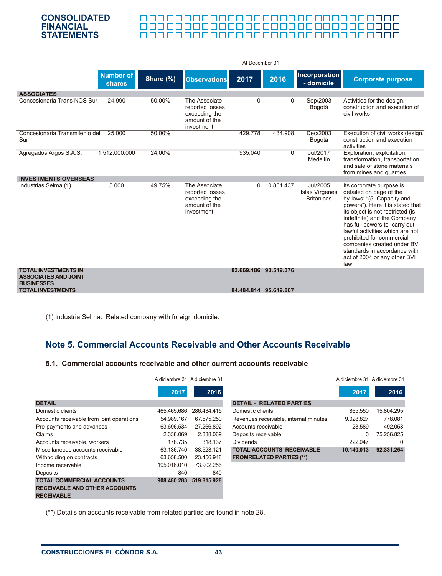#### 000000000000000000000000000000000 <u>anaanaanaanaanaanaanaanaanaa</u>

|                                                                                 |                            |           |                                                                                  | At December 31 |                       |                                                 |                                                                                                                                                                                                                                                                                                                                                                                                 |
|---------------------------------------------------------------------------------|----------------------------|-----------|----------------------------------------------------------------------------------|----------------|-----------------------|-------------------------------------------------|-------------------------------------------------------------------------------------------------------------------------------------------------------------------------------------------------------------------------------------------------------------------------------------------------------------------------------------------------------------------------------------------------|
|                                                                                 | Number of<br><b>shares</b> | Share (%) | <b>Observations</b>                                                              | 2017           | 2016                  | Incorporation<br>- domicile                     | <b>Corporate purpose</b>                                                                                                                                                                                                                                                                                                                                                                        |
| <b>ASSOCIATES</b>                                                               |                            |           |                                                                                  |                |                       |                                                 |                                                                                                                                                                                                                                                                                                                                                                                                 |
| Concesionaria Trans NOS Sur                                                     | 24.990                     | 50,00%    | The Associate<br>reported losses<br>exceeding the<br>amount of the<br>investment | 0              | 0                     | Sep/2003<br>Bogotá                              | Activities for the design,<br>construction and execution of<br>civil works                                                                                                                                                                                                                                                                                                                      |
| Concesionaria Transmilenio del<br>Sur                                           | 25.000                     | 50.00%    |                                                                                  | 429.778        | 434.908               | Dec/2003<br>Bogotá                              | Execution of civil works design,<br>construction and execution<br>activities                                                                                                                                                                                                                                                                                                                    |
| Agregados Argos S.A.S.                                                          | 1.512.000.000              | 24,00%    |                                                                                  | 935.040        | $\Omega$              | Jul/2017<br>Medellín                            | Exploration, exploitation,<br>transformation, transportation<br>and sale of stone materials<br>from mines and quarries                                                                                                                                                                                                                                                                          |
| <b>INVESTMENTS OVERSEAS</b>                                                     |                            |           |                                                                                  |                |                       |                                                 |                                                                                                                                                                                                                                                                                                                                                                                                 |
| Industrias Selma (1)                                                            | 5.000                      | 49,75%    | The Associate<br>reported losses<br>exceeding the<br>amount of the<br>investment |                | 0 10.851.437          | Jul/2005<br>Islas Vírgenes<br><b>Británicas</b> | Its corporate purpose is<br>detailed on page of the<br>by-laws: "(5. Capacity and<br>powers"). Here it is stated that<br>its object is not restricted (is<br>indefinite) and the Company<br>has full powers to carry out<br>lawful activities which are not<br>prohibited for commercial<br>companies created under BVI<br>standards in accordance with<br>act of 2004 or any other BVI<br>law. |
| <b>TOTAL INVESTMENTS IN</b><br><b>ASSOCIATES AND JOINT</b><br><b>BUSINESSES</b> |                            |           |                                                                                  |                | 83.669.186 93.519.376 |                                                 |                                                                                                                                                                                                                                                                                                                                                                                                 |
| <b>TOTAL INVESTMENTS</b>                                                        |                            |           |                                                                                  |                | 84.484.814 95.619.867 |                                                 |                                                                                                                                                                                                                                                                                                                                                                                                 |

(1) lndustria Selma: Related company with foreign domicile.

# **Note 5. Commercial Accounts Receivable and Other Accounts Receivable**

#### **5.1. Commercial accounts receivable and other current accounts receivable**

|                                                                                               | A diciembre 31 A diciembre 31 |             |
|-----------------------------------------------------------------------------------------------|-------------------------------|-------------|
|                                                                                               | 2017                          | 2016        |
| <b>DETAIL</b>                                                                                 |                               |             |
| Domestic clients                                                                              | 465 465 686                   | 286.434.415 |
| Accounts receivable from joint operations                                                     | 54.989.167                    | 67.575.250  |
| Pre-payments and advances                                                                     | 63.696.534                    | 27.266.892  |
| Claims                                                                                        | 2.338.069                     | 2.338.069   |
| Accounts receivable, workers                                                                  | 178.735                       | 318.137     |
| Miscellaneous accounts receivable                                                             | 63.136.740                    | 38.523.121  |
| Withholding on contracts                                                                      | 63.658.500                    | 23.456.948  |
| Income receivable                                                                             | 195.016.010                   | 73.902.256  |
| Deposits                                                                                      | 840                           | 840         |
| <b>TOTAL COMMERCIAL ACCOUNTS</b><br><b>RECEIVABLE AND OTHER ACCOUNTS</b><br><b>RECEIVABLE</b> | 908.480.283                   | 519.815.928 |

|          | nbre 31 A diciembre 31 |                                       |            | A diciembre 31 A diciembre 31 |
|----------|------------------------|---------------------------------------|------------|-------------------------------|
| $2017$ . | 2016                   |                                       | 2017       | 2016                          |
|          |                        | <b>DETAIL - RELATED PARTIES</b>       |            |                               |
| 65.686   | 286.434.415            | Domestic clients                      | 865.550    | 15.804.295                    |
| 89.167   | 67.575.250             | Revenues receivable, internal minutes | 9.028.827  | 778.081                       |
| 96.534   | 27.266.892             | Accounts receivable                   | 23.589     | 492.053                       |
| 38.069   | 2.338.069              | Deposits receivable                   | 0          | 75.256.825                    |
| 78.735   | 318.137                | <b>Dividends</b>                      | 222.047    | 0                             |
| 36.740   | 38.523.121             | <b>TOTAL ACCOUNTS RECEIVABLE</b>      | 10.140.013 | 92.331.254                    |
| 58.500   | 23.456.948             | <b>FROMRELATED PARTIES (**)</b>       |            |                               |

(\*\*) Details on accounts receivable from related parties are found in note 28.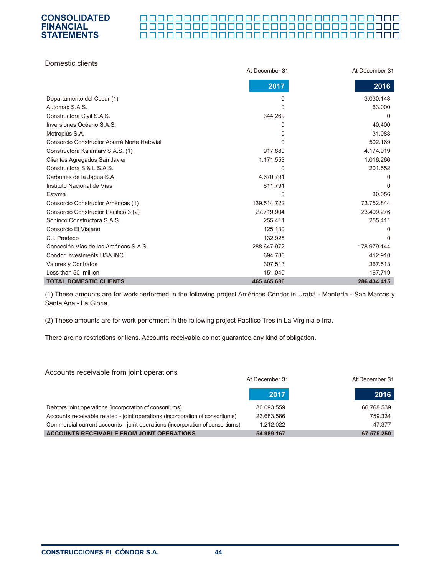#### 000000000000000000000000000000000

| Domestic clients                            |                |                |
|---------------------------------------------|----------------|----------------|
|                                             | At December 31 | At December 31 |
|                                             | 2017           | 2016           |
| Departamento del Cesar (1)                  | 0              | 3.030.148      |
| Automax S.A.S.                              | 0              | 63.000         |
| Constructora Civil S.A.S.                   | 344.269        | $\Omega$       |
| Inversiones Océano S.A.S.                   | 0              | 40.400         |
| Metroplús S.A.                              | 0              | 31.088         |
| Consorcio Constructor Aburrá Norte Hatovial | 0              | 502.169        |
| Constructora Kalamary S.A.S. (1)            | 917.880        | 4.174.919      |
| Clientes Agregados San Javier               | 1.171.553      | 1.016.266      |
| Constructora S & L S A S.                   | 0              | 201.552        |
| Carbones de la Jagua S.A.                   | 4.670.791      | 0              |
| Instituto Nacional de Vías                  | 811.791        | $\Omega$       |
| Estyma                                      | 0              | 30.056         |
| Consorcio Constructor Américas (1)          | 139.514.722    | 73.752.844     |
| Consorcio Constructor Pacifico 3 (2)        | 27.719.904     | 23.409.276     |
| Sohinco Constructora S.A.S.                 | 255.411        | 255.411        |
| Consorcio El Viajano                        | 125.130        | 0              |
| C.I. Prodeco                                | 132.925        | <sup>0</sup>   |
| Concesión Vías de las Américas S.A.S.       | 288.647.972    | 178.979.144    |
| Condor Investments USA INC                  | 694.786        | 412.910        |
| Valores y Contratos                         | 307.513        | 367.513        |
| Less than 50 million                        | 151.040        | 167.719        |
| <b>TOTAL DOMESTIC CLIENTS</b>               | 465.465.686    | 286.434.415    |

(1) These amounts are for work performed in the following project Américas Cóndor in Urabá - Montería - San Marcos y Santa Ana - La Gloria.

(2) These amounts are for work performent in the following project Pacífico Tres in La Virginia e Irra.

There are no restrictions or liens. Accounts receivable do not guarantee any kind of obligation.

| Accounts receivable from joint operations                                     |                |                |
|-------------------------------------------------------------------------------|----------------|----------------|
|                                                                               | At December 31 | At December 31 |
|                                                                               | 2017           | 2016           |
| Debtors joint operations (incorporation of consortiums)                       | 30.093.559     | 66.768.539     |
| Accounts receivable related - joint operations (incorporation of consortiums) | 23.683.586     | 759.334        |
| Commercial current accounts - joint operations (incorporation of consortiums) | 1.212.022      | 47.377         |
| <b>ACCOUNTS RECEIVABLE FROM JOINT OPERATIONS</b>                              | 54.989.167     | 67.575.250     |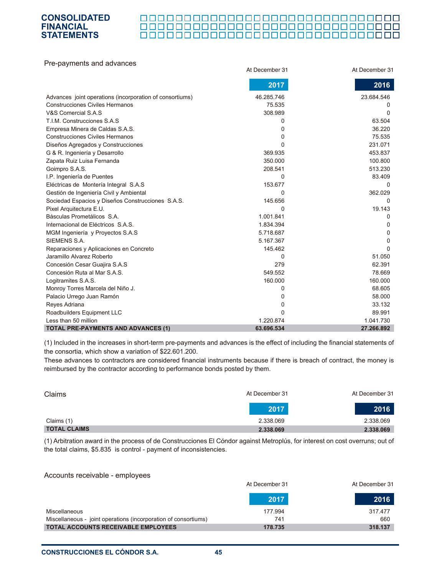#### 000000000000000000000000000000

| Pre-payments and advances                                |                |                |
|----------------------------------------------------------|----------------|----------------|
|                                                          | At December 31 | At December 31 |
|                                                          | 2017           | 2016           |
| Advances joint operations (incorporation of consortiums) | 46.285.746     | 23.684.546     |
| <b>Construcciones Civiles Hermanos</b>                   | 75.535         | 0              |
| V&S Comercial S.A.S                                      | 308.989        | $\Omega$       |
| T.I.M. Construcciones S.A.S.                             | 0              | 63.504         |
| Empresa Minera de Caldas S.A.S.                          | 0              | 36.220         |
| <b>Construcciones Civiles Hermanos</b>                   | 0              | 75.535         |
| Diseños Agregados y Construcciones                       | 0              | 231.071        |
| G & R. Ingeniería y Desarrollo                           | 369.935        | 453.837        |
| Zapata Ruiz Luisa Fernanda                               | 350.000        | 100.800        |
| Goimpro S.A.S.                                           | 208.541        | 513.230        |
| I.P. Ingeniería de Puentes                               | 0              | 83.409         |
| Eléctricas de Montería Integral S.A.S                    | 153.677        | $\Omega$       |
| Gestión de Ingeniería Civil y Ambiental                  | 0              | 362.029        |
| Sociedad Espacios y Diseños Construcciones S.A.S.        | 145.656        | $\Omega$       |
| Pixel Arquitectura E.U.                                  | $\Omega$       | 19.143         |
| Básculas Prometálicos S.A.                               | 1.001.841      | 0              |
| Internacional de Eléctricos S.A.S.                       | 1.834.394      | 0              |
| MGM Ingeniería y Proyectos S.A.S                         | 5.718.687      | 0              |
| SIEMENS S.A.                                             | 5.167.367      | 0              |
| Reparaciones y Aplicaciones en Concreto                  | 145.462        | $\Omega$       |
| Jaramillo Alvarez Roberto                                | 0              | 51.050         |
| Concesión Cesar Guajira S.A.S                            | 279            | 62.391         |
| Concesión Ruta al Mar S.A.S.                             | 549.552        | 78.669         |
| Logitramites S.A.S.                                      | 160.000        | 160.000        |
| Monroy Torres Marcela del Niño J.                        | 0              | 68.605         |
| Palacio Urrego Juan Ramón                                | 0              | 58.000         |
| Reyes Adriana                                            | 0              | 33.132         |
| Roadbuilders Equipment LLC                               | 0              | 89.991         |
| Less than 50 million                                     | 1.220.874      | 1.041.730      |
| <b>TOTAL PRE-PAYMENTS AND ADVANCES (1)</b>               | 63.696.534     | 27.266.892     |

(1) Included in the increases in short-term pre-payments and advances is the effect of including the financial statements of the consortia, which show a variation of \$22.601.200.

These advances to contractors are considered financial instruments because if there is breach of contract, the money is reimbursed by the contractor according to performance bonds posted by them.

| Claims              | At December 31<br>At December 31 |           |
|---------------------|----------------------------------|-----------|
|                     | 2017                             | 2016      |
| Claims (1)          | 2.338.069                        | 2.338.069 |
| <b>TOTAL CLAIMS</b> | 2.338.069                        | 2.338.069 |

(1) Arbitration award in the process of de Construcciones El Cóndor against Metroplús, for interest on cost overruns; out of the total claims, \$5.835 is control - payment of inconsistencies.

#### Accounts receivable - employees

|                                                                 | At December 31 | At December 31 |
|-----------------------------------------------------------------|----------------|----------------|
|                                                                 | 72017          | 2016           |
| Miscellaneous                                                   | 177.994        | 317.477        |
| Miscellaneous - joint operations (incorporation of consortiums) | 741            | 660            |
| <b>TOTAL ACCOUNTS RECEIVABLE EMPLOYEES</b>                      | 178.735        | 318.137        |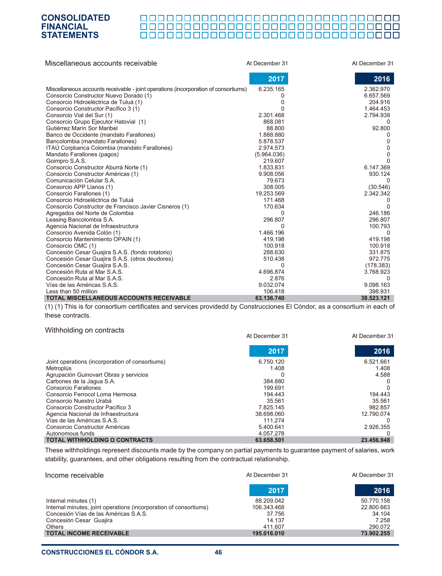# ${\color{red} {{\small{2}}} {{\small{2}}} {{\small{2}}} {{\small{2}}} {{\small{2}}} {{\small{2}}} {{\small{2}}} {{\small{2}}} {{\small{2}}} {{\small{2}}} {{\small{2}}} {{\small{2}}} {{\small{2}}} {{\small{2}}} {{\small{2}}} {{\small{2}}} {{\small{2}}} {{\small{2}}} {{\small{2}}} {{\small{2}}} {{\small{2}}} {{\small{2}}} {{\small{2}}} {{\small{2}}} {{\small{2}}} {{\small{2}}} {{\small{2}}} {{\small{2}}} {{\small{2}}} {{\small{2}}} {{\small{2}}} {{\small{2}}} {{\small{2}}} {{\small{2}}} {{\small{2}}} {{\small{2$

| Miscellaneous accounts receivable                                                     | At December 31               | At December 31 |
|---------------------------------------------------------------------------------------|------------------------------|----------------|
|                                                                                       | 2017                         | 2016           |
| Miscellaneous accounts receivable - joint operations (incorporation of consortiums)   | 6.235.165                    | 2.362.970      |
| Consorcio Constructor Nuevo Dorado (1)                                                | 0                            | 6.657.569      |
| Consorcio Hidroeléctrica de Tuluá (1)                                                 | 0                            | 204.916        |
| Consorcio Constructor Pacífico 3 (1)                                                  | n                            | 1.464.453      |
| Consorcio Vial del Sur (1)                                                            | 2.301.468                    | 2.794.938      |
| Consorcio Grupo Ejecutor Hatovial (1)                                                 | 868.081                      |                |
| Gutiérrez Marín Sor Maribel                                                           | 88.800                       | 92.800         |
| Banco de Occidente (mandato Farallones)                                               | 1.888.880                    |                |
| Bancolombia (mandato Farallones)                                                      | 5.878.537                    | 0              |
| ITAU Corpbanca Colombia (mandato Farallones)                                          | 2.974.573                    | 0              |
| Mandato Farallones (pagos)                                                            | (5.964.036)                  | 0              |
| Goimpro S.A.S.                                                                        | 219.607                      | U              |
| Consorcio Constructor Aburrá Norte (1)                                                | 1.833.831                    | 6.147.369      |
| Consorcio Constructor Américas (1)                                                    | 9.908.056                    | 930.124        |
| Comunicación Celular S.A.                                                             | 79.673                       | $\Omega$       |
| Consorcio APP Llanos (1)                                                              | 308.005                      | (30.546)       |
| Consorcio Farallones (1)                                                              | 19.253.569                   | 2.342.342      |
| Consorcio Hidroeléctrica de Tuluá                                                     | 171.468                      |                |
| Consorcio Constructor de Francisco Javier Cisneros (1)                                | 170.634                      |                |
| Agregados del Norte de Colombia                                                       | 0                            | 246.186        |
| Leasing Bancolombia S.A.                                                              | 296.807                      | 296.807        |
| Agencia Nacional de Infraestructura                                                   | <sup>0</sup>                 | 100.793        |
| Consorcio Avenida Colón (1)                                                           | 1.466.196                    | $\Omega$       |
| Consorcio Mantenimiento OPAIN (1)                                                     | 419.198                      | 419.198        |
| Consorcio OMC (1)                                                                     | 100.918                      | 100.918        |
| Concesión Cesar Guajira S.A.S. (fondo rotatorio)                                      | 288.630                      | 331.875        |
| Concesión Cesar Guajira S.A.S. (otros deudores)                                       | 510.438                      | 972.775        |
| Concesión Cesar Guajira S.A.S.                                                        | $\Omega$                     | (178.383)      |
| Concesión Ruta al Mar S.A.S.                                                          | 4.696.874                    | 3.768.923      |
| Concesión Ruta al Mar S.A.S.                                                          | 2.876                        |                |
| Vías de las Américas S.A.S.                                                           | 9.032.074                    | 9.098.163      |
| Less than 50 million                                                                  | 106.418                      | 398.931        |
| <b>TOTAL MISCELLANEOUS ACCOUNTS RECEIVABLE</b><br>$(4)$ $(4)$ $\pm 1$ $\pm 7$ $\pm 7$ | 63.136.740<br>$\blacksquare$ | 38.523.121     |

(1) (1) This is for consortium certificates and services providedd by Construcciones El Cóndor, as a consortium in each of these contracts.

#### Withholding on contracts

|                                                 | At December 31 | At December 31 |
|-------------------------------------------------|----------------|----------------|
|                                                 | 2017           | 2016           |
| Joint operations (incorporation of consortiums) | 6.750.120      | 6.521.661      |
| Metroplús                                       | 1.408          | 1.408          |
| Agrupación Guinovart Obras y servicios          |                | 4.588          |
| Carbones de la Jaqua S.A.                       | 384.880        |                |
| Consorcio Farallones                            | 199.691        |                |
| Consorcio Ferrocol Loma Hermosa                 | 194.443        | 194.443        |
| Consorcio Nuestro Urabá                         | 35.561         | 35.561         |
| Consorcio Constructor Pacífico 3                | 7.825.145      | 982.857        |
| Agencia Nacional de Infraestructura             | 38.698.060     | 12.790.074     |
| Vías de las Américas S.A.S.                     | 111.274        |                |
| Consorcio Constructor Américas                  | 5.400.641      | 2.926.355      |
| Autonomous funds                                | 4.057.278      |                |
| <b>TOTAL WITHHOLDING O CONTRACTS</b>            | 63.658.501     | 23.456.948     |

These withholdings represent discounts made by the company on partial payments to guarantee payment of salaries, work stability, guarantees, and other obligations resulting from the contractual relationship.

| Income receivable                                                 | At December 31<br>At December 31 |            |
|-------------------------------------------------------------------|----------------------------------|------------|
|                                                                   | 2017                             | 2016       |
| Internal minutes (1)                                              | 88.209.042                       | 50.770.158 |
| Internal minutes, joint operations (incorporation of consortiums) | 106.343.468                      | 22.800.663 |
| Concesión Vías de las Américas S.A.S.                             | 37.756                           | 34.104     |
| Concesión Cesar Guajira                                           | 14.137                           | 7.258      |
| Others                                                            | 411.607                          | 290.072    |
| <b>TOTAL INCOME RECEIVABLE</b>                                    | 195.016.010                      | 73,902.255 |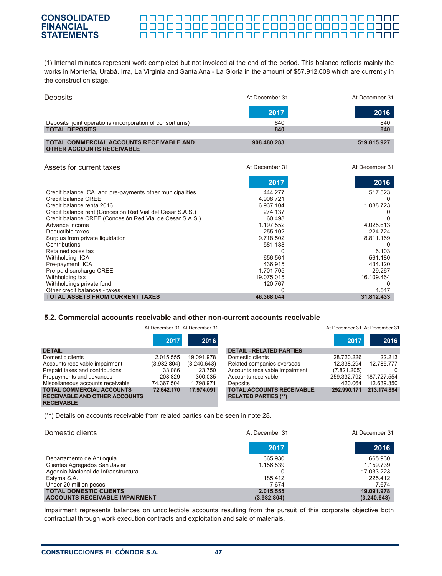#### 000000000000000000000000000000 0000000000000000000000000000000000

(1) Internal minutes represent work completed but not invoiced at the end of the period. This balance reflects mainly the works in Montería, Urabá, Irra, La Virginia and Santa Ana - La Gloria in the amount of \$57.912.608 which are currently in the construction stage.

| <b>Deposits</b>                                                                     | At December 31 | At December 31 |
|-------------------------------------------------------------------------------------|----------------|----------------|
|                                                                                     | 2017           | 2016           |
| Deposits joint operations (incorporation of consortiums)                            | 840            | 840            |
| <b>TOTAL DEPOSITS</b>                                                               | 840            | 840            |
|                                                                                     |                |                |
| <b>TOTAL COMMERCIAL ACCOUNTS RECEIVABLE AND</b><br><b>OTHER ACCOUNTS RECEIVABLE</b> | 908.480.283    | 519.815.927    |

| Assets for current taxes                                  | At December 31 | At December 31 |
|-----------------------------------------------------------|----------------|----------------|
|                                                           | 2017           | 2016           |
| Credit balance ICA and pre-payments other municipalities  | 444.277        | 517.523        |
| Credit balance CREE                                       | 4.908.721      |                |
| Credit balance renta 2016                                 | 6.937.104      | 1.088.723      |
| Credit balance rent (Concesión Red Vial del Cesar S.A.S.) | 274.137        |                |
| Credit balance CREE (Concesión Red Vial de Cesar S.A.S.)  | 60.498         |                |
| Advance income                                            | 1.197.552      | 4.025.613      |
| Deductible taxes                                          | 255.102        | 224.724        |
| Surplus from private liquidation                          | 9.718.502      | 8.811.169      |
| Contributions                                             | 581.188        |                |
| Retained sales tax                                        |                | 6.103          |
| Withholding ICA                                           | 656.561        | 561.180        |
| Pre-payment ICA                                           | 436.915        | 434.120        |
| Pre-paid surcharge CREE                                   | 1.701.705      | 29.267         |
| Withholding tax                                           | 19.075.015     | 16.109.464     |
| Withholdings private fund                                 | 120.767        |                |
| Other credit balances - taxes                             |                | 4.547          |
| <b>TOTAL ASSETS FROM CURRENT TAXES</b>                    | 46.368.044     | 31.812.433     |

#### **5.2. Commercial accounts receivable and other non-current accounts receivable**

|                                                                                               | At December 31 At December 31 |             |                                                                  | At December 31 At December 31 |             |
|-----------------------------------------------------------------------------------------------|-------------------------------|-------------|------------------------------------------------------------------|-------------------------------|-------------|
|                                                                                               | 2017                          | 2016        |                                                                  | 2017                          | 2016        |
| <b>DETAIL</b>                                                                                 |                               |             | <b>DETAIL - RELATED PARTIES</b>                                  |                               |             |
| Domestic clients                                                                              | 2.015.555                     | 19.091.978  | Domestic clients                                                 | 28.720.226                    | 22.213      |
| Accounts receivable impairment                                                                | (3.982.804)                   | (3.240.643) | Related companies overseas                                       | 12.338.294                    | 12.785.777  |
| Prepaid taxes and contributions                                                               | 33.086                        | 23.750      | Accounts receivable impairment                                   | (7.821.205)                   |             |
| Prepayments and advances                                                                      | 208.829                       | 300.035     | Accounts receivable                                              | 259.332.792                   | 187.727.554 |
| Miscellaneous accounts receivable                                                             | 74.367.504                    | 1.798.971   | <b>Deposits</b>                                                  | 420.064                       | 12.639.350  |
| <b>TOTAL COMMERCIAL ACCOUNTS</b><br><b>RECEIVABLE AND OTHER ACCOUNTS</b><br><b>RECEIVABLE</b> | 72.642.170                    | 17.974.091  | <b>TOTAL ACCOUNTS RECEIVABLE,</b><br><b>RELATED PARTIES (**)</b> | 292.990.171                   | 213.174.894 |

(\*\*) Details on accounts receivable from related parties can be seen in note 28.

| Domestic clients                      | At December 31 | At December 31 |
|---------------------------------------|----------------|----------------|
|                                       | 2017           | 2016           |
| Departamento de Antioquia             | 665.930        | 665.930        |
| Clientes Agregados San Javier         | 1.156.539      | 1.159.739      |
| Agencia Nacional de Infraestructura   |                | 17.033.223     |
| Estyma S.A.                           | 185.412        | 225.412        |
| Under 20 million pesos                | 7.674          | 7.674          |
| <b>TOTAL DOMESTIC CLIENTS</b>         | 2.015.555      | 19.091.978     |
| <b>ACCOUNTS RECEIVABLE IMPAIRMENT</b> | (3.982.804)    | (3.240.643)    |

Impairment represents balances on uncollectible accounts resulting from the pursuit of this corporate objective both contractual through work execution contracts and exploitation and sale of materials.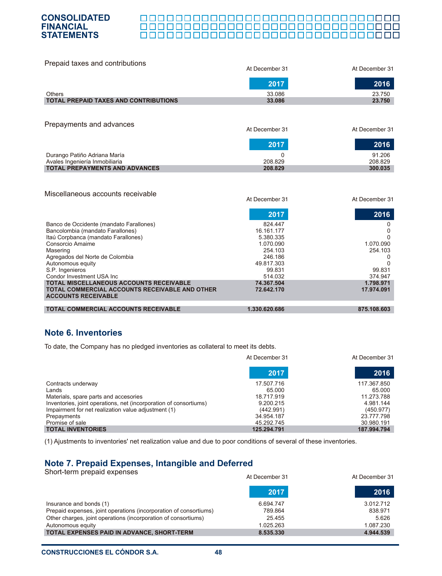#### П 000000000000000000000000000000000

| Prepaid taxes and contributions              | At December 31 | At December 31 |  |  |
|----------------------------------------------|----------------|----------------|--|--|
|                                              | 2017           | 2016           |  |  |
| <b>Others</b>                                | 33.086         | 23.750         |  |  |
| <b>TOTAL PREPAID TAXES AND CONTRIBUTIONS</b> | 33,086         | 23.750         |  |  |
| Prepayments and advances                     | At December 31 | At December 31 |  |  |
|                                              | 2017           | 2016           |  |  |
| Durango Patiño Adriana María                 | 0              | 91.206         |  |  |
| Avales Ingeniería Inmobiliaria               | 208.829        | 208.829        |  |  |
| <b>TOTAL PREPAYMENTS AND ADVANCES</b>        | 208.829        | 300.035        |  |  |
| Miscellaneous accounts receivable            | At December 31 | At December 31 |  |  |

|                                                                                     | 2017          | 2016        |
|-------------------------------------------------------------------------------------|---------------|-------------|
| Banco de Occidente (mandato Farallones)                                             | 824.447       |             |
| Bancolombia (mandato Farallones)                                                    | 16.161.177    |             |
| Itaú Corpbanca (mandato Farallones)                                                 | 5.380.335     |             |
| Consorcio Amaime                                                                    | 1.070.090     | 1.070.090   |
| Masering                                                                            | 254.103       | 254.103     |
| Agregados del Norte de Colombia                                                     | 246.186       |             |
| Autonomous equity                                                                   | 49.817.303    |             |
| S.P. Ingenieros                                                                     | 99.831        | 99.831      |
| Condor Investment USA Inc.                                                          | 514.032       | 374.947     |
| <b>TOTAL MISCELLANEOUS ACCOUNTS RECEIVABLE</b>                                      | 74.367.504    | 1.798.971   |
| <b>TOTAL COMMERCIAL ACCOUNTS RECEIVABLE AND OTHER</b><br><b>ACCOUNTS RECEIVABLE</b> | 72.642.170    | 17.974.091  |
| <b>TOTAL COMMERCIAL ACCOUNTS RECEIVABLE</b>                                         | 1.330.620.686 | 875.108.603 |

## **Note 6. Inventories**

To date, the Company has no pledged inventories as collateral to meet its debts.

|                                                                   | At December 31 | At December 31 |
|-------------------------------------------------------------------|----------------|----------------|
|                                                                   | 2017           | 2016           |
| Contracts underway                                                | 17.507.716     | 117.367.850    |
| Lands                                                             | 65.000         | 65.000         |
| Materials, spare parts and accesories                             | 18.717.919     | 11.273.788     |
| Inventories, joint operations, net (incorporation of consortiums) | 9.200.215      | 4.981.144      |
| Impairment for net realization value adjustment (1)               | (442.991)      | (450.977)      |
| Prepayments                                                       | 34.954.187     | 23.777.798     |
| Promise of sale                                                   | 45.292.745     | 30.980.191     |
| <b>TOTAL INVENTORIES</b>                                          | 125.294.791    | 187.994.794    |

(1) Ajustments to inventories' net realization value and due to poor conditions of several of these inventories.

# **Note 7. Prepaid Expenses, Intangible and Deferred**

Short-term prepaid expenses Insurance and bonds (1) Prepaid expenses, joint operations (incorporation of consortiums) Other charges, joint operations (incorporation of consortiums) Autonomous equity **TOTAL EXPENSES PAID IN ADVANCE, SHORT-TERM** 6.694.747 789.864 25.455 1.025.263  **8.535.330**  3.012.712 838.971 5.626 1.087.230 **4.944.539**  At December 31 At December 31 **2017 2016**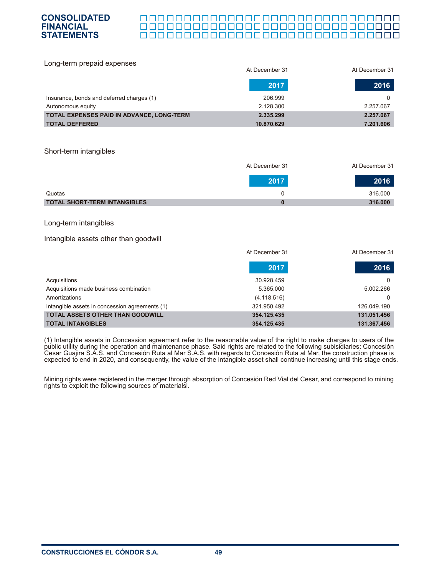

| Long-term prepaid expenses                |                |                |
|-------------------------------------------|----------------|----------------|
|                                           | At December 31 | At December 31 |
|                                           | 2017           | 2016           |
| Insurance, bonds and deferred charges (1) | 206.999        | 0              |
| Autonomous equity                         | 2.128.300      | 2.257.067      |
| TOTAL EXPENSES PAID IN ADVANCE, LONG-TERM | 2.335.299      | 2.257.067      |
| <b>TOTAL DEFFERED</b>                     | 10.870.629     | 7.201.606      |

#### Short-term intangibles

**CONSOLIDATED FINANCIAL STATEMENTS**

|                                     | At December 31 | At December 31 |
|-------------------------------------|----------------|----------------|
|                                     | 2017           | 2016           |
| Quotas                              |                | 316,000        |
| <b>TOTAL SHORT-TERM INTANGIBLES</b> |                | 316,000        |

#### Long-term intangibles

#### Intangible assets other than goodwill

|                                                | At December 31 | At December 31 |
|------------------------------------------------|----------------|----------------|
|                                                | 2017           | 2016           |
| Acquisitions                                   | 30.928.459     |                |
| Acquisitions made business combination         | 5.365.000      | 5.002.266      |
| Amortizations                                  | (4.118.516)    |                |
| Intangible assets in concession agreements (1) | 321.950.492    | 126.049.190    |
| <b>TOTAL ASSETS OTHER THAN GOODWILL</b>        | 354.125.435    | 131.051.456    |
| <b>TOTAL INTANGIBLES</b>                       | 354.125.435    | 131.367.456    |

(1) Intangible assets in Concession agreement refer to the reasonable value of the right to make charges to users of the public utility during the operation and maintenance phase. Said rights are related to the following subisidiaries: Concesión Cesar Guajira S.A.S. and Concesión Ruta al Mar S.A.S. with regards to Concesión Ruta al Mar, the construction phase is expected to end in 2020, and consequently, the value of the intangible asset shall continue increasing until this stage ends.

Mining rights were registered in the merger through absorption of Concesión Red Vial del Cesar, and correspond to mining rights to exploit the following sources of materialsl.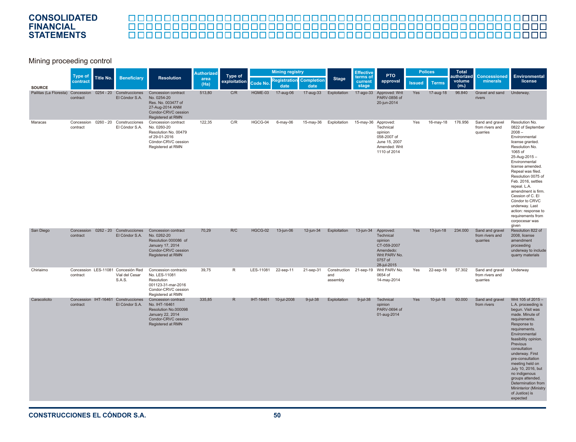# 

Mining proceeding control

|                        | <b>Type of</b>                   |           |                                                                |                                                                                                                              |              |              | <b>Authorized</b> | Type of               |                                        | <b>Mining registry</b> |                              |                                                                                                          | <b>Effective</b> | <b>PTO</b>   | <b>Polices</b>              |                                                | Total<br>authorized                                                                                                                                                                                                                                                                                                                                                                                                 | <b>Concessioned</b> | <b>Environmental</b> |
|------------------------|----------------------------------|-----------|----------------------------------------------------------------|------------------------------------------------------------------------------------------------------------------------------|--------------|--------------|-------------------|-----------------------|----------------------------------------|------------------------|------------------------------|----------------------------------------------------------------------------------------------------------|------------------|--------------|-----------------------------|------------------------------------------------|---------------------------------------------------------------------------------------------------------------------------------------------------------------------------------------------------------------------------------------------------------------------------------------------------------------------------------------------------------------------------------------------------------------------|---------------------|----------------------|
| <b>SOURCE</b>          | contract                         | Title No. | <b>Beneficiary</b>                                             | <b>Resolution</b>                                                                                                            | area<br>(Ha) | exploitation | Code No.          | date                  | <b>Registration</b> Completion<br>date | <b>Stage</b>           | terms of<br>current<br>stage | approval                                                                                                 | <b>Issued</b>    | <b>Terms</b> | volume<br>(m <sub>s</sub> ) | minerals                                       | license                                                                                                                                                                                                                                                                                                                                                                                                             |                     |                      |
| Pailitas (La Floresta) | Concession 0254 - 20<br>contract |           | Construcciones<br>El Cóndor S.A.                               | Concession contract<br>No. 0254-20<br>Res. No. 003477 of<br>27-Aug-2014 ANM<br>Condor-CRVC cession<br>Registered at RMN      | 513.80       | C/R          | HGME-03           | 17-aug-06             | 17-aug-33                              | Exploitation           | 17-ago-33                    | Approved: Writ<br>PARV-0856 of<br>20-jun-2014                                                            | Yes              | 17-aug-18    | 96.840                      | Gravel and sand<br>rivers                      | Underway.                                                                                                                                                                                                                                                                                                                                                                                                           |                     |                      |
| Maracas                | Concession<br>contract           |           | 0260 - 20 Construcciones<br>El Cóndor S.A.                     | Concession contract<br>No. 0260-20<br>Resolution No. 00479<br>of 29-01-2016<br>Cóndor-CRVC cession<br>Registered at RMN      | 122,35       | C/R          | HGCG-04           | 6-may-06              | 15-may-36                              | Exploitation           | 15-may-36 Approved:          | Technical<br>opinion<br>058-2007 of<br>June 15, 2007<br>Amended: Writ<br>1110 of 2014                    | Yes              | 16-may-18    | 176.956                     | Sand and gravel<br>from rivers and<br>quarries | Resolution No.<br>0822 of September<br>$2008 -$<br>Environmental<br>license granted.<br>Resolution No.<br>1065 of<br>$25 - Aug - 2015 -$<br>Environmental<br>license amended.<br>Repeal was filed.<br>Resolution 0075 of<br>Feb. 2016, settles<br>repeal. L.A.<br>amendment is firm.<br>Cession of C. El<br>Cóndor to CRVC<br>underway. Last<br>action: response to<br>requirements from<br>corpocesar was<br>given |                     |                      |
| San Diego              | contract                         |           | Concession 0262 - 20 Construcciones<br>El Cóndor S.A.          | Concession contract<br>No. 0262-20<br>Resolution 000086 of<br>January 17, 2014<br>Condor-CRVC cession<br>Registered at RMN   | 70,29        | R/C          | HGCG-02           | 13-jun-06             | 12-jun-34                              | Exploitation           | 13-jun-34                    | Approved:<br>Technical<br>opinion<br>CT-059-2007<br>Amendedo:<br>Writ PARV No.<br>0757 of<br>28-jul-2015 | <b>Yes</b>       | 13-jun-18    | 234.000                     | Sand and gravel<br>from rivers and<br>quarries | Resolution 822 of<br>2008, license<br>amendment<br>proceeding<br>underway to include<br>quarry materials                                                                                                                                                                                                                                                                                                            |                     |                      |
| Chiriaimo              | contract                         |           | Concession LES-11081 Concesión Red<br>Vial del Cesar<br>S.A.S. | Concession contracto<br>No. LES-11081<br>Resolution<br>001123-31-mar-2016<br>Condor-CRVC cession<br>Registered at RMN        | 39,75        | R            | LES-11081         | 22-sep-11             | 21-sep-31                              | and<br>assembly        |                              | Construction 21-sep-19 Writ PARV No.<br>0654 of<br>14-may-2014                                           | Yes              | 22-sep-18    | 57.302                      | Sand and gravel<br>from rivers and<br>quarries | Underway                                                                                                                                                                                                                                                                                                                                                                                                            |                     |                      |
| Caracolicito           | contract                         |           | Concession IHT-16461 Construcciones<br>El Cóndor S.A.          | Concession contract<br>No. IHT-16461<br>Resolution No.000098<br>January 22, 2014<br>Condor-CRVC cession<br>Registered at RMN | 335,85       | R            |                   | IHT-16461 10-jul-2008 | 9-jul-38                               | Exploitation           | $9$ -jul-38                  | Technical<br>opinion<br>PARV-0694 of<br>01-aug-2014                                                      | <b>Yes</b>       | $10$ -jul-18 | 60,000                      | Sand and gravel<br>from rivers                 | Writ 105 of 2015 -<br>L.A. proceeding is<br>begun. Visit was<br>made. Minute of<br>requirements.<br>Response to<br>requirements.<br>Environmental<br>feasibility opinion.<br>Previous<br>consultation<br>underway. First<br>pre-consultation<br>meeting held on<br>July 10, 2016, but<br>no indigenous<br>groups attended.<br>Determination from<br><b>Mininterior (Ministry</b><br>of Justice) is<br>expected      |                     |                      |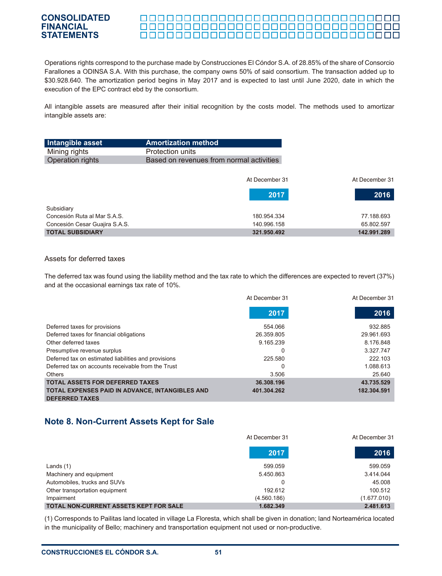#### <u> 000000000000000000000000000000000</u> <u> 00000000000000000000000000000</u>

Operations rights correspond to the purchase made by Construcciones El Cóndor S.A. of 28.85% of the share of Consorcio Farallones a ODINSA S.A. With this purchase, the company owns 50% of said consortium. The transaction added up to \$30.928.640. The amortization period begins in May 2017 and is expected to last until June 2020, date in which the execution of the EPC contract ebd by the consortium.

All intangible assets are measured after their initial recognition by the costs model. The methods used to amortizar intangible assets are:

| Intangible asset               | <b>Amortization method</b>               |                |
|--------------------------------|------------------------------------------|----------------|
| Mining rights                  | Protection units                         |                |
| Operation rights               | Based on revenues from normal activities |                |
|                                |                                          |                |
|                                | At December 31                           | At December 31 |
|                                | 2017                                     | 2016           |
| Subsidiary                     |                                          |                |
| Concesión Ruta al Mar S A S    | 180.954.334                              | 77.188.693     |
| Concesión Cesar Guajira S.A.S. | 140.996.158                              | 65.802.597     |
| <b>TOTAL SUBSIDIARY</b>        | 321.950.492                              | 142.991.289    |

#### Assets for deferred taxes

The deferred tax was found using the liability method and the tax rate to which the differences are expected to revert (37%) and at the occasional earnings tax rate of 10%.

|                                                      | At December 31 | At December 31 |
|------------------------------------------------------|----------------|----------------|
|                                                      | 2017           | 2016           |
| Deferred taxes for provisions                        | 554.066        | 932.885        |
| Deferred taxes for financial obligations             | 26.359.805     | 29.961.693     |
| Other deferred taxes                                 | 9.165.239      | 8.176.848      |
| Presumptive revenue surplus                          |                | 3.327.747      |
| Deferred tax on estimated liabilities and provisions | 225.580        | 222.103        |
| Deferred tax on accounts receivable from the Trust   |                | 1.088.613      |
| <b>Others</b>                                        | 3.506          | 25.640         |
| <b>TOTAL ASSETS FOR DEFERRED TAXES</b>               | 36.308.196     | 43.735.529     |
| TOTAL EXPENSES PAID IN ADVANCE, INTANGIBLES AND      | 401.304.262    | 182.304.591    |
| <b>DEFERRED TAXES</b>                                |                |                |

# **Note 8. Non-Current Assets Kept for Sale**

|                                               | At December 31 | At December 31 |
|-----------------------------------------------|----------------|----------------|
|                                               | 2017           | 2016           |
| Lands $(1)$                                   | 599.059        | 599.059        |
| Machinery and equipment                       | 5.450.863      | 3.414.044      |
| Automobiles, trucks and SUVs                  |                | 45.008         |
| Other transportation equipment                | 192.612        | 100.512        |
| Impairment                                    | (4.560.186)    | (1.677.010)    |
| <b>TOTAL NON-CURRENT ASSETS KEPT FOR SALE</b> | 1.682.349      | 2.481.613      |

(1) Corresponds to Pailitas land located in village La Floresta, which shall be given in donation; land Norteamérica located in the municipality of Bello; machinery and transportation equipment not used or non-productive.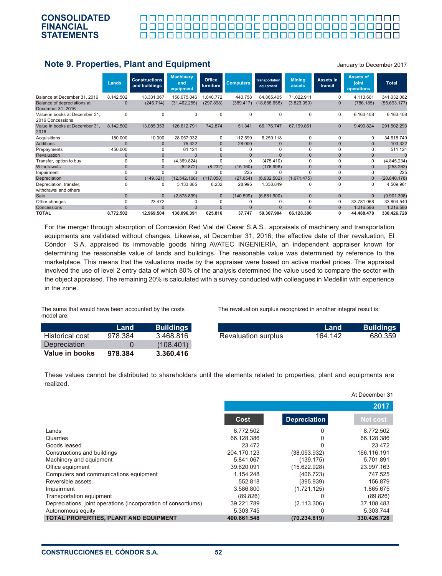

# **Note 9. Properties, Plant and Equipment**

January to December 2017

At December 31

|                                                    | Lands          | <b>Constructions</b><br>and buildings | <b>Machinery</b><br>and<br>equipment | Office<br>furniture | <b>Computers</b> | Transportation<br>equipment | Mining<br>assets | Assets in<br>transit | <b>Assets of</b><br>joint<br>operations | <b>Total</b> |
|----------------------------------------------------|----------------|---------------------------------------|--------------------------------------|---------------------|------------------|-----------------------------|------------------|----------------------|-----------------------------------------|--------------|
| Balance at December 31, 2016                       | 8.142.502      | 13.331.067                            | 158.075.046                          | 1.040.772           | 440.758          | 84.865.405                  | 71.022.911       | O                    | 4.113.601                               | 341.032.062  |
| Balance of depreciations at<br>December 31, 2016   | 0              | (245.714)                             | (31.462.255)                         | (297.898)           | (389.417)        | (18.688.658)                | (3.823.050)      | $\Omega$             | (786.185)                               | (55.693.177) |
| Value in books at December 31,<br>2016 Concessions | $\Omega$       | $\Omega$                              | 0                                    | 0                   | 0                | 0                           | 0                | 0                    | 6.163.408                               | 6.163.408    |
| Value in books at December 31.<br>2016             | 8.142.502      | 13.085.353                            | 126.612.791                          | 742.874             | 51.341           | 66.176.747                  | 67.199.861       | $\Omega$             | 9.490.824                               | 291.502.293  |
| Acquisitions                                       | 180.000        | 10.000                                | 28.057.032                           | 0                   | 112.599          | 6.259.118                   | $\Omega$         | 0                    | $\Omega$                                | 34.618.749   |
| <b>Additions</b>                                   | $\Omega$       | $\Omega$                              | 75.322                               | $\Omega$            | 28,000           | $\mathbf{0}$                | $\mathbf{0}$     | $\overline{0}$       | $\Omega$                                | 103.322      |
| Prepayments                                        | 450.000        | 0                                     | 61.124                               | 0                   | 0                | 0                           | 0                | $\Omega$             | 0                                       | 511.124      |
| Revaluation                                        | $\mathbf{0}$   | $\mathbf{0}$                          | $\Omega$                             | $\Omega$            | $\Omega$         | $\Omega$                    | $\mathbf{0}$     | $\Omega$             | $\mathbf{0}$                            |              |
| Transfer, option to buy                            | 0              | $\Omega$                              | (4.369.824)                          | $\Omega$            | 0                | (475.410)                   | $\Omega$         | $\Omega$             | 0                                       | (4.845.234)  |
| Withdrawals                                        | $\overline{0}$ | $\Omega$                              | (52.872)                             | (8.232)             | (15.160)         | (176.998)                   | $\mathbf{0}$     | $\mathbf{0}$         | $\Omega$                                | (253.262)    |
| Impairment                                         | 0              | $\Omega$                              | 0                                    | 0                   | 225              | 0                           | $\Omega$         | $\Omega$             | $\Omega$                                | 225          |
| Depreciation                                       | $\mathbf{0}$   | (149.321)                             | (12.542.168)                         | (117.058)           | (27.654)         | (6.932.502)                 | (1.071.475)      | $\Omega$             | $\Omega$                                | (20.840.178) |
| Depreciation, transfer,<br>withdrawal and others   | 0              | 0                                     | 3.133.885                            | 8.232               | 28.995           | 1.338.849                   | 0                | $\Omega$             | 0                                       | 4.509.961    |
| Sale                                               | $\overline{0}$ | $\Omega$                              | (2.878.899)                          | $\overline{0}$      | (140.599)        | (6.881.900)                 | $\mathbf{0}$     | $\overline{0}$       | $\Omega$                                | (9.901.398)  |
| Other changes                                      | 0              | 23.472                                | $\Omega$                             | $\Omega$            | $\Omega$         | 0                           | $\Omega$         | 0                    | 33.781.068                              | 33.804.540   |
| Concessions                                        | $\Omega$       | $\Omega$                              | $\Omega$                             | $\Omega$            | $\Omega$         | $\Omega$                    | $\Omega$         | $\Omega$             | 1.216.586                               | 1.216.586    |
| <b>TOTAL</b>                                       | 8.772.502      | 12.969.504                            | 138.096.391                          | 625.816             | 37.747           | 59.307.904                  | 66.128.386       | 0                    | 44.488.478                              | 330.426.728  |

For the merger through absorption of Concesión Red Vial del Cesar S.A.S., appraisals of machinery and transportation equipments are validated without changes. Likewise, at December 31, 2016, the effective date of ther revaluation, El Cóndor S.A. appraised its immovable goods hiring AVATEC INGENIERÌA, an independent appraiser known for determining the reasonable value of lands and buildings. The reasonable value was determined by reference to the marketplace. This means that the valuations made by the appraiser were based on active market prices. The appraisal involved the use of level 2 entry data of which 80% of the analysis determined the value used to compare the sector with the object appraised. The remaining 20% is calculated with a survey conducted with colleagues in Medellin with experience in the zone.

The sums that would have been accounted by the costs model are:

Historical cost **Depreciation Value in books**

**Land** 978.384  $\Omega$ **978.384** **Buil** 

**3.360.416**

The revaluation surplus recognized in another integral result is:

| <b>Buildings</b> |                     | Land    | <b>Buildings</b> |
|------------------|---------------------|---------|------------------|
| 3.468.816        | Revaluation surplus | 164.142 | 680.359          |
| (108.401)        |                     |         |                  |

These values cannot be distributed to shareholders until the elements related to properties, plant and equipments are realized.

|                                                                |             |                     | 2017        |
|----------------------------------------------------------------|-------------|---------------------|-------------|
|                                                                | Cost        | <b>Depreciation</b> | Net cost    |
| Lands                                                          | 8.772.502   |                     | 8.772.502   |
| Quarries                                                       | 66.128.386  |                     | 66.128.386  |
| Goods leased                                                   | 23.472      |                     | 23.472      |
| Constructions and buildings                                    | 204.170.123 | (38.053.932)        | 166.116.191 |
| Machinery and equipment                                        | 5.841.067   | (139.175)           | 5.701.891   |
| Office equipment                                               | 39.620.091  | (15.622.928)        | 23.997.163  |
| Computers and communications equipment                         | 1.154.248   | (406.723)           | 747.525     |
| Reversible assets                                              | 552.818     | (395.939)           | 156.879     |
| Impairment                                                     | 3.586.800   | (1.721.125)         | 1.865.675   |
| Transportation equipment                                       | (89.826)    |                     | (89.826)    |
| Depreciations, joint operations (incorporation of consortiums) | 39.221.789  | (2.113.306)         | 37.108.483  |
| Autonomous equity                                              | 5.303.745   | 0                   | 5.303.744   |
| TOTAL PROPERTIES, PLANT AND EQUIPMENT                          | 400.661.548 | (70.234.819)        | 330.426.728 |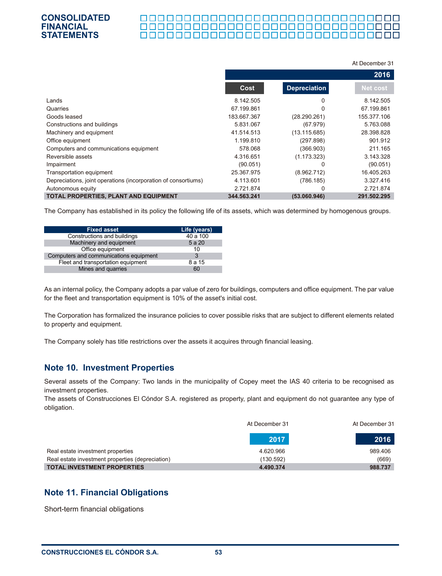#### **CONSOLIDATED FINANCIAL** 0000000000000000000000000000000000 **STATEMENTS**

|                                                                |             |                     | At December 31 |
|----------------------------------------------------------------|-------------|---------------------|----------------|
|                                                                |             |                     | 2016           |
|                                                                | <b>Cost</b> | <b>Depreciation</b> | Net cost       |
| Lands                                                          | 8.142.505   | 0                   | 8.142.505      |
| Quarries                                                       | 67.199.861  |                     | 67.199.861     |
| Goods leased                                                   | 183.667.367 | (28.290.261)        | 155.377.106    |
| Constructions and buildings                                    | 5.831.067   | (67.979)            | 5.763.088      |
| Machinery and equipment                                        | 41.514.513  | (13.115.685)        | 28.398.828     |
| Office equipment                                               | 1.199.810   | (297.898)           | 901.912        |
| Computers and communications equipment                         | 578.068     | (366.903)           | 211.165        |
| Reversible assets                                              | 4.316.651   | (1.173.323)         | 3.143.328      |
| Impairment                                                     | (90.051)    | 0                   | (90.051)       |
| Transportation equipment                                       | 25.367.975  | (8.962.712)         | 16.405.263     |
| Depreciations, joint operations (incorporation of consortiums) | 4.113.601   | (786.185)           | 3.327.416      |
| Autonomous equity                                              | 2.721.874   | 0                   | 2.721.874      |
| TOTAL PROPERTIES, PLANT AND EQUIPMENT                          | 344.563.241 | (53.060.946)        | 291.502.295    |

The Company has established in its policy the following life of its assets, which was determined by homogenous groups.

| <b>Fixed asset</b>                     | Life (years) |
|----------------------------------------|--------------|
| Constructions and buildings            | 40 a 100     |
| Machinery and equipment                | 5 a 20       |
| Office equipment                       | 10           |
| Computers and communications equipment | 3            |
| Fleet and transportation equipment     | 8 a 15       |
| Mines and quarries                     | 60           |

As an internal policy, the Company adopts a par value of zero for buildings, computers and office equipment. The par value for the fleet and transportation equipment is 10% of the asset's initial cost.

The Corporation has formalized the insurance policies to cover possible risks that are subject to different elements related to property and equipment.

The Company solely has title restrictions over the assets it acquires through financial leasing.

## **Note 10. Investment Properties**

Several assets of the Company: Two lands in the municipality of Copey meet the IAS 40 criteria to be recognised as investment properties.

The assets of Construcciones El Cóndor S.A. registered as property, plant and equipment do not guarantee any type of obligation.

|                                                  | At December 31 | At December 31 |
|--------------------------------------------------|----------------|----------------|
|                                                  | 2017           | 2016           |
| Real estate investment properties                | 4.620.966      | 989.406        |
| Real estate investment properties (depreciation) | (130.592)      | (669)          |
| <b>TOTAL INVESTMENT PROPERTIES</b>               | 4.490.374      | 988.737        |

# **Note 11. Financial Obligations**

Short-term financial obligations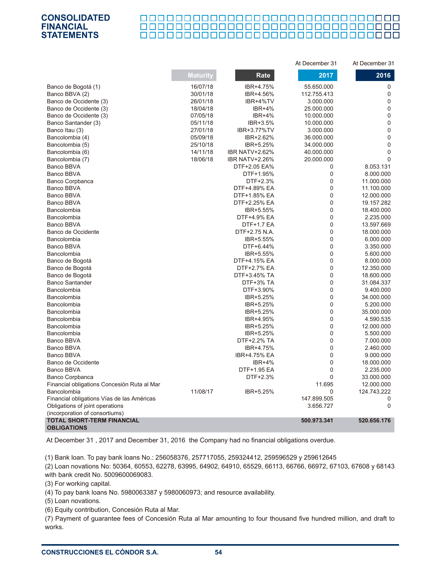#### <u> 000000000000000000000000000000000</u>

| <b>CONSOLIDATED</b> |  |
|---------------------|--|
| FINANCIAL           |  |
| STATEMENTS          |  |

|                                                                     |                 |                       | At December 31 | At December 31   |
|---------------------------------------------------------------------|-----------------|-----------------------|----------------|------------------|
|                                                                     | <b>Maturity</b> | Rate                  | 2017           | 2016             |
| Banco de Bogotá (1)                                                 | 16/07/18        | IBR+4.75%             | 55.650.000     | 0                |
| Banco BBVA (2)                                                      | 30/01/18        | IBR+4.56%             | 112.755.413    | 0                |
| Banco de Occidente (3)                                              | 26/01/18        | IBR+4%TV              | 3.000.000      | 0                |
| Banco de Occidente (3)                                              | 18/04/18        | <b>IBR+4%</b>         | 25.000.000     | 0                |
| Banco de Occidente (3)                                              | 07/05/18        | <b>IBR+4%</b>         | 10.000.000     | 0                |
| Banco Santander (3)                                                 | 05/11/18        | IBR+3.5%              | 10.000.000     | $\overline{0}$   |
| Banco Itau (3)                                                      | 27/01/18        | IBR+3.77%TV           | 3.000.000      | $\mathbf{0}$     |
| Bancolombia (4)                                                     | 05/09/18        | IBR+2.62%             | 36.000.000     | 0                |
| Bancolombia (5)                                                     | 25/10/18        | IBR+5.25%             | 34.000.000     | 0                |
| Bancolombia (6)                                                     | 14/11/18        | <b>IBR NATV+2.62%</b> | 40.000.000     | 0                |
| Bancolombia (7)                                                     | 18/06/18        | <b>IBR NATV+2.26%</b> | 20.000.000     | $\Omega$         |
| Banco BBVA                                                          |                 | DTF+2.05 EA%          | 0              | 8.053.131        |
| Banco BBVA                                                          |                 | DTF+1.95%             | 0              | 8.000.000        |
| Banco Corpbanca                                                     |                 | DTF+2.3%              | $\mathbf 0$    | 11.000.000       |
| <b>Banco BBVA</b>                                                   |                 | DTF+4.89% EA          | $\mathbf 0$    | 11.100.000       |
| Banco BBVA                                                          |                 | DTF+1.85% EA          | $\mathbf 0$    | 12.000.000       |
| <b>Banco BBVA</b>                                                   |                 | DTF+2.25% EA          | $\mathbf 0$    | 19.157.282       |
| Bancolombia                                                         |                 | IBR+5.55%             | $\mathbf 0$    | 18.400.000       |
| Bancolombia                                                         |                 | DTF+4.9% EA           | $\mathbf 0$    | 2.235.000        |
| Banco BBVA                                                          |                 | DTF+1.7 EA            | $\mathbf 0$    | 13.597.669       |
| Banco de Occidente                                                  |                 | DTF+2.75 N.A.         | $\mathbf 0$    | 18.000.000       |
| Bancolombia                                                         |                 | IBR+5.55%             | $\mathbf 0$    | 6.000.000        |
| Banco BBVA                                                          |                 | DTF+6.44%             | $\mathbf 0$    | 3.350.000        |
| Bancolombia                                                         |                 | IBR+5.55%             | $\mathbf 0$    | 5.600.000        |
| Banco de Bogotá                                                     |                 | DTF+4.15% EA          | $\Omega$       | 8.000.000        |
| Banco de Bogotá                                                     |                 | DTF+2.7% EA           | $\overline{0}$ | 12.350.000       |
| Banco de Bogotá                                                     |                 | DTF+3.45% TA          | $\mathbf 0$    | 18.600.000       |
| <b>Banco Santander</b>                                              |                 | DTF+3% TA             | $\mathbf 0$    | 31.084.337       |
| Bancolombia                                                         |                 | DTF+3.90%             | $\mathbf 0$    | 9.400.000        |
| Bancolombia                                                         |                 | IBR+5.25%             | $\mathbf 0$    | 34.000.000       |
| Bancolombia                                                         |                 | IBR+5.25%             | $\mathbf 0$    | 5.200.000        |
| Bancolombia                                                         |                 | IBR+5.25%             | $\mathbf 0$    | 35.000.000       |
| Bancolombia                                                         |                 | IBR+4.95%             | $\mathbf{0}$   | 4.590.535        |
| Bancolombia                                                         |                 | IBR+5.25%             | $\mathbf 0$    | 12.000.000       |
| Bancolombia                                                         |                 | IBR+5.25%             | $\mathbf 0$    | 5.500.000        |
| Banco BBVA                                                          |                 | DTF+2.2% TA           | $\mathbf 0$    | 7.000.000        |
| <b>Banco BBVA</b>                                                   |                 | IBR+4.75%             | $\mathbf 0$    | 2.460.000        |
| Banco BBVA                                                          |                 | IBR+4.75% EA          | $\Omega$       | 9.000.000        |
| Banco de Occidente                                                  |                 | <b>IBR+4%</b>         | $\Omega$       |                  |
| Banco BBVA                                                          |                 | DTF+1.95 EA           | $\mathbf 0$    | 18.000.000       |
|                                                                     |                 | DTF+2.3%              | $\mathbf 0$    | 2.235.000        |
| Banco Corpbanca                                                     |                 |                       | 11.695         | 33.000.000       |
| Financial obligations Concesión Ruta al Mar                         |                 |                       | $\mathbf{0}$   | 12.000.000       |
| Bancolombia<br>Financial obligations Vías de las Américas           | 11/08/17        | IBR+5.25%             | 147.899.505    | 124.743.222<br>0 |
|                                                                     |                 |                       |                | 0                |
| Obligations of joint operations                                     |                 |                       | 3.656.727      |                  |
| (incorporation of consortiums)<br><b>TOTAL SHORT-TERM FINANCIAL</b> |                 |                       | 500.973.341    | 520.656.176      |
| <b>OBLIGATIONS</b>                                                  |                 |                       |                |                  |

At December 31 , 2017 and December 31, 2016 the Company had no financial obligations overdue.

(1) Bank loan. To pay bank loans No.: 256058376, 257717055, 259324412, 259596529 y 259612645

(2) Loan novations No: 50364, 60553, 62278, 63995, 64902, 64910, 65529, 66113, 66766, 66972, 67103, 67608 y 68143 with bank credit No. 5009600069083.

(3) For working capital.

(4) To pay bank loans No. 5980063387 y 5980060973; and resource availability.

(5) Loan novations.

(6) Equity contribution, Concesión Ruta al Mar.

(7) Payment of guarantee fees of Concesión Ruta al Mar amounting to four thousand five hundred million, and draft to works.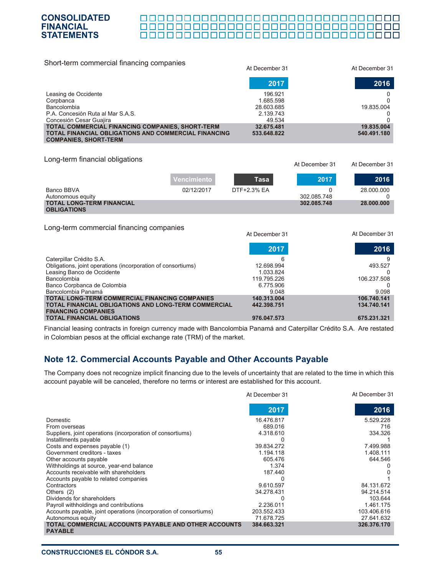#### 000000000000000000000000000000000 П

At December 31 At December 31

| Short-term commercial financing companies                                                   | At December 31 | At December 31 |
|---------------------------------------------------------------------------------------------|----------------|----------------|
|                                                                                             | 2017           | 2016           |
| Leasing de Occidente                                                                        | 196.921        | 0              |
| Corpbanca                                                                                   | 1.685.598      |                |
| Bancolombia                                                                                 | 28.603.685     | 19.835.004     |
| P.A. Concesión Ruta al Mar S.A.S.                                                           | 2.139.743      |                |
| Concesión Cesar Guajira                                                                     | 49.534         |                |
| TOTAL COMMERCIAL FINANCING COMPANIES, SHORT-TERM                                            | 32.675.481     | 19.835.004     |
| <b>TOTAL FINANCIAL OBLIGATIONS AND COMMERCIAL FINANCING</b><br><b>COMPANIES, SHORT-TERM</b> | 533.648.822    | 540.491.180    |

#### Long-term financial obligations

**CONSOLIDATED FINANCIAL STATEMENTS**

|                                                                                    | Vencimiento | Tasa           | 2017        | 2016           |
|------------------------------------------------------------------------------------|-------------|----------------|-------------|----------------|
| Banco BBVA                                                                         | 02/12/2017  | DTF+2.3% EA    |             | 28.000.000     |
| Autonomous equity                                                                  |             |                | 302.085.748 |                |
| <b>TOTAL LONG-TERM FINANCIAL</b>                                                   |             |                | 302.085.748 | 28.000.000     |
| <b>OBLIGATIONS</b>                                                                 |             |                |             |                |
|                                                                                    |             |                |             |                |
| Long-term commercial financing companies                                           |             |                |             |                |
|                                                                                    |             | At December 31 |             | At December 31 |
|                                                                                    |             |                |             |                |
|                                                                                    |             | 2017           |             | 2016           |
|                                                                                    |             |                |             |                |
| Caterpillar Crédito S.A.                                                           |             | 6              |             | 9              |
| Obligations, joint operations (incorporation of consortiums)                       |             | 12.698.994     |             | 493.527        |
| Leasing Banco de Occidente                                                         |             | 1.033.824      |             |                |
| Bancolombia                                                                        |             | 119.795.226    |             | 106.237.508    |
| Banco Corpbanca de Colombia                                                        |             | 6.775.906      |             |                |
| Bancolombia Panamá                                                                 |             | 9.048          |             | 9.098          |
| <b>TOTAL LONG-TERM COMMERCIAL FINANCING COMPANIES</b>                              |             | 140.313.004    |             | 106.740.141    |
| TOTAL FINANCIAL OBLIGATIONS AND LONG-TERM COMMERCIAL<br><b>FINANCING COMPANIES</b> |             | 442.398.751    |             | 134.740.141    |
| <b>TOTAL FINANCIAL OBLIGATIONS</b>                                                 |             | 976.047.573    |             | 675.231.321    |
|                                                                                    |             |                |             |                |

Financial leasing contracts in foreign currency made with Bancolombia Panamá and Caterpillar Crédito S.A. Are restated in Colombian pesos at the official exchange rate (TRM) of the market.

# **Note 12. Commercial Accounts Payable and Other Accounts Payable**

The Company does not recognize implicit financing due to the levels of uncertainty that are related to the time in which this account payable will be canceled, therefore no terms or interest are established for this account.

|                                                                        | At December 31 | At December 31 |
|------------------------------------------------------------------------|----------------|----------------|
|                                                                        | 2017           | 2016           |
| Domestic                                                               | 16.476.817     | 5.529.228      |
| From overseas                                                          | 689.016        | 716            |
| Suppliers, joint operations (incorporation of consortiums)             | 4.318.610      | 334.326        |
| Installments payable                                                   |                |                |
| Costs and expenses payable (1)                                         | 39.834.272     | 7.499.988      |
| Government creditors - taxes                                           | 1.194.118      | 1.408.111      |
| Other accounts payable                                                 | 605.476        | 644.546        |
| Withholdings at source, year-end balance                               | 1.374          |                |
| Accounts receivable with shareholders                                  | 187.440        |                |
| Accounts payable to related companies                                  |                |                |
| Contractors                                                            | 9.610.597      | 84.131.672     |
| Others $(2)$                                                           | 34.278.431     | 94.214.514     |
| Dividends for shareholders                                             |                | 103.644        |
| Payroll withholdings and contributions                                 | 2.236.011      | 1.461.175      |
| Accounts payable, joint operations (incorporation of consortiums)      | 203.552.433    | 103.406.616    |
| Autonomous equity                                                      | 71.678.725     | 27.641.632     |
| TOTAL COMMERCIAL ACCOUNTS PAYABLE AND OTHER ACCOUNTS<br><b>PAYABLE</b> | 384.663.321    | 326.376.170    |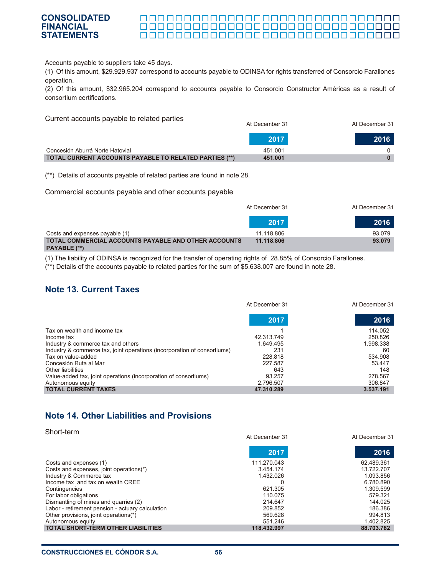#### **CONSOLIDATED** 000000000000000000000000000000000 **FINANCIAL** \_\_\_\_\_\_\_\_\_\_\_\_\_\_\_\_\_\_\_\_\_\_\_\_\_\_\_\_\_\_\_\_\_\_\_ 0000000000000000000000000000000000 **STATEMENTS**

Accounts payable to suppliers take 45 days.

(1) Of this amount, \$29.929.937 correspond to accounts payable to ODINSA for rights transferred of Consorcio Farallones operation.

(2) Of this amount, \$32.965.204 correspond to accounts payable to Consorcio Constructor Américas as a result of consortium certifications.

Current accounts payable to related parties

|                                                        | At December 31 | At December 31 |
|--------------------------------------------------------|----------------|----------------|
|                                                        | 2017           | 2016           |
| Concesión Aburrá Norte Hatovial                        | 451.001        |                |
| TOTAL CURRENT ACCOUNTS PAYABLE TO RELATED PARTIES (**) | 451.001        |                |

(\*\*) Details of accounts payable of related parties are found in note 28.

Commercial accounts payable and other accounts payable

|                                                             | At December 31 | At December 31 |
|-------------------------------------------------------------|----------------|----------------|
|                                                             | 2017           | 2016           |
| Costs and expenses payable (1)                              | 11.118.806     | 93.079         |
| <b>TOTAL COMMERCIAL ACCOUNTS PAYABLE AND OTHER ACCOUNTS</b> | 11.118.806     | 93.079         |
| PAYABLE (**)                                                |                |                |

(1) The liability of ODINSA is recognized for the transfer of operating rights of 28.85% of Consorcio Farallones.

(\*\*) Details of the accounts payable to related parties for the sum of \$5.638.007 are found in note 28.

## **Note 13. Current Taxes**

|                                                                          | At December 31 | At December 31 |
|--------------------------------------------------------------------------|----------------|----------------|
|                                                                          | 2017           | 2016           |
| Tax on wealth and income tax                                             |                | 114.052        |
| Income tax                                                               | 42.313.749     | 250.826        |
| Industry & commerce tax and others                                       | 1.649.495      | 1.998.338      |
| Industry & commerce tax, joint operations (incorporation of consortiums) | 231            | 60             |
| Tax on value-added                                                       | 228.818        | 534.908        |
| Concesión Ruta al Mar                                                    | 227.587        | 53.447         |
| Other liabilities                                                        | 643            | 148            |
| Value-added tax, joint operations (incorporation of consortiums)         | 93.257         | 278.567        |
| Autonomous equity                                                        | 2.796.507      | 306.847        |
| <b>TOTAL CURRENT TAXES</b>                                               | 47.310.289     | 3.537.191      |

# **Note 14. Other Liabilities and Provisions**

| Short-term                                       | At December 31 | At December 31 |
|--------------------------------------------------|----------------|----------------|
|                                                  | 2017           | 2016           |
| Costs and expenses (1)                           | 111.270.043    | 62.489.361     |
| Costs and expenses, joint operations(*)          | 3.454.174      | 13.722.707     |
| Industry & Commerce tax                          | 1.432.026      | 1.093.856      |
| Income tax and tax on wealth CREE                | 0              | 6.780.890      |
| Contingencies                                    | 621.305        | 1.309.599      |
| For labor obligations                            | 110.075        | 579.321        |
| Dismantling of mines and quarries (2)            | 214.647        | 144.025        |
| Labor - retirement pension - actuary calculation | 209.852        | 186.386        |
| Other provisions, joint operations(*)            | 569.628        | 994.813        |
| Autonomous equity                                | 551.246        | 1.402.825      |
| <b>TOTAL SHORT-TERM OTHER LIABILITIES</b>        | 118.432.997    | 88.703.782     |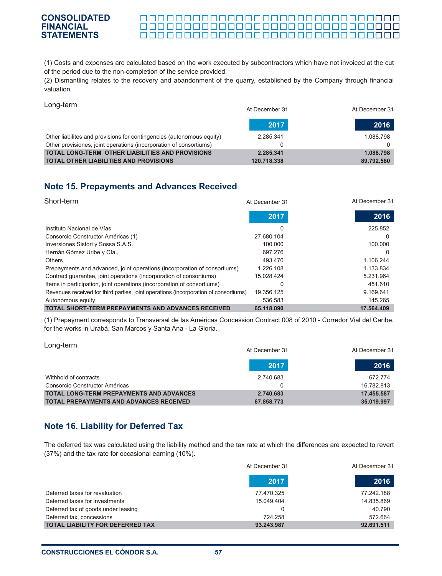#### \_\_\_\_\_\_\_\_\_\_\_\_\_\_\_\_\_\_\_\_\_\_\_\_\_\_\_\_\_\_\_\_\_\_\_

(1) Costs and expenses are calculated based on the work executed by subcontractors which have not invoiced at the cut of the period due to the non-completion of the service provided.

(2) Dismantling relates to the recovery and abandonment of the quarry, established by the Company through financial valuation.

Long-term

| $- - - - - -$                                                         | At December 31 | At December 31 |
|-----------------------------------------------------------------------|----------------|----------------|
|                                                                       | 2017           | 2016           |
| Other liabilites and provisions for contingencies (autonomous equity) | 2.285.341      | 1.088.798      |
| Other provisiones, joint operations (incorporation of consortiums)    |                |                |
| <b>TOTAL LONG-TERM OTHER LIABILITIES AND PROVISIONS</b>               | 2.285.341      | 1.088.798      |
| <b>TOTAL OTHER LIABILITIES AND PROVISIONS</b>                         | 120.718.338    | 89.792.580     |

# **Note 15. Prepayments and Advances Received**

| Short-term                                                                           | At December 31 | At December 31 |
|--------------------------------------------------------------------------------------|----------------|----------------|
|                                                                                      | 2017           | 2016           |
| Instituto Nacional de Vías                                                           | 0              | 225.852        |
| Consorcio Constructor Américas (1)                                                   | 27.680.104     | 0              |
| Inversiones Sistori y Sossa S.A.S.                                                   | 100.000        | 100.000        |
| Hernán Gómez Uribe y Cía.,                                                           | 697.276        | 0              |
| <b>Others</b>                                                                        | 493.470        | 1.106.244      |
| Prepayments and advanced, joint operations (incorporation of consortiums)            | 1.226.108      | 1.133.834      |
| Contract guarantee, joint operations (incorporation of consortiums)                  | 15.028.424     | 5.231.964      |
| Items in participation, joint operations (incorporation of consortiums)              | $\Omega$       | 451.610        |
| Revenues received for third parties, joint operations (incorporation of consortiums) | 19.356.125     | 9.169.641      |
| Autonomous equity                                                                    | 536,583        | 145.265        |
| <b>TOTAL SHORT-TERM PREPAYMENTS AND ADVANCES RECEIVED</b>                            | 65.118.090     | 17.564.409     |

(1) Prepayment corresponds to Transversal de las Américas Concession Contract 008 of 2010 - Corredor Vial del Caribe, for the works in Urabá, San Marcos y Santa Ana - La Gloria.

| Long-term                                                                                         | At December 31          | At December 31           |
|---------------------------------------------------------------------------------------------------|-------------------------|--------------------------|
|                                                                                                   | 2017                    | 2016                     |
| Withhold of contracts                                                                             | 2.740.683               | 672.774                  |
| Consorcio Constructor Américas                                                                    |                         | 16.782.813               |
| <b>TOTAL LONG-TERM PREPAYMENTS AND ADVANCES</b><br><b>TOTAL PREPAYMENTS AND ADVANCES RECEIVED</b> | 2.740.683<br>67.858.773 | 17.455.587<br>35.019.997 |

# **Note 16. Liability for Deferred Tax**

The deferred tax was calculated using the liability method and the tax rate at which the differences are expected to revert (37%) and the tax rate for occasional earning (10%).

|                                         | At December 31 | At December 31 |
|-----------------------------------------|----------------|----------------|
|                                         | 2017           | 2016           |
| Deferred taxes for revaluation          | 77.470.325     | 77.242.188     |
| Deferred taxes for investments          | 15.049.404     | 14.835.869     |
| Deferred tax of goods under leasing     |                | 40.790         |
| Deferred tax, concessions               | 724.258        | 572.664        |
| <b>TOTAL LIABILITY FOR DEFERRED TAX</b> | 93.243.987     | 92.691.511     |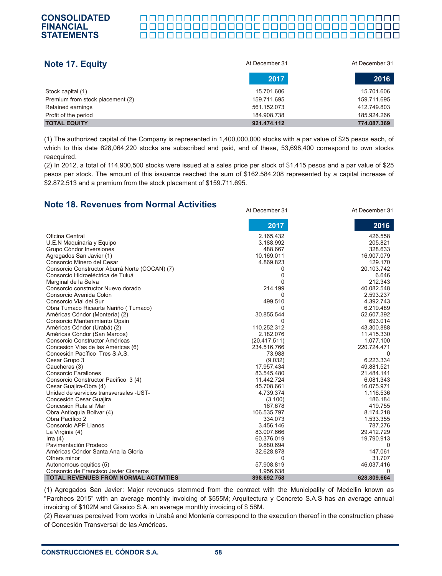#### **CONSOLIDATED FINANCIAL STATEMENTS**<u> 000000000000000000000000000000000</u>

| Note 17. Equity                  | At December 31 | At December 31 |
|----------------------------------|----------------|----------------|
|                                  | 2017           | 2016           |
| Stock capital (1)                | 15.701.606     | 15.701.606     |
| Premium from stock placement (2) | 159.711.695    | 159.711.695    |
| Retained earnings                | 561.152.073    | 412.749.803    |
| Profit of the period             | 184.908.738    | 185.924.266    |
| <b>TOTAL EQUITY</b>              | 921.474.112    | 774.087.369    |

(1) The authorized capital of the Company is represented in 1,400,000,000 stocks with a par value of \$25 pesos each, of which to this date 628,064,220 stocks are subscribed and paid, and of these, 53,698,400 correspond to own stocks reacquired.

(2) In 2012, a total of 114,900,500 stocks were issued at a sales price per stock of \$1.415 pesos and a par value of \$25 pesos per stock. The amount of this issuance reached the sum of \$162.584.208 represented by a capital increase of \$2.872.513 and a premium from the stock placement of \$159.711.695.

> 426.558 205.821 328.633

#### Oficina Central U.E.N Maquinaria y Equipo Grupo Cóndor Inversiones Agregados San Javier (1) Consorcio Minero del Cesar Consorcio Constructor Aburrá Norte (COCAN) (7) 2.165.432 3.188.992 488.667 10.169.011 4.869.823 0 At December 31 At December 31 **2017 2016**

**Note 18. Revenues from Normal Activities**

| Agregados San Javier (1)                       | 10.169.011   | 16.907.079  |
|------------------------------------------------|--------------|-------------|
| Consorcio Minero del Cesar                     | 4.869.823    | 129.170     |
| Consorcio Constructor Aburrá Norte (COCAN) (7) | 0            | 20.103.742  |
| Consorcio Hidroeléctrica de Tuluá              | 0            | 6.646       |
| Marginal de la Selva                           |              | 212.343     |
| Consorcio constructor Nuevo dorado             | 214.199      | 40.082.548  |
| Consorcio Avenida Colón                        | 0            | 2.593.237   |
| Consorcio Vial del Sur                         | 499.510      | 4.392.743   |
| Obra Tumaco Ricaurte Nariño (Tumaco)           | 0            | 6.219.489   |
| Américas Cóndor (Montería) (2)                 | 30.855.544   | 52.607.392  |
| Consorcio Mantenimiento Opain                  | O            | 693.014     |
| Américas Cóndor (Urabá) (2)                    | 110.252.312  | 43.300.888  |
| Américas Cóndor (San Marcos)                   | 2.182.076    | 11.415.330  |
| Consorcio Constructor Américas                 | (20.417.511) | 1.077.100   |
| Concesión Vías de las Américas (6)             | 234.516.766  | 220.724.471 |
| Concesión Pacífico Tres S.A.S.                 | 73.988       |             |
| Cesar Grupo 3                                  | (9.032)      | 6.223.334   |
| Caucheras (3)                                  | 17.957.434   | 49.881.521  |
| Consorcio Farallones                           | 83.545.480   | 21.484.141  |
| Consorcio Constructor Pacífico 3 (4)           | 11.442.724   | 6.081.343   |
| Cesar Guajira-Obra (4)                         | 45.708.661   | 16.075.971  |
| Unidad de servicios transversales - UST-       | 4.739.374    | 1.116.536   |
| Concesión Cesar Guajira                        | (3.100)      | 186.184     |
| Concesión Ruta al Mar                          | 167.678      | 419.755     |
| Obra Antioquia Bolivar (4)                     | 106.535.797  | 8.174.218   |
| Obra Pacífico 2                                | 334.073      | 1.533.355   |
| Consorcio APP Llanos                           | 3.456.146    | 787.276     |
| La Virginia (4)                                | 83.007.666   | 29.412.729  |
| Irra $(4)$                                     | 60.376.019   | 19.790.913  |
| Pavimentación Prodeco                          | 9.880.694    |             |
| Américas Cóndor Santa Ana la Gloria            | 32.628.878   | 147.061     |
| Others minor                                   | 0            | 31.707      |
| Autonomous equities (5)                        | 57.908.819   | 46.037.416  |
| Consorcio de Francisco Javier Cisneros         | 1.956.638    | 0           |
| <b>TOTAL REVENUES FROM NORMAL ACTIVITIES</b>   | 898.692.758  | 628.809.664 |

(1) Agregados San Javier: Major revenues stemmed from the contract with the Municipality of Medellin known as "Parcheos 2015" with an average monthly invoicing of \$555M; Arquitectura y Concreto S.A.S has an average annual invoicing of \$102M and Gisaico S.A. an average monthly invoicing of \$ 58M.

(2) Revenues perceived from works in Urabá and Montería correspond to the execution thereof in the construction phase of Concesión Transversal de las Américas.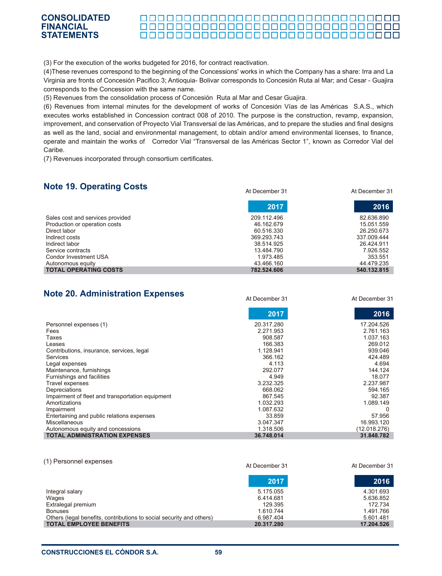(3) For the execution of the works budgeted for 2016, for contract reactivation.

(4)These revenues correspond to the beginning of the Concessions' works in which the Company has a share: Irra and La Virginia are fronts of Concesión Pacifico 3; Antioquia- Bolivar corresponds to Concesión Ruta al Mar; and Cesar - Guajira corresponds to the Concession with the same name.

(5) Revenues from the consolidation process of Concesión Ruta al Mar and Cesar Guajira.

(6) Revenues from internal minutes for the development of works of Concesión Vías de las Américas S.A.S., which executes works established in Concession contract 008 of 2010. The purpose is the construction, revamp, expansion, improvement, and conservation of Proyecto Vial Transversal de las Américas, and to prepare the studies and final designs as well as the land, social and environmental management, to obtain and/or amend environmental licenses, to finance, operate and maintain the works of Corredor Vial "Transversal de las Américas Sector 1", known as Corredor Vial del Caribe.

(7) Revenues incorporated through consortium certificates.

# **Note 19. Operating Costs**

|                                  | 2017        | 2016        |
|----------------------------------|-------------|-------------|
| Sales cost and services provided | 209.112.496 | 82.636.890  |
| Production or operation costs    | 46.162.679  | 15.051.559  |
| Direct labor                     | 60.516.330  | 26.250.673  |
| Indirect costs                   | 369.293.743 | 337.009.444 |
| Indirect labor                   | 38.514.925  | 26.424.911  |
| Service contracts                | 13.484.790  | 7.926.552   |
| Condor Investment USA            | 1.973.485   | 353.551     |
| Autonomous equity                | 43.466.160  | 44 479 235  |
| <b>TOTAL OPERATING COSTS</b>     | 782.524.606 | 540.132.815 |

## **Note 20. Administration Expenses**

At December 31 At December 31

At December 31 At December 31

|                                                  | 2017       | 2016         |
|--------------------------------------------------|------------|--------------|
| Personnel expenses (1)                           | 20.317.280 | 17.204.526   |
| Fees                                             | 2.271.953  | 2.761.163    |
| Taxes                                            | 908.587    | 1.037.163    |
| Leases                                           | 166.383    | 269.012      |
| Contributions, insurance, services, legal        | 1.128.941  | 939.046      |
| Services                                         | 366.162    | 424.489      |
| Legal expenses                                   | 4.113      | 4.694        |
| Maintenance, furnishings                         | 292.077    | 144.124      |
| Furnishings and facilities                       | 4.949      | 18.077       |
| Travel expenses                                  | 3.232.325  | 2.237.987    |
| Depreciations                                    | 668.062    | 594.165      |
| Impairment of fleet and transportation equipment | 867.545    | 92.387       |
| Amortizations                                    | 1.032.293  | 1.089.149    |
| Impairment                                       | 1.087.632  | 0            |
| Entertaining and public relations expenses       | 33.859     | 57.956       |
| <b>Miscellaneous</b>                             | 3.047.347  | 16.993.120   |
| Autonomous equity and concessions                | 1.318.506  | (12.018.276) |
| <b>TOTAL ADMINISTRATION EXPENSES</b>             | 36.748.014 | 31.848.782   |

| (1) Personnel expenses                                               | At December 31 | At December 31 |
|----------------------------------------------------------------------|----------------|----------------|
|                                                                      | 2017           | 2016           |
| Integral salary                                                      | 5.175.055      | 4.301.693      |
| Wages                                                                | 6.414.681      | 5.636.852      |
| Extralegal premium                                                   | 129.395        | 172.734        |
| <b>Bonuses</b>                                                       | 1.610.744      | 1.491.766      |
| Others (legal benefits, contributions to social security and others) | 6.987.404      | 5.601.481      |
| <b>TOTAL EMPLOYEE BENEFITS</b>                                       | 20.317.280     | 17.204.526     |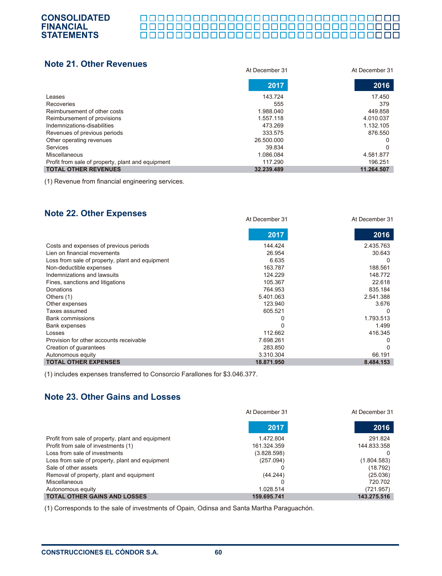#### 000000000000000000000000000000000 0000000000000000000000000000000000

## **Note 21. Other Revenues**

| NVW LI VUNI IWITUWA                               | At December 31 | At December 31 |
|---------------------------------------------------|----------------|----------------|
|                                                   | 2017           | 2016           |
| Leases                                            | 143.724        | 17.450         |
| Recoveries                                        | 555            | 379            |
| Reimbursement of other costs                      | 1.988.040      | 449.858        |
| Reimbursement of provisions                       | 1.557.118      | 4.010.037      |
| Indemnizations-disabilities                       | 473.269        | 1.132.105      |
| Revenues of previous periods                      | 333.575        | 876.550        |
| Other operating revenues                          | 26.500.000     | 0              |
| Services                                          | 39.834         | 0              |
| Miscellaneous                                     | 1.086.084      | 4.581.877      |
| Profit from sale of property, plant and equipment | 117.290        | 196.251        |
| <b>TOTAL OTHER REVENUES</b>                       | 32.239.489     | 11.264.507     |

(1) Revenue from financial engineering services.

## **Note 22. Other Expenses**

|                                                 | At December 31 | At December 31 |
|-------------------------------------------------|----------------|----------------|
|                                                 | 2017           | 2016           |
| Costs and expenses of previous periods          | 144.424        | 2.435.763      |
| Lien on financial movements                     | 26.954         | 30.643         |
| Loss from sale of property, plant and equipment | 6.635          |                |
| Non-deductible expenses                         | 163.787        | 188.561        |
| Indemnizations and lawsuits                     | 124.229        | 148.772        |
| Fines, sanctions and litigations                | 105.367        | 22.618         |
| Donations                                       | 764.953        | 835.184        |
| Others (1)                                      | 5.401.063      | 2.541.388      |
| Other expenses                                  | 123.940        | 3.676          |
| Taxes assumed                                   | 605.521        | $\Omega$       |
| <b>Bank commissions</b>                         |                | 1.793.513      |
| <b>Bank expenses</b>                            |                | 1.499          |
| Losses                                          | 112.662        | 416.345        |
| Provision for other accounts receivable         | 7.698.261      | 0              |
| Creation of guarantees                          | 283.850        | 0              |
| Autonomous equity                               | 3.310.304      | 66.191         |
| <b>TOTAL OTHER EXPENSES</b>                     | 18.871.950     | 8.484.153      |

(1) includes expenses transferred to Consorcio Farallones for \$3.046.377.

# **Note 23. Other Gains and Losses**

|                                                   | At December 31 | At December 31 |
|---------------------------------------------------|----------------|----------------|
|                                                   | 2017           | 2016           |
| Profit from sale of property, plant and equipment | 1.472.804      | 291.824        |
| Profit from sale of investments (1)               | 161.324.359    | 144.833.358    |
| Loss from sale of investments                     | (3.828.598)    | O              |
| Loss from sale of property, plant and equipment   | (257.094)      | (1.804.583)    |
| Sale of other assets                              |                | (18.792)       |
| Removal of property, plant and equipment          | (44.244)       | (25.036)       |
| Miscellaneous                                     |                | 720.702        |
| Autonomous equity                                 | 1.028.514      | (721.957)      |
| <b>TOTAL OTHER GAINS AND LOSSES</b>               | 159.695.741    | 143.275.516    |

(1) Corresponds to the sale of investments of Opain, Odinsa and Santa Martha Paraguachón.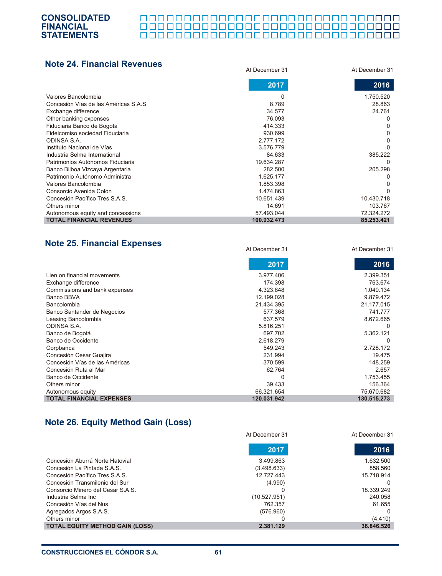#### 000000000000000000000000000000000 0000000000000000000000000000000000

At December 31 At December 31

| <b>Note 24. Financial Revenues</b>    | At December 31 | At December 31 |
|---------------------------------------|----------------|----------------|
|                                       | 2017           | 2016           |
| Valores Bancolombia                   | 0              | 1.750.520      |
| Concesión Vías de las Américas S.A.S. | 8.789          | 28.863         |
| Exchange difference                   | 34.577         | 24.761         |
| Other banking expenses                | 76.093         | $\Omega$       |
| Fiduciaria Banco de Bogotá            | 414.333        | 0              |
| Fideicomiso sociedad Fiduciaria       | 930.699        | 0              |
| ODINSA S.A.                           | 2.777.172      | 0              |
| Instituto Nacional de Vías            | 3.576.779      | 0              |
| Industria Selma International         | 84.633         | 385.222        |
| Patrimonios Autónomos Fiduciaria      | 19.634.287     | $\Omega$       |
| Banco Bilboa Vizcaya Argentaria       | 282.500        | 205.298        |
| Patrimonio Autónomo Administra        | 1.625.177      | $\Omega$       |
| Valores Bancolombia                   | 1.853.398      |                |
| Consorcio Avenida Colón               | 1.474.863      | <sup>0</sup>   |
| Concesión Pacífico Tres S.A.S.        | 10.651.439     | 10.430.718     |
| Others minor                          | 14.691         | 103.767        |
| Autonomous equity and concessions     | 57.493.044     | 72.324.272     |
| <b>TOTAL FINANCIAL REVENUES</b>       | 100.932.473    | 85.253.421     |

# **Note 25. Financial Expenses**

|                                 | 2017        | 2016        |
|---------------------------------|-------------|-------------|
| Lien on financial movements     | 3.977.406   | 2.399.351   |
| Exchange difference             | 174.398     | 763.674     |
| Commissions and bank expenses   | 4.323.848   | 1.040.134   |
| Banco BBVA                      | 12.199.028  | 9.879.472   |
| Bancolombia                     | 21.434.395  | 21.177.015  |
| Banco Santander de Negocios     | 577.368     | 741.777     |
| Leasing Bancolombia             | 637.579     | 8.672.665   |
| ODINSA S.A.                     | 5.816.251   | $\Omega$    |
| Banco de Bogotá                 | 697.702     | 5.362.121   |
| Banco de Occidente              | 2.618.279   | $\Omega$    |
| Corpbanca                       | 549.243     | 2.728.172   |
| Concesión Cesar Guajira         | 231.994     | 19.475      |
| Concesión Vías de las Américas  | 370.599     | 148.259     |
| Concesión Ruta al Mar           | 62.764      | 2.657       |
| Banco de Occidente              | 0           | 1.753.455   |
| Others minor                    | 39.433      | 156.364     |
| Autonomous equity               | 66.321.654  | 75.670.682  |
| <b>TOTAL FINANCIAL EXPENSES</b> | 120.031.942 | 130.515.273 |

# **Note 26. Equity Method Gain (Loss)**

|                                        | At December 31 | At December 31 |  |
|----------------------------------------|----------------|----------------|--|
|                                        | 2017           | 2016           |  |
| Concesión Aburrá Norte Hatovial        | 3.499.863      | 1.632.500      |  |
| Concesión La Pintada S.A.S.            | (3.498.633)    | 858.560        |  |
| Concesión Pacífico Tres S.A.S.         | 12.727.443     | 15.718.914     |  |
| Concesión Transmilenio del Sur         | (4.990)        | $\Omega$       |  |
| Consorcio Minero del Cesar S.A.S.      |                | 18.339.249     |  |
| Industria Selma Inc                    | (10.527.951)   | 240.058        |  |
| Concesión Vías del Nus                 | 762.357        | 61.655         |  |
| Agregados Argos S.A.S.                 | (576.960)      | $\Omega$       |  |
| Others minor                           |                | (4.410)        |  |
| <b>TOTAL EQUITY METHOD GAIN (LOSS)</b> | 2.381.129      | 36.846.526     |  |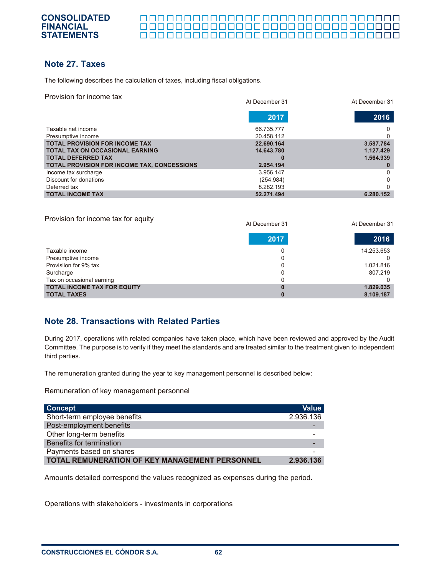#### <u> 00000000000000000000000000000</u>

# **Note 27. Taxes**

The following describes the calculation of taxes, including fiscal obligations.

Provision for income tax

| Provision for income tax                                            | At December 31           | At December 31         |
|---------------------------------------------------------------------|--------------------------|------------------------|
|                                                                     | 2017                     | 2016                   |
| Taxable net income<br>Presumptive income                            | 66.735.777<br>20.458.112 | 0                      |
| <b>TOTAL PROVISION FOR INCOME TAX</b>                               | 22.690.164               | 3.587.784              |
| <b>TOTAL TAX ON OCCASIONAL EARNING</b><br><b>TOTAL DEFERRED TAX</b> | 14.643.780               | 1.127.429<br>1.564.939 |
| <b>TOTAL PROVISION FOR INCOME TAX, CONCESSIONS</b>                  | 2.954.194                |                        |
| Income tax surcharge                                                | 3.956.147                | 0                      |
| Discount for donations                                              | (254.984)                | 0                      |
| Deferred tax                                                        | 8.282.193                | ∩                      |
| <b>TOTAL INCOME TAX</b>                                             | 52.271.494               | 6.280.152              |

| Provision for income tax for equity | At December 31 | At December 31 |
|-------------------------------------|----------------|----------------|
|                                     | 2017           | 2016           |
| Taxable income                      | 0              | 14.253.653     |
| Presumptive income                  |                |                |
| Provisiion for 9% tax               | 0              | 1.021.816      |
| Surcharge                           |                | 807.219        |
| Tax on occasional earning           |                |                |
| <b>TOTAL INCOME TAX FOR EQUITY</b>  |                | 1.829.035      |
| <b>TOTAL TAXES</b>                  |                | 8.109.187      |

# **Note 28. Transactions with Related Parties**

During 2017, operations with related companies have taken place, which have been reviewed and approved by the Audit Committee. The purpose is to verify if they meet the standards and are treated similar to the treatment given to independent third parties.

The remuneration granted during the year to key management personnel is described below:

Remuneration of key management personnel

| <b>Concept</b>                                 | <b>Value</b> |
|------------------------------------------------|--------------|
| Short-term employee benefits                   | 2.936.136    |
| Post-employment benefits                       |              |
| Other long-term benefits                       |              |
| Benefits for termination                       |              |
| Payments based on shares                       |              |
| TOTAL REMUNERATION OF KEY MANAGEMENT PERSONNEL | 2.936.136    |

Amounts detailed correspond the values recognized as expenses during the period.

Operations with stakeholders - investments in corporations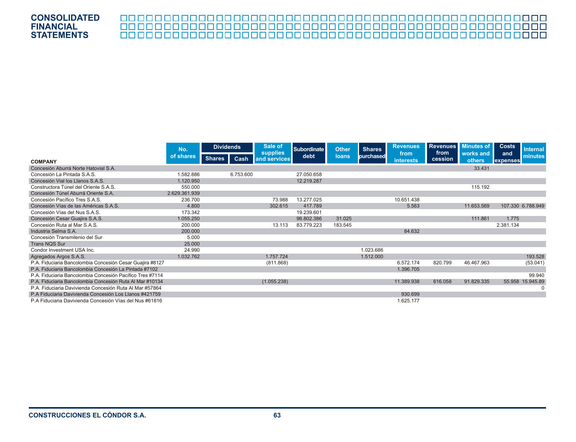|                                                           | No.           |               |           | <b>Dividends</b> |            | Sale of<br>supplies | <b>Subordinate</b> | <b>Other</b>      | <b>Shares</b> | <b>Revenues</b>     | <b>Revenues</b><br>from | Minutes of        | <b>Costs</b> | <b>Internal</b> |
|-----------------------------------------------------------|---------------|---------------|-----------|------------------|------------|---------------------|--------------------|-------------------|---------------|---------------------|-------------------------|-------------------|--------------|-----------------|
| <b>COMPANY</b>                                            | of shares     | <b>Shares</b> | Cash      | and services     | debt       | <b>loans</b>        | purchased          | from<br>interests | cession       | works and<br>others | and<br>expenses         | minutes           |              |                 |
| Concesión Aburrá Norte Hatovial S.A.                      |               |               |           |                  |            |                     |                    |                   |               | 33.431              |                         |                   |              |                 |
| Concesión La Pintada S.A.S.                               | 1.582.886     |               | 6.753.600 |                  | 27.050.658 |                     |                    |                   |               |                     |                         |                   |              |                 |
| Concesión Vial los Llanos S.A.S.                          | 1.120.950     |               |           |                  | 12.219.287 |                     |                    |                   |               |                     |                         |                   |              |                 |
| Constructora Túnel del Oriente S.A.S.                     | 550,000       |               |           |                  |            |                     |                    |                   |               | 115.192             |                         |                   |              |                 |
| Concesión Túnel Aburrá Oriente S.A.                       | 2.629.361.939 |               |           |                  |            |                     |                    |                   |               |                     |                         |                   |              |                 |
| Concesión Pacífico Tres S.A.S.                            | 236.700       |               |           | 73.988           | 13.277.025 |                     |                    | 10.651.438        |               |                     |                         |                   |              |                 |
| Concesión Vías de las Américas S.A.S.                     | 4.800         |               |           | 302.615          | 417.789    |                     |                    | 5.563             |               | 11.653.569          |                         | 107.330 6.788.949 |              |                 |
| Concesión Vías del Nus S.A.S.                             | 173.342       |               |           |                  | 19.239.601 |                     |                    |                   |               |                     |                         |                   |              |                 |
| Concesión Cesar Guajira S.A.S.                            | 1.055.250     |               |           |                  | 96.802.386 | 31.025              |                    |                   |               | 111.861             | 1.775                   |                   |              |                 |
| Concesión Ruta al Mar S.A.S.                              | 200.000       |               |           | 13.113           | 83.779.223 | 183.545             |                    |                   |               |                     | 2.381.134               |                   |              |                 |
| Industria Selma S.A.                                      | 200,000       |               |           |                  |            |                     |                    | 84.632            |               |                     |                         |                   |              |                 |
| Concesión Transmilenio del Sur                            | 5.000         |               |           |                  |            |                     |                    |                   |               |                     |                         |                   |              |                 |
| <b>Trans NQS Sur</b>                                      | 25,000        |               |           |                  |            |                     |                    |                   |               |                     |                         |                   |              |                 |
| Condor Investment USA Inc.                                | 24.990        |               |           |                  |            |                     | 1.023.686          |                   |               |                     |                         |                   |              |                 |
| Agregados Argos S.A.S.                                    | 1.032.762     |               |           | 1.757.724        |            |                     | 1.512.000          |                   |               |                     |                         | 193.528           |              |                 |
| P.A. Fiduciaria Bancolombia Concesión Cesar Guajira #8127 |               |               |           | (811.868)        |            |                     |                    | 6.572.174         | 820.799       | 46.467.963          |                         | (53.041)          |              |                 |
| P.A. Fiduciaria Bancolombia Concesión La Pintada #7102    |               |               |           |                  |            |                     |                    | 1.396.705         |               |                     |                         |                   |              |                 |
| P.A. Fiduciaria Bancolombia Concesión Pacífico Tres #7114 |               |               |           |                  |            |                     |                    |                   |               |                     |                         | 99.940            |              |                 |
| P.A. Fiduciaria Bancolombia Concesión Ruta Al Mar #10134  |               |               |           | (1.055.238)      |            |                     |                    | 11.389.938        | 616.058       | 91.829.335          | 55.958                  | 15.945.89         |              |                 |
| P.A. Fiduciaria Davivienda Concesión Ruta Al Mar #57864   |               |               |           |                  |            |                     |                    |                   |               |                     |                         | 0                 |              |                 |
| P.A Fiduciaria Davivienda Concesión Los Llanos #421759    |               |               |           |                  |            |                     |                    | 930.699           |               |                     |                         |                   |              |                 |
| P.A Fiduciaria Davivienda Concesión Vías del Nus #61816   |               |               |           |                  |            |                     |                    | 1.625.177         |               |                     |                         |                   |              |                 |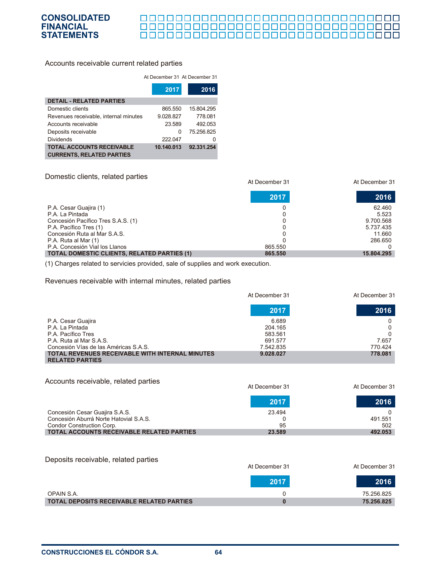#### 

#### Accounts receivable current related parties

#### At December 31 At December 31

|                                       | 2017       | 2016       |
|---------------------------------------|------------|------------|
| <b>DETAIL - RELATED PARTIES</b>       |            |            |
| Domestic clients                      | 865.550    | 15.804.295 |
| Revenues receivable, internal minutes | 9.028.827  | 778.081    |
| Accounts receivable                   | 23.589     | 492.053    |
| Deposits receivable                   | $\Omega$   | 75.256.825 |
| <b>Dividends</b>                      | 222.047    |            |
| <b>TOTAL ACCOUNTS RECEIVABLE</b>      | 10.140.013 | 92.331.254 |
| <b>CURRENTS, RELATED PARTIES</b>      |            |            |

#### Domestic clients, related parties

| At December 31                                     | At December 31        |        |
|----------------------------------------------------|-----------------------|--------|
|                                                    | 2017                  | 2016   |
| P.A. Cesar Guajira (1)                             |                       | 62.460 |
| P.A. La Pintada                                    |                       | 5.523  |
| Concesión Pacífico Tres S.A.S. (1)                 | 9.700.568             |        |
| P.A. Pacífico Tres (1)                             | 5.737.435             |        |
| Concesión Ruta al Mar S.A.S.                       |                       | 11.660 |
| P.A. Ruta al Mar (1)                               | 286.650               |        |
| P.A. Concesión Vial los Llanos                     | 865.550               |        |
| <b>TOTAL DOMESTIC CLIENTS, RELATED PARTIES (1)</b> | 865,550<br>15.804.295 |        |

(1) Charges related to servicies provided, sale of supplies and work execution.

#### Revenues receivable with internal minutes, related parties

|                                                                                  | At December 31 | At December 31 |  |
|----------------------------------------------------------------------------------|----------------|----------------|--|
|                                                                                  | 2017           | 2016           |  |
| P.A. Cesar Guajira                                                               | 6.689          |                |  |
| P.A. La Pintada                                                                  | 204.165        | 0              |  |
| P.A. Pacífico Tres                                                               | 583.561        |                |  |
| P.A. Ruta al Mar S.A.S.                                                          | 691.577        | 7.657          |  |
| Concesión Vías de las Américas S.A.S.                                            | 7.542.835      | 770.424        |  |
| <b>TOTAL REVENUES RECEIVABLE WITH INTERNAL MINUTES</b><br><b>RELATED PARTIES</b> | 9.028.027      | 778.081        |  |

#### Accounts receivable, related parties Concesión Cesar Guajira S.A.S. Concesión Aburrá Norte Hatovial S.A.S. Condor Construction Corp. **TOTAL ACCOUNTS RECEIVABLE RELATED PARTIES** 23.494 0 95  **23.589**  0 491.551 502  **492.053**  At December 31 At December 31 **2017 2016**

#### Deposits receivable, related parties

|                                                  | At December 31 | At December 31 |  |
|--------------------------------------------------|----------------|----------------|--|
|                                                  | 2017           | 2016           |  |
| OPAIN S.A.                                       |                | 75.256.825     |  |
| <b>TOTAL DEPOSITS RECEIVABLE RELATED PARTIES</b> |                | 75.256.825     |  |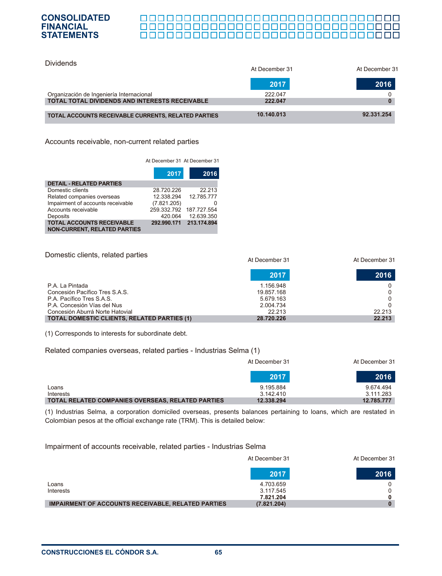Dividends

#### <u> 0000000000000000000000000000000000</u> 000000000000000000000000000000000

| Dividends                                           | At December 31 | At December 31 |
|-----------------------------------------------------|----------------|----------------|
|                                                     | 2017           | 2016           |
| Organización de Ingeniería Internacional            | 222.047        |                |
| TOTAL TOTAL DIVIDENDS AND INTERESTS RECEIVABLE      | 222.047        |                |
| TOTAL ACCOUNTS RECEIVABLE CURRENTS, RELATED PARTIES | 10.140.013     | 92.331.254     |

Accounts receivable, non-current related parties

At December 31 At December 31

|                                                                         | 2017        | 2016        |
|-------------------------------------------------------------------------|-------------|-------------|
| <b>DETAIL - RELATED PARTIES</b>                                         |             |             |
| Domestic clients                                                        | 28.720.226  | 22.213      |
| Related companies overseas                                              | 12.338.294  | 12.785.777  |
| Impairment of accounts receivable                                       | (7.821.205) |             |
| Accounts receivable                                                     | 259.332.792 | 187.727.554 |
| Deposits                                                                | 420.064     | 12.639.350  |
| <b>TOTAL ACCOUNTS RECEIVABLE</b><br><b>NON-CURRENT, RELATED PARTIES</b> | 292.990.171 | 213.174.894 |

Domestic clients, related parties P.A. La Pintada Concesión Pacífico Tres S.A.S. P.A. Pacífico Tres S.A.S. P.A. Concesión Vías del Nus Concesión Aburrá Norte Hatovial **TOTAL DOMESTIC CLIENTS, RELATED PARTIES (1)** 1.156.948 19.857.168 5.679.163 2.004.734 22.213  **28.720.226**  0 0 0 0 22.213  **22.213**  At December 31 At December 31 **2017 2016**

(1) Corresponds to interests for subordinate debt.

#### Related companies overseas, related parties - Industrias Selma (1)

|                                                   | At December 31 | At December 31 |  |
|---------------------------------------------------|----------------|----------------|--|
|                                                   | 2017           | 2016           |  |
| Loans                                             | 9.195.884      | 9.674.494      |  |
| Interests                                         | 3.142.410      | 3.111.283      |  |
| TOTAL RELATED COMPANIES OVERSEAS, RELATED PARTIES | 12.338.294     | 12.785.777     |  |

(1) Industrias Selma, a corporation domiciled overseas, presents balances pertaining to loans, which are restated in Colombian pesos at the official exchange rate (TRM). This is detailed below:

Impairment of accounts receivable, related parties - Industrias Selma

|                                                           | At December 31 | At December 31 |
|-----------------------------------------------------------|----------------|----------------|
|                                                           | 2017           | 2016           |
| Loans                                                     | 4.703.659      | 0              |
| Interests                                                 | 3.117.545      | $\Omega$       |
|                                                           | 7.821.204      | 0              |
| <b>IMPAIRMENT OF ACCOUNTS RECEIVABLE, RELATED PARTIES</b> | (7.821.204)    | $\bf{0}$       |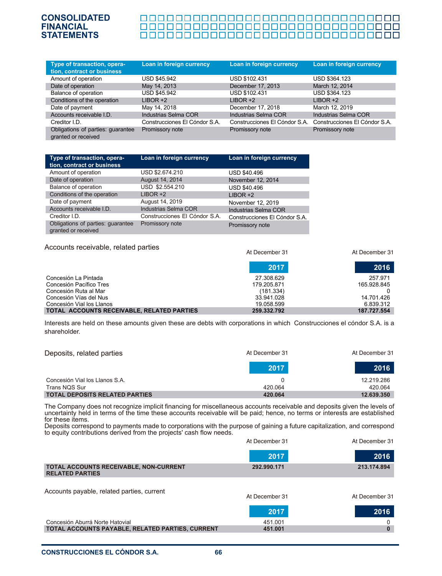#### 00000000000000000000000000000000

| Type of transaction, opera-<br>tion, contract or business | Loan in foreign currency      | Loan in foreign currency      | Loan in foreign currency      |
|-----------------------------------------------------------|-------------------------------|-------------------------------|-------------------------------|
| Amount of operation                                       | USD \$45.942                  | USD \$102.431                 | USD \$364.123                 |
| Date of operation                                         | May 14, 2013                  | December 17, 2013             | March 12, 2014                |
| Balance of operation                                      | USD \$45.942                  | USD \$102.431                 | USD \$364.123                 |
| Conditions of the operation                               | $LIBOR +2$                    | $LIBOR + 2$                   | $LIBOR +2$                    |
| Date of payment                                           | May 14, 2018                  | December 17, 2018             | March 12, 2019                |
| Accounts receivable I.D.                                  | <b>Industrias Selma COR</b>   | Industrias Selma COR          | Industrias Selma COR          |
| Creditor I.D.                                             | Construcciones El Cóndor S.A. | Construcciones El Cóndor S.A. | Construcciones El Cóndor S.A. |
| Obligations of parties: guarantee<br>granted or received  | Promissory note               | Promissory note               | Promissory note               |

| Type of transaction, opera-<br>tion, contract or business | Loan in foreign currency      | Loan in foreign currency      |
|-----------------------------------------------------------|-------------------------------|-------------------------------|
| Amount of operation                                       | USD \$2.674.210               | USD \$40.496                  |
| Date of operation                                         | August 14, 2014               | November 12, 2014             |
| Balance of operation                                      | USD \$2.554.210               | USD \$40.496                  |
| Conditions of the operation                               | $LIBOR +2$                    | $LIBOR +2$                    |
| Date of payment                                           | August 14, 2019               | November 12, 2019             |
| Accounts receivable I.D.                                  | <b>Industrias Selma COR</b>   | Industrias Selma COR          |
| Creditor I.D.                                             | Construcciones El Cóndor S.A. | Construcciones El Cóndor S.A. |
| Obligations of parties: guarantee<br>granted or received  | Promissory note               | Promissory note               |

#### Accounts receivable, related parties

At December 31 At December 31

|                                            | 2017        | 2016        |
|--------------------------------------------|-------------|-------------|
| Concesión La Pintada                       | 27.308.629  | 257 971     |
| Concesión Pacífico Tres                    | 179.205.871 | 165.928.845 |
| Concesión Ruta al Mar                      | (181.334)   |             |
| Concesión Vías del Nus                     | 33.941.028  | 14.701.426  |
| Concesión Vial los Llanos                  | 19.058.599  | 6.839.312   |
| TOTAL ACCOUNTS RECEIVABLE, RELATED PARTIES | 259.332.792 | 187.727.554 |

Interests are held on these amounts given these are debts with corporations in which Construcciones el cóndor S.A. is a shareholder.

| Deposits, related parties             | At December 31 | At December 31 |
|---------------------------------------|----------------|----------------|
|                                       | 2017           | 2016           |
| Concesión Vial los Llanos S.A.        |                | 12.219.286     |
| Trans NQS Sur                         | 420.064        | 420.064        |
| <b>TOTAL DEPOSITS RELATED PARTIES</b> | 420.064        | 12.639.350     |

The Company does not recognize implicit financing for miscellaneous accounts receivable and deposits given the levels of uncertainty held in terms of the time these accounts receivable will be paid; hence, no terms or interests are established for these items.

Deposits correspond to payments made to corporations with the purpose of gaining a future capitalization, and correspond to equity contributions derived from the projects' cash flow needs.

|                                                                  | At December 31 | At December 31 |
|------------------------------------------------------------------|----------------|----------------|
|                                                                  | 2017           | 2016           |
| TOTAL ACCOUNTS RECEIVABLE, NON-CURRENT<br><b>RELATED PARTIES</b> | 292.990.171    | 213.174.894    |
| Accounts payable, related parties, current                       | At December 31 | At December 31 |
|                                                                  | 2017           | 2016           |
| Concesión Aburrá Norte Hatovial                                  | 451.001        |                |
| TOTAL ACCOUNTS PAYABLE, RELATED PARTIES, CURRENT                 | 451.001        |                |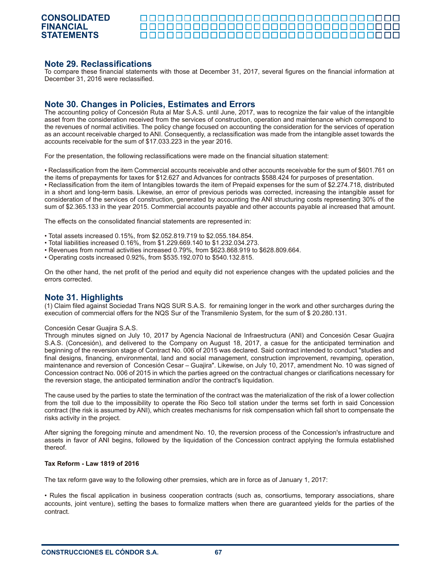<u> AAAAAAAAAAAAAAAAAAAAAAAAAAAAA</u>

#### **Note 29. Reclassifications**

To compare these financial statements with those at December 31, 2017, several figures on the financial information at December 31, 2016 were reclassified.

### **Note 30. Changes in Policies, Estimates and Errors**

The accounting policy of Concesión Ruta al Mar S.A.S. until June, 2017, was to recognize the fair value of the intangible asset from the consideration received from the services of construction, operation and maintenance which correspond to the revenues of normal activities. The policy change focused on accounting the consideration for the services of operation as an account receivable charged to ANI. Consequently, a reclassification was made from the intangible asset towards the accounts receivable for the sum of \$17.033.223 in the year 2016.

For the presentation, the following reclassifications were made on the financial situation statement:

• Reclassification from the item Commercial accounts receivable and other accounts receivable for the sum of \$601.761 on the items of prepayments for taxes for \$12.627 and Advances for contracts \$588.424 for purposes of presentation. • Reclassification from the item of Intangibles towards the item of Prepaid expenses for the sum of \$2.274.718, distributed in a short and long-term basis. Likewise, an error of previous periods was corrected, increasing the intangible asset for consideration of the services of construction, generated by accounting the ANI structuring costs representing 30% of the sum of \$2.365.133 in the year 2015. Commercial accounts payable and other accounts payable al increased that amount.

The effects on the consolidated financial statements are represented in:

- Total assets increased 0.15%, from \$2.052.819.719 to \$2.055.184.854.
- Total liabilities increased 0.16%, from \$1.229.669.140 to \$1.232.034.273.
- Revenues from normal activities increased 0.79%, from \$623.868.919 to \$628.809.664.
- Operating costs increased 0.92%, from \$535.192.070 to \$540.132.815.

On the other hand, the net profit of the period and equity did not experience changes with the updated policies and the errors corrected.

#### **Note 31. Highlights**

(1) Claim filed against Sociedad Trans NQS SUR S.A.S. for remaining longer in the work and other surcharges during the execution of commercial offers for the NQS Sur of the Transmilenio System, for the sum of \$ 20.280.131.

#### Concesión Cesar Guajira S.A.S.

Through minutes signed on July 10, 2017 by Agencia Nacional de Infraestructura (ANI) and Concesión Cesar Guajira S.A.S. (Concesión), and delivered to the Company on August 18, 2017, a casue for the anticipated termination and beginning of the reversion stage of Contract No. 006 of 2015 was declared. Said contract intended to conduct "studies and final designs, financing, environmental, land and social management, construction improvement, revamping, operation, maintenance and reversion of Concesión Cesar – Guajira". Likewise, on July 10, 2017, amendment No. 10 was signed of Concession contract No. 006 of 2015 in which the parties agreed on the contractual changes or clarifications necessary for the reversion stage, the anticipated termination and/or the contract's liquidation.

The cause used by the parties to state the termination of the contract was the materialization of the risk of a lower collection from the toll due to the impossibility to operate the Rio Seco toll station under the terms set forth in said Concession contract (the risk is assumed by ANI), which creates mechanisms for risk compensation which fall short to compensate the risks activity in the project.

After signing the foregoing minute and amendment No. 10, the reversion process of the Concession's infrastructure and assets in favor of ANI begins, followed by the liquidation of the Concession contract applying the formula established thereof.

#### **Tax Reform - Law 1819 of 2016**

The tax reform gave way to the following other premsies, which are in force as of January 1, 2017:

• Rules the fiscal application in business cooperation contracts (such as, consortiums, temporary associations, share accounts, joint venture), setting the bases to formalize matters when there are guaranteed yields for the parties of the contract.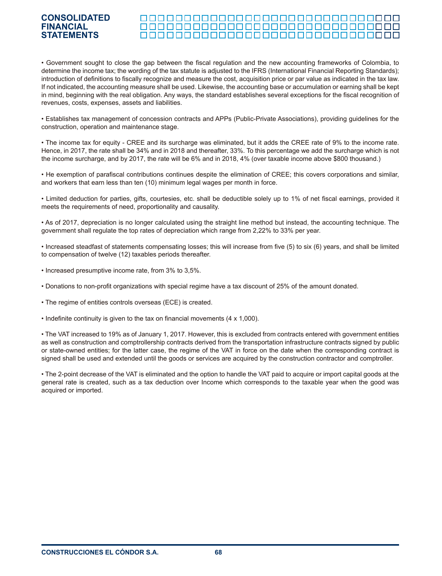#### <u> 000000000000000000000000000000000</u>

• Government sought to close the gap between the fiscal regulation and the new accounting frameworks of Colombia, to determine the income tax; the wording of the tax statute is adjusted to the IFRS (International Financial Reporting Standards); introduction of definitions to fiscally recognize and measure the cost, acquisition price or par value as indicated in the tax law. If not indicated, the accounting measure shall be used. Likewise, the accounting base or accumulation or earning shall be kept in mind, beginning with the real obligation. Any ways, the standard establishes several exceptions for the fiscal recognition of revenues, costs, expenses, assets and liabilities.

• Establishes tax management of concession contracts and APPs (Public-Private Associations), providing guidelines for the construction, operation and maintenance stage.

• The income tax for equity - CREE and its surcharge was eliminated, but it adds the CREE rate of 9% to the income rate. Hence, in 2017, the rate shall be 34% and in 2018 and thereafter, 33%. To this percentage we add the surcharge which is not the income surcharge, and by 2017, the rate will be 6% and in 2018, 4% (over taxable income above \$800 thousand.)

• He exemption of parafiscal contributions continues despite the elimination of CREE; this covers corporations and similar, and workers that earn less than ten (10) minimum legal wages per month in force.

• Limited deduction for parties, gifts, courtesies, etc. shall be deductible solely up to 1% of net fiscal earnings, provided it meets the requirements of need, proportionality and causality.

• As of 2017, depreciation is no longer calculated using the straight line method but instead, the accounting technique. The government shall regulate the top rates of depreciation which range from 2,22% to 33% per year.

• Increased steadfast of statements compensating losses; this will increase from five (5) to six (6) years, and shall be limited to compensation of twelve (12) taxables periods thereafter.

- Increased presumptive income rate, from 3% to 3,5%.
- Donations to non-profit organizations with special regime have a tax discount of 25% of the amount donated.
- The regime of entities controls overseas (ECE) is created.
- Indefinite continuity is given to the tax on financial movements (4 x 1,000).

• The VAT increased to 19% as of January 1, 2017. However, this is excluded from contracts entered with government entities as well as construction and comptrollership contracts derived from the transportation infrastructure contracts signed by public or state-owned entities; for the latter case, the regime of the VAT in force on the date when the corresponding contract is signed shall be used and extended until the goods or services are acquired by the construction contractor and comptroller.

• The 2-point decrease of the VAT is eliminated and the option to handle the VAT paid to acquire or import capital goods at the general rate is created, such as a tax deduction over Income which corresponds to the taxable year when the good was acquired or imported.